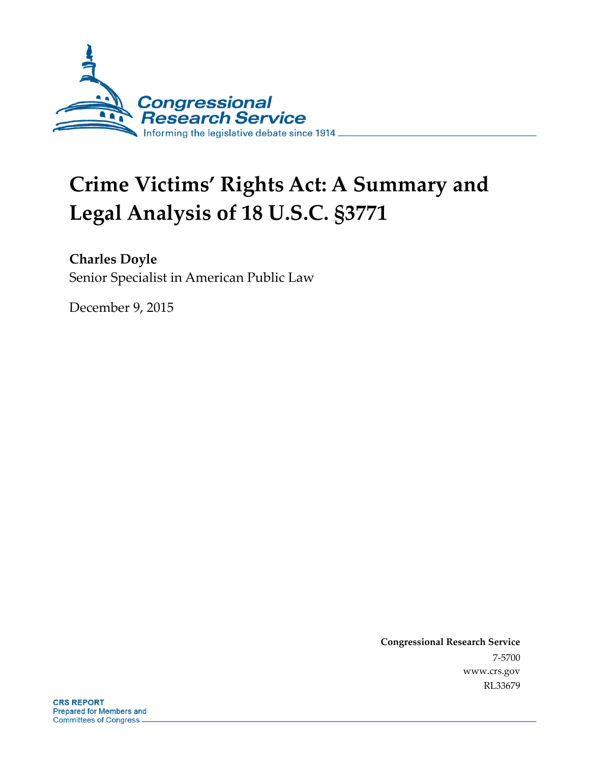

# **Crime Victims' Rights Act: A Summary and Legal Analysis of 18 U.S.C. §3771**

**Charles Doyle** Senior Specialist in American Public Law

December 9, 2015

**Congressional Research Service** 7-5700 www.crs.gov RL33679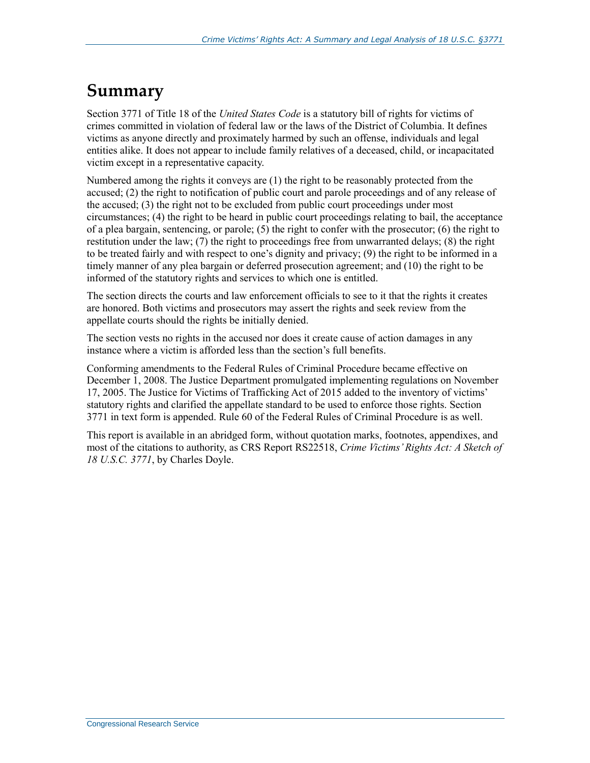# **Summary**

Section 3771 of Title 18 of the *United States Code* is a statutory bill of rights for victims of crimes committed in violation of federal law or the laws of the District of Columbia. It defines victims as anyone directly and proximately harmed by such an offense, individuals and legal entities alike. It does not appear to include family relatives of a deceased, child, or incapacitated victim except in a representative capacity.

Numbered among the rights it conveys are (1) the right to be reasonably protected from the accused; (2) the right to notification of public court and parole proceedings and of any release of the accused; (3) the right not to be excluded from public court proceedings under most circumstances; (4) the right to be heard in public court proceedings relating to bail, the acceptance of a plea bargain, sentencing, or parole; (5) the right to confer with the prosecutor; (6) the right to restitution under the law; (7) the right to proceedings free from unwarranted delays; (8) the right to be treated fairly and with respect to one's dignity and privacy; (9) the right to be informed in a timely manner of any plea bargain or deferred prosecution agreement; and (10) the right to be informed of the statutory rights and services to which one is entitled.

The section directs the courts and law enforcement officials to see to it that the rights it creates are honored. Both victims and prosecutors may assert the rights and seek review from the appellate courts should the rights be initially denied.

The section vests no rights in the accused nor does it create cause of action damages in any instance where a victim is afforded less than the section's full benefits.

Conforming amendments to the Federal Rules of Criminal Procedure became effective on December 1, 2008. The Justice Department promulgated implementing regulations on November 17, 2005. The Justice for Victims of Trafficking Act of 2015 added to the inventory of victims' statutory rights and clarified the appellate standard to be used to enforce those rights. Section 3771 in text form is appended. Rule 60 of the Federal Rules of Criminal Procedure is as well.

This report is available in an abridged form, without quotation marks, footnotes, appendixes, and most of the citations to authority, as CRS Report RS22518, *Crime Victims' Rights Act: A Sketch of 18 U.S.C. 3771*, by Charles Doyle.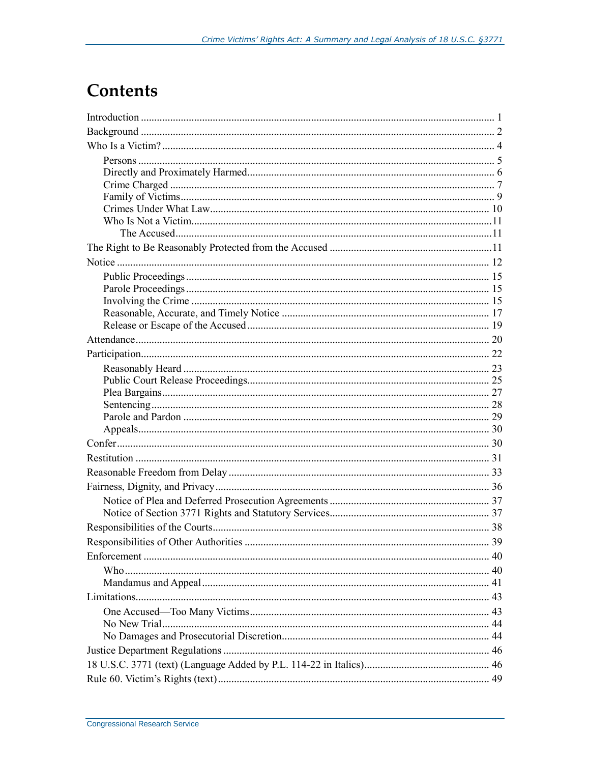# **Contents**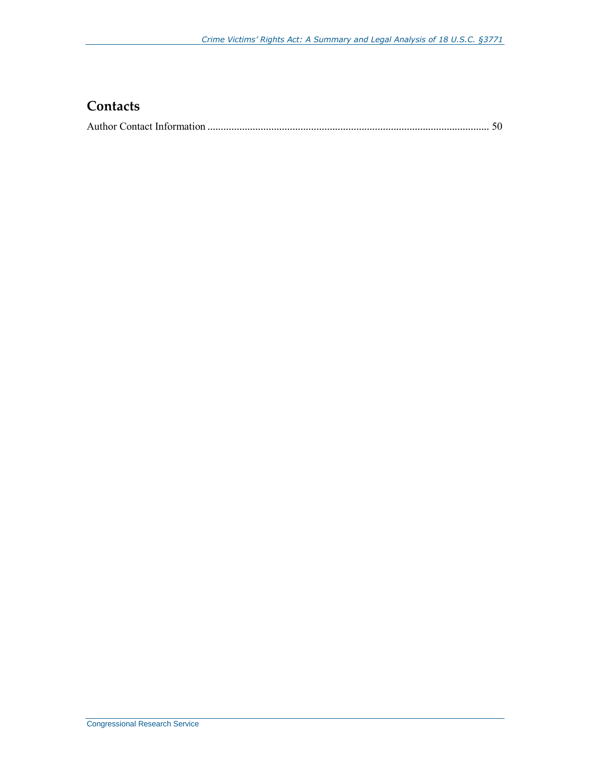### **Contacts**

|--|--|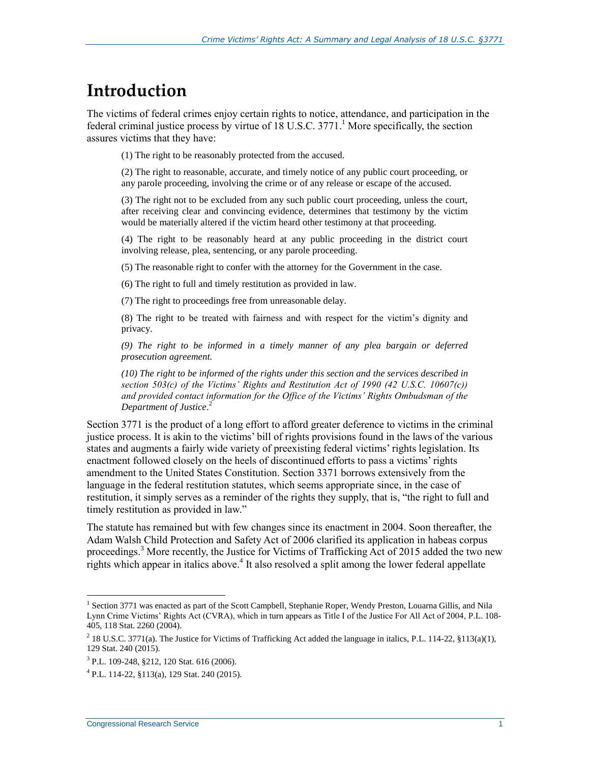# **Introduction**

The victims of federal crimes enjoy certain rights to notice, attendance, and participation in the federal criminal justice process by virtue of 18 U.S.C.  $3771<sup>1</sup>$  More specifically, the section assures victims that they have:

(1) The right to be reasonably protected from the accused.

(2) The right to reasonable, accurate, and timely notice of any public court proceeding, or any parole proceeding, involving the crime or of any release or escape of the accused.

(3) The right not to be excluded from any such public court proceeding, unless the court, after receiving clear and convincing evidence, determines that testimony by the victim would be materially altered if the victim heard other testimony at that proceeding.

(4) The right to be reasonably heard at any public proceeding in the district court involving release, plea, sentencing, or any parole proceeding.

(5) The reasonable right to confer with the attorney for the Government in the case.

(6) The right to full and timely restitution as provided in law.

(7) The right to proceedings free from unreasonable delay.

(8) The right to be treated with fairness and with respect for the victim's dignity and privacy.

*(9) The right to be informed in a timely manner of any plea bargain or deferred prosecution agreement.*

*(10) The right to be informed of the rights under this section and the services described in section 503(c) of the Victims' Rights and Restitution Act of 1990 (42 U.S.C. 10607(c)) and provided contact information for the Office of the Victims' Rights Ombudsman of the Department of Justice*. 2

Section 3771 is the product of a long effort to afford greater deference to victims in the criminal justice process. It is akin to the victims' bill of rights provisions found in the laws of the various states and augments a fairly wide variety of preexisting federal victims' rights legislation. Its enactment followed closely on the heels of discontinued efforts to pass a victims' rights amendment to the United States Constitution. Section 3371 borrows extensively from the language in the federal restitution statutes, which seems appropriate since, in the case of restitution, it simply serves as a reminder of the rights they supply, that is, "the right to full and timely restitution as provided in law."

The statute has remained but with few changes since its enactment in 2004. Soon thereafter, the Adam Walsh Child Protection and Safety Act of 2006 clarified its application in habeas corpus proceedings.<sup>3</sup> More recently, the Justice for Victims of Trafficking Act of 2015 added the two new rights which appear in italics above.<sup>4</sup> It also resolved a split among the lower federal appellate

<sup>&</sup>lt;sup>1</sup> Section 3771 was enacted as part of the Scott Campbell, Stephanie Roper, Wendy Preston, Louarna Gillis, and Nila Lynn Crime Victims' Rights Act (CVRA), which in turn appears as Title I of the Justice For All Act of 2004, P.L. 108- 405, 118 Stat. 2260 (2004).

<sup>&</sup>lt;sup>2</sup> 18 U.S.C. 3771(a). The Justice for Victims of Trafficking Act added the language in italics, P.L. 114-22,  $\S 113(a)(1)$ , 129 Stat. 240 (2015).

<sup>3</sup> P.L. 109-248, §212, 120 Stat. 616 (2006).

<sup>4</sup> P.L. 114-22, §113(a), 129 Stat. 240 (2015).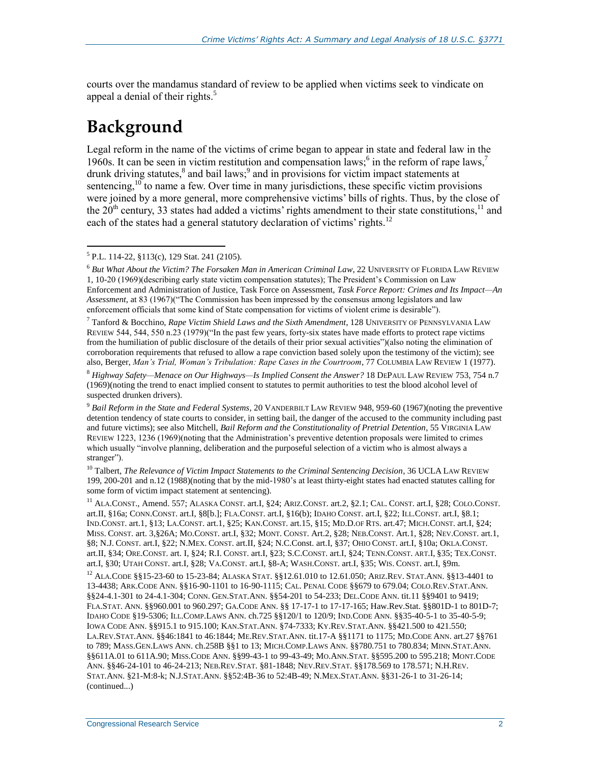courts over the mandamus standard of review to be applied when victims seek to vindicate on appeal a denial of their rights.<sup>5</sup>

# **Background**

Legal reform in the name of the victims of crime began to appear in state and federal law in the 1960s. It can be seen in victim restitution and compensation  $laws$ ;<sup>6</sup> in the reform of rape  $laws$ ,<sup>7</sup> drunk driving statutes, $^8$  and bail laws; $^9$  and in provisions for victim impact statements at sentencing,  $10<sup>10</sup>$  to name a few. Over time in many jurisdictions, these specific victim provisions were joined by a more general, more comprehensive victims' bills of rights. Thus, by the close of the  $20<sup>th</sup>$  century, 33 states had added a victims' rights amendment to their state constitutions,<sup>11</sup> and each of the states had a general statutory declaration of victims' rights.<sup>12</sup>

<sup>10</sup> Talbert, *The Relevance of Victim Impact Statements to the Criminal Sentencing Decision*, 36 UCLA LAW REVIEW 199, 200-201 and n.12 (1988)(noting that by the mid-1980's at least thirty-eight states had enacted statutes calling for some form of victim impact statement at sentencing).

<sup>11</sup> ALA.CONST., Amend. 557; ALASKA CONST. art.I, §24; ARIZ.CONST. art.2, §2.1; CAL. CONST. art.I, §28; COLO.CONST. art.II, §16a; CONN.CONST. art.I, §8[b.]; FLA.CONST. art.I, §16(b); IDAHO CONST. art.I, §22; ILL.CONST. art.I, §8.1; IND.CONST. art.1, §13; LA.CONST. art.1, §25; KAN.CONST. art.15, §15; MD.D.OF RTS. art.47; MICH.CONST. art.I, §24; MISS. CONST. art. 3,§26A; MO.CONST. art.I, §32; MONT. CONST. Art.2, §28; NEB.CONST. Art.1, §28; NEV.CONST. art.1, §8; N.J. CONST. art.I, §22; N.MEX. CONST. art.II, §24; N.C.Const. art.I, §37; OHIO CONST. art.I, §10a; OKLA.CONST. art.II, §34; ORE.CONST. art. I, §24; R.I. CONST. art.I, §23; S.C.CONST. art.I, §24; TENN.CONST. ART.I, §35; TEX.CONST. art.I, §30; UTAH CONST. art.I, §28; VA.CONST. art.I, §8-A; WASH.CONST. art.I, §35; WIS. CONST. art.I, §9m.

<sup>12</sup> ALA.CODE §§15-23-60 to 15-23-84; ALASKA STAT. §§12.61.010 to 12.61.050; ARIZ.REV. STAT.ANN. §§13-4401 to 13-4438; ARK.CODE ANN. §§16-90-1101 to 16-90-1115; CAL. PENAL CODE §§679 to 679.04; COLO.REV.STAT.ANN. §§24-4.1-301 to 24-4.1-304; CONN. GEN.STAT.ANN. §§54-201 to 54-233; DEL.CODE ANN. tit.11 §§9401 to 9419; FLA.STAT. ANN. §§960.001 to 960.297; GA.CODE ANN. §§ 17-17-1 to 17-17-165; Haw.Rev.Stat. §§801D-1 to 801D-7; IDAHO CODE §19-5306; ILL.COMP.LAWS ANN. ch.725 §§120/1 to 120/9; IND.CODE ANN. §§35-40-5-1 to 35-40-5-9; IOWA CODE ANN. §§915.1 to 915.100; KAN.STAT.ANN. §74-7333; KY.REV.STAT.ANN. §§421.500 to 421.550; LA.REV.STAT.ANN. §§46:1841 to 46:1844; ME.REV.STAT.ANN. tit.17-A §§1171 to 1175; MD.CODE ANN. art.27 §§761 to 789; MASS.GEN.LAWS ANN. ch.258B §§1 to 13; MICH.COMP.LAWS ANN. §§780.751 to 780.834; MINN.STAT.ANN. §§611A.01 to 611A.90; MISS.CODE ANN. §§99-43-1 to 99-43-49; MO.ANN.STAT. §§595.200 to 595.218; MONT.CODE ANN. §§46-24-101 to 46-24-213; NEB.REV.STAT. §81-1848; NEV.REV.STAT. §§178.569 to 178.571; N.H.REV. STAT.ANN. §21-M:8-k; N.J.STAT.ANN. §§52:4B-36 to 52:4B-49; N.MEX.STAT.ANN. §§31-26-1 to 31-26-14; (continued...)

 5 P.L. 114-22, §113(c), 129 Stat. 241 (2105).

<sup>6</sup> *But What About the Victim? The Forsaken Man in American Criminal Law*, 22 UNIVERSITY OF FLORIDA LAW REVIEW 1, 10-20 (1969)(describing early state victim compensation statutes); The President's Commission on Law Enforcement and Administration of Justice, Task Force on Assessment, *Task Force Report: Crimes and Its Impact—An Assessment*, at 83 (1967)("The Commission has been impressed by the consensus among legislators and law enforcement officials that some kind of State compensation for victims of violent crime is desirable").

<sup>7</sup> Tanford & Bocchino, *Rape Victim Shield Laws and the Sixth Amendment*, 128 UNIVERSITY OF PENNSYLVANIA LAW REVIEW 544, 544, 550 n.23 (1979)("In the past few years, forty-six states have made efforts to protect rape victims from the humiliation of public disclosure of the details of their prior sexual activities")(also noting the elimination of corroboration requirements that refused to allow a rape conviction based solely upon the testimony of the victim); see also, Berger, *Man's Trial, Woman's Tribulation: Rape Cases in the Courtroom*, 77 COLUMBIA LAW REVIEW 1 (1977).

<sup>8</sup> *Highway Safety—Menace on Our Highways—Is Implied Consent the Answer?* 18 DEPAUL LAW REVIEW 753, 754 n.7 (1969)(noting the trend to enact implied consent to statutes to permit authorities to test the blood alcohol level of suspected drunken drivers).

<sup>9</sup> *Bail Reform in the State and Federal Systems*, 20 VANDERBILT LAW REVIEW 948, 959-60 (1967)(noting the preventive detention tendency of state courts to consider, in setting bail, the danger of the accused to the community including past and future victims); see also Mitchell, *Bail Reform and the Constitutionality of Pretrial Detention*, 55 VIRGINIA LAW REVIEW 1223, 1236 (1969)(noting that the Administration's preventive detention proposals were limited to crimes which usually "involve planning, deliberation and the purposeful selection of a victim who is almost always a stranger").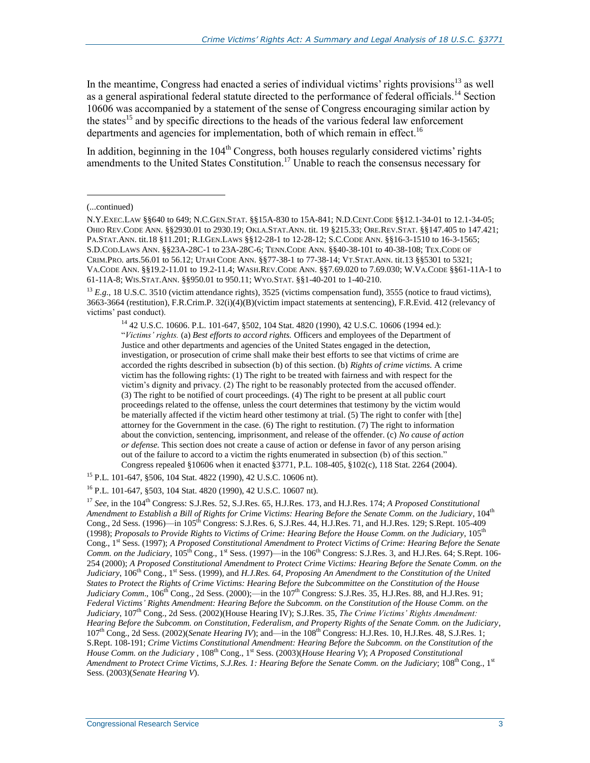In the meantime, Congress had enacted a series of individual victims' rights provisions $^{13}$  as well as a general aspirational federal statute directed to the performance of federal officials.<sup>14</sup> Section 10606 was accompanied by a statement of the sense of Congress encouraging similar action by the states<sup>15</sup> and by specific directions to the heads of the various federal law enforcement departments and agencies for implementation, both of which remain in effect.<sup>16</sup>

In addition, beginning in the  $104<sup>th</sup>$  Congress, both houses regularly considered victims' rights amendments to the United States Constitution.<sup>17</sup> Unable to reach the consensus necessary for

l

 $^{13}E.g.,$  18 U.S.C. 3510 (victim attendance rights), 3525 (victims compensation fund), 3555 (notice to fraud victims), 3663-3664 (restitution), F.R.Crim.P. 32(i)(4)(B)(victim impact statements at sentencing), F.R.Evid. 412 (relevancy of victims' past conduct).

<sup>14</sup> 42 U.S.C. 10606. P.L. 101-647, §502, 104 Stat. 4820 (1990), 42 U.S.C. 10606 (1994 ed.): "*Victims' rights.* (a) *Best efforts to accord rights.* Officers and employees of the Department of Justice and other departments and agencies of the United States engaged in the detection, investigation, or prosecution of crime shall make their best efforts to see that victims of crime are accorded the rights described in subsection (b) of this section. (b) *Rights of crime victims.* A crime victim has the following rights: (1) The right to be treated with fairness and with respect for the victim's dignity and privacy. (2) The right to be reasonably protected from the accused offender. (3) The right to be notified of court proceedings. (4) The right to be present at all public court proceedings related to the offense, unless the court determines that testimony by the victim would be materially affected if the victim heard other testimony at trial. (5) The right to confer with [the] attorney for the Government in the case. (6) The right to restitution. (7) The right to information about the conviction, sentencing, imprisonment, and release of the offender. (c) *No cause of action or defense.* This section does not create a cause of action or defense in favor of any person arising out of the failure to accord to a victim the rights enumerated in subsection (b) of this section." Congress repealed §10606 when it enacted §3771, P.L. 108-405, §102(c), 118 Stat. 2264 (2004).

<sup>15</sup> P.L. 101-647, §506, 104 Stat. 4822 (1990), 42 U.S.C. 10606 nt).

<sup>16</sup> P.L. 101-647, §503, 104 Stat. 4820 (1990), 42 U.S.C. 10607 nt).

<sup>17</sup> *See*, in the 104th Congress: S.J.Res. 52, S.J.Res. 65, H.J.Res. 173, and H.J.Res. 174; *A Proposed Constitutional Amendment to Establish a Bill of Rights for Crime Victims: Hearing Before the Senate Comm. on the Judiciary*, 104th Cong., 2d Sess. (1996)—in 105<sup>th</sup> Congress: S.J.Res. 6, S.J.Res. 44, H.J.Res. 71, and H.J.Res. 129; S.Rept. 105-409 (1998); *Proposals to Provide Rights to Victims of Crime: Hearing Before the House Comm. on the Judiciary*, 105th Cong., 1<sup>st</sup> Sess. (1997); *A Proposed Constitutional Amendment to Protect Victims of Crime: Hearing Before the Senate Comm. on the Judiciary*,  $105^{th}$  Cong., 1<sup>st</sup> Sess. (1997)—in the  $106^{th}$  Congress: S.J.Res. 3, and H.J.Res. 64; S.Rept. 106-254 (2000); *A Proposed Constitutional Amendment to Protect Crime Victims: Hearing Before the Senate Comm. on the Judiciary*, 106th Cong., 1st Sess. (1999), and *H.J.Res. 64*, *Proposing An Amendment to the Constitution of the United States to Protect the Rights of Crime Victims: Hearing Before the Subcommittee on the Constitution of the House Judiciary Comm.*, 106<sup>th</sup> Cong., 2d Sess. (2000);—in the 107<sup>th</sup> Congress: S.J.Res. 35, H.J.Res. 88, and H.J.Res. 91; *Federal Victims' Rights Amendment: Hearing Before the Subcomm. on the Constitution of the House Comm. on the Judiciary*, 107<sup>th</sup> Cong., 2d Sess. (2002)(House Hearing IV); S.J.Res. 35, *The Crime Victims' Rights Amendment: Hearing Before the Subcomm. on Constitution, Federalism, and Property Rights of the Senate Comm. on the Judiciary*, 107th Cong., 2d Sess. (2002)(*Senate Hearing IV*); and—in the 108th Congress: H.J.Res. 10, H.J.Res. 48, S.J.Res. 1; S.Rept. 108-191; *Crime Victims Constitutional Amendment: Hearing Before the Subcomm. on the Constitution of the House Comm. on the Judiciary* , 108th Cong., 1st Sess. (2003)(*House Hearing V*); *A Proposed Constitutional Amendment to Protect Crime Victims, S.J.Res. 1: Hearing Before the Senate Comm. on the Judiciary*; 108<sup>th</sup> Cong., 1st Sess. (2003)(*Senate Hearing V*).

<sup>(...</sup>continued)

N.Y.EXEC.LAW §§640 to 649; N.C.GEN.STAT. §§15A-830 to 15A-841; N.D.CENT.CODE §§12.1-34-01 to 12.1-34-05; OHIO REV.CODE ANN. §§2930.01 to 2930.19; OKLA.STAT.ANN. tit. 19 §215.33; ORE.REV.STAT. §§147.405 to 147.421; PA.STAT.ANN. tit.18 §11.201; R.I.GEN.LAWS §§12-28-1 to 12-28-12; S.C.CODE ANN. §§16-3-1510 to 16-3-1565; S.D.COD.LAWS ANN. §§23A-28C-1 to 23A-28C-6; TENN.CODE ANN. §§40-38-101 to 40-38-108; TEX.CODE OF CRIM.PRO. arts.56.01 to 56.12; UTAH CODE ANN. §§77-38-1 to 77-38-14; VT.STAT.ANN. tit.13 §§5301 to 5321; VA.CODE ANN. §§19.2-11.01 to 19.2-11.4; WASH.REV.CODE ANN. §§7.69.020 to 7.69.030; W.VA.CODE §§61-11A-1 to 61-11A-8; WIS.STAT.ANN. §§950.01 to 950.11; WYO.STAT. §§1-40-201 to 1-40-210.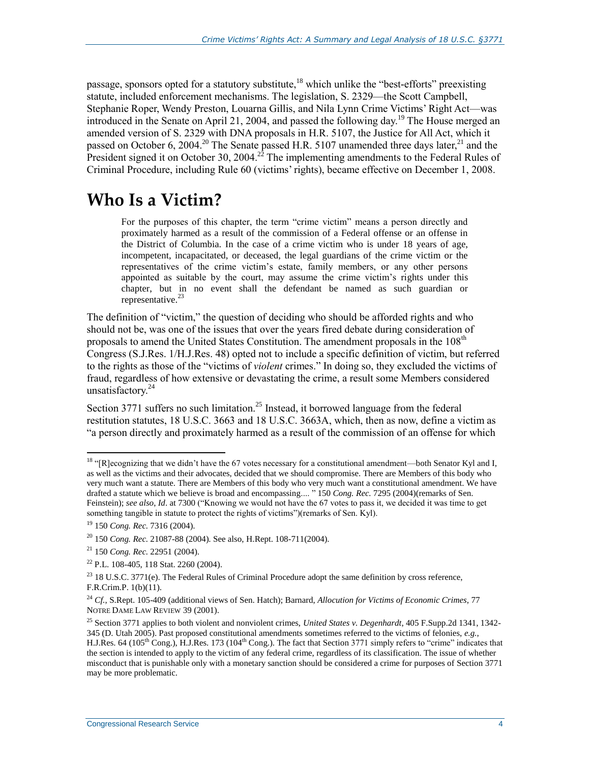passage, sponsors opted for a statutory substitute,<sup>18</sup> which unlike the "best-efforts" preexisting statute, included enforcement mechanisms. The legislation, S. 2329—the Scott Campbell, Stephanie Roper, Wendy Preston, Louarna Gillis, and Nila Lynn Crime Victims' Right Act—was introduced in the Senate on April 21, 2004, and passed the following day.<sup>19</sup> The House merged an amended version of S. 2329 with DNA proposals in H.R. 5107, the Justice for All Act, which it passed on October 6, 2004.<sup>20</sup> The Senate passed H.R. 5107 unamended three days later,<sup>21</sup> and the President signed it on October 30, 2004.<sup>22</sup> The implementing amendments to the Federal Rules of Criminal Procedure, including Rule 60 (victims' rights), became effective on December 1, 2008.

### **Who Is a Victim?**

For the purposes of this chapter, the term "crime victim" means a person directly and proximately harmed as a result of the commission of a Federal offense or an offense in the District of Columbia. In the case of a crime victim who is under 18 years of age, incompetent, incapacitated, or deceased, the legal guardians of the crime victim or the representatives of the crime victim's estate, family members, or any other persons appointed as suitable by the court, may assume the crime victim's rights under this chapter, but in no event shall the defendant be named as such guardian or representative. 23

The definition of "victim," the question of deciding who should be afforded rights and who should not be, was one of the issues that over the years fired debate during consideration of proposals to amend the United States Constitution. The amendment proposals in the 108<sup>th</sup> Congress (S.J.Res. 1/H.J.Res. 48) opted not to include a specific definition of victim, but referred to the rights as those of the "victims of *violent* crimes." In doing so, they excluded the victims of fraud, regardless of how extensive or devastating the crime, a result some Members considered unsatisfactory.<sup>24</sup>

Section 3771 suffers no such limitation.<sup>25</sup> Instead, it borrowed language from the federal restitution statutes, 18 U.S.C. 3663 and 18 U.S.C. 3663A, which, then as now, define a victim as "a person directly and proximately harmed as a result of the commission of an offense for which

 $\overline{a}$  $18$  "[R]ecognizing that we didn't have the 67 votes necessary for a constitutional amendment—both Senator Kyl and I, as well as the victims and their advocates, decided that we should compromise. There are Members of this body who very much want a statute. There are Members of this body who very much want a constitutional amendment. We have drafted a statute which we believe is broad and encompassing.... " 150 *Cong. Rec.* 7295 (2004)(remarks of Sen. Feinstein); *see also*, *Id*. at 7300 ("Knowing we would not have the 67 votes to pass it, we decided it was time to get something tangible in statute to protect the rights of victims")(remarks of Sen. Kyl).

<sup>19</sup> 150 *Cong. Rec.* 7316 (2004).

<sup>20</sup> 150 *Cong. Rec.* 21087-88 (2004). See also, H.Rept. 108-711(2004).

<sup>21</sup> 150 *Cong. Rec.* 22951 (2004).

<sup>22</sup> P.L. 108-405, 118 Stat. 2260 (2004).

 $^{23}$  18 U.S.C. 3771(e). The Federal Rules of Criminal Procedure adopt the same definition by cross reference, F.R.Crim.P. 1(b)(11).

<sup>24</sup> *Cf.*, S.Rept. 105-409 (additional views of Sen. Hatch); Barnard, *Allocution for Victims of Economic Crimes*, 77 NOTRE DAME LAW REVIEW 39 (2001).

<sup>25</sup> Section 3771 applies to both violent and nonviolent crimes, *United States v. Degenhardt*, 405 F.Supp.2d 1341, 1342- 345 (D. Utah 2005). Past proposed constitutional amendments sometimes referred to the victims of felonies, *e.g.*, H.J.Res. 64 (105<sup>th</sup> Cong.), H.J.Res. 173 (104<sup>th</sup> Cong.). The fact that Section 3771 simply refers to "crime" indicates that the section is intended to apply to the victim of any federal crime, regardless of its classification. The issue of whether misconduct that is punishable only with a monetary sanction should be considered a crime for purposes of Section 3771 may be more problematic.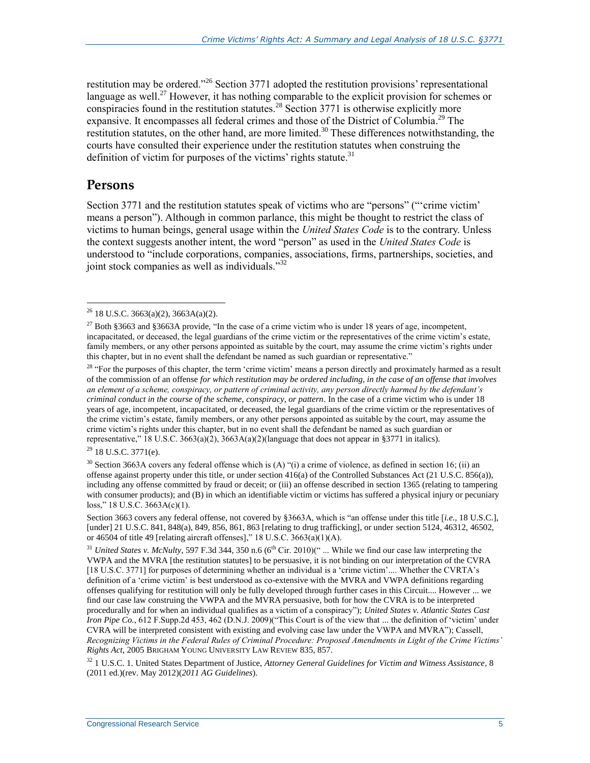restitution may be ordered."<sup>26</sup> Section 3771 adopted the restitution provisions' representational language as well.<sup>27</sup> However, it has nothing comparable to the explicit provision for schemes or conspiracies found in the restitution statutes.<sup>28</sup> Section 3771 is otherwise explicitly more expansive. It encompasses all federal crimes and those of the District of Columbia.<sup>29</sup> The restitution statutes, on the other hand, are more limited.<sup>30</sup> These differences notwithstanding, the courts have consulted their experience under the restitution statutes when construing the definition of victim for purposes of the victims' rights statute.<sup>31</sup>

#### **Persons**

Section 3771 and the restitution statutes speak of victims who are "persons" ("'crime victim' means a person"). Although in common parlance, this might be thought to restrict the class of victims to human beings, general usage within the *United States Code* is to the contrary. Unless the context suggests another intent, the word "person" as used in the *United States Code* is understood to "include corporations, companies, associations, firms, partnerships, societies, and joint stock companies as well as individuals."<sup>32</sup>

 $\overline{a}$  $26$  18 U.S.C. 3663(a)(2), 3663A(a)(2).

<sup>&</sup>lt;sup>27</sup> Both §3663 and §3663A provide, "In the case of a crime victim who is under 18 years of age, incompetent, incapacitated, or deceased, the legal guardians of the crime victim or the representatives of the crime victim's estate, family members, or any other persons appointed as suitable by the court, may assume the crime victim's rights under this chapter, but in no event shall the defendant be named as such guardian or representative."

<sup>&</sup>lt;sup>28</sup> "For the purposes of this chapter, the term 'crime victim' means a person directly and proximately harmed as a result of the commission of an offense *for which restitution may be ordered including, in the case of an offense that involves an element of a scheme, conspiracy, or pattern of criminal activity, any person directly harmed by the defendant's criminal conduct in the course of the scheme, conspiracy, or pattern*. In the case of a crime victim who is under 18 years of age, incompetent, incapacitated, or deceased, the legal guardians of the crime victim or the representatives of the crime victim's estate, family members, or any other persons appointed as suitable by the court, may assume the crime victim's rights under this chapter, but in no event shall the defendant be named as such guardian or representative," 18 U.S.C.  $3663(a)(2)$ ,  $3663A(a)(2)(\text{language that does not appear in §3771 in italics}).$ 

<sup>29</sup> 18 U.S.C. 3771(e).

<sup>&</sup>lt;sup>30</sup> Section 3663A covers any federal offense which is (A) "(i) a crime of violence, as defined in section 16; (ii) an offense against property under this title, or under section 416(a) of the Controlled Substances Act (21 U.S.C. 856(a)), including any offense committed by fraud or deceit; or (iii) an offense described in section 1365 (relating to tampering with consumer products); and (B) in which an identifiable victim or victims has suffered a physical injury or pecuniary loss," 18 U.S.C. 3663A(c)(1).

Section 3663 covers any federal offense, not covered by §3663A, which is "an offense under this title [*i.e.*, 18 U.S.C.], [under] 21 U.S.C. 841, 848(a), 849, 856, 861, 863 [relating to drug trafficking], or under section 5124, 46312, 46502, or 46504 of title 49 [relating aircraft offenses]," 18 U.S.C.  $3663(a)(1)(A)$ .

<sup>&</sup>lt;sup>31</sup> *United States v. McNulty*, 597 F.3d 344, 350 n.6 ( $6<sup>th</sup>$  Cir. 2010)(" ... While we find our case law interpreting the VWPA and the MVRA [the restitution statutes] to be persuasive, it is not binding on our interpretation of the CVRA [18 U.S.C. 3771] for purposes of determining whether an individual is a 'crime victim'.... Whether the CVRTA's definition of a 'crime victim' is best understood as co-extensive with the MVRA and VWPA definitions regarding offenses qualifying for restitution will only be fully developed through further cases in this Circuit.... However ... we find our case law construing the VWPA and the MVRA persuasive, both for how the CVRA is to be interpreted procedurally and for when an individual qualifies as a victim of a conspiracy"); *United States v. Atlantic States Cast Iron Pipe Co.*, 612 F.Supp.2d 453, 462 (D.N.J. 2009)("This Court is of the view that ... the definition of 'victim' under CVRA will be interpreted consistent with existing and evolving case law under the VWPA and MVRA"); Cassell, *Recognizing Victims in the Federal Rules of Criminal Procedure: Proposed Amendments in Light of the Crime Victims' Rights Act*, 2005 BRIGHAM YOUNG UNIVERSITY LAW REVIEW 835, 857.

<sup>32</sup> 1 U.S.C. 1. United States Department of Justice, *Attorney General Guidelines for Victim and Witness Assistance*, 8 (2011 ed.)(rev. May 2012)(*2011 AG Guidelines*).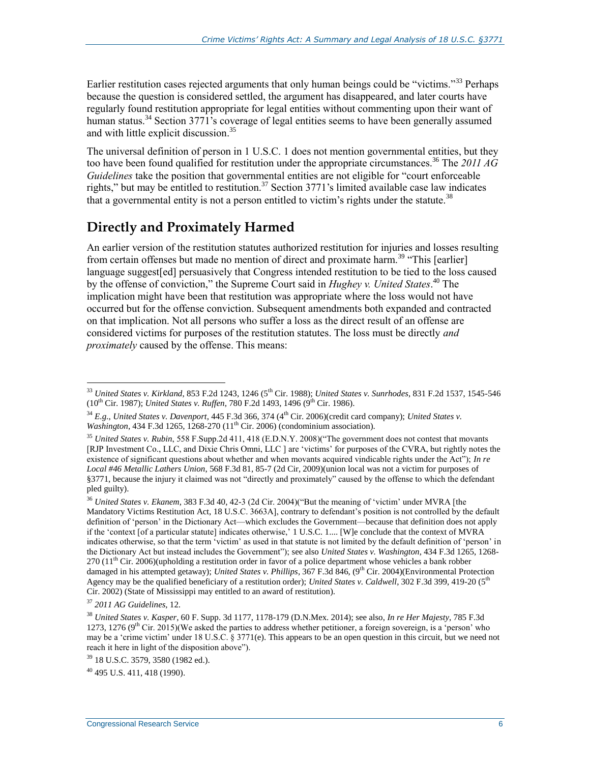Earlier restitution cases rejected arguments that only human beings could be "victims."<sup>33</sup> Perhaps because the question is considered settled, the argument has disappeared, and later courts have regularly found restitution appropriate for legal entities without commenting upon their want of human status.<sup>34</sup> Section 3771's coverage of legal entities seems to have been generally assumed and with little explicit discussion. 35

The universal definition of person in 1 U.S.C. 1 does not mention governmental entities, but they too have been found qualified for restitution under the appropriate circumstances.<sup>36</sup> The *2011 AG Guidelines* take the position that governmental entities are not eligible for "court enforceable" rights," but may be entitled to restitution.<sup>37</sup> Section 3771's limited available case law indicates that a governmental entity is not a person entitled to victim's rights under the statute.<sup>38</sup>

### **Directly and Proximately Harmed**

An earlier version of the restitution statutes authorized restitution for injuries and losses resulting from certain offenses but made no mention of direct and proximate harm.<sup>39</sup> "This [earlier] language suggest [ed] persuasively that Congress intended restitution to be tied to the loss caused by the offense of conviction," the Supreme Court said in *Hughey v. United States*. <sup>40</sup> The implication might have been that restitution was appropriate where the loss would not have occurred but for the offense conviction. Subsequent amendments both expanded and contracted on that implication. Not all persons who suffer a loss as the direct result of an offense are considered victims for purposes of the restitution statutes. The loss must be directly *and proximately* caused by the offense. This means:

 $\overline{a}$ <sup>33</sup> *United States v. Kirkland*, 853 F.2d 1243, 1246 (5th Cir. 1988); *United States v. Sunrhodes*, 831 F.2d 1537, 1545-546 (10<sup>th</sup> Cir. 1987); *United States v. Ruffen*, 780 F.2d 1493, 1496 (9<sup>th</sup> Cir. 1986).

 $34$  *E.g.*, *United States v. Davenport*, 445 F.3d 366, 374 (4<sup>th</sup> Cir. 2006)(credit card company); *United States v. Washington*, 434 F.3d 1265, 1268-270 (11<sup>th</sup> Cir. 2006) (condominium association).

<sup>&</sup>lt;sup>35</sup> *United States v. Rubin*, 558 F.Supp.2d 411, 418 (E.D.N.Y. 2008)("The government does not contest that movants [RJP Investment Co., LLC, and Dixie Chris Omni, LLC ] are 'victims' for purposes of the CVRA, but rightly notes the existence of significant questions about whether and when movants acquired vindicable rights under the Act"); *In re Local #46 Metallic Lathers Union*, 568 F.3d 81, 85-7 (2d Cir, 2009)(union local was not a victim for purposes of §3771, because the injury it claimed was not "directly and proximately" caused by the offense to which the defendant pled guilty).

<sup>36</sup> *United States v. Ekanem*, 383 F.3d 40, 42-3 (2d Cir. 2004)("But the meaning of 'victim' under MVRA [the Mandatory Victims Restitution Act, 18 U.S.C. 3663A], contrary to defendant's position is not controlled by the default definition of 'person' in the Dictionary Act—which excludes the Government—because that definition does not apply if the 'context [of a particular statute] indicates otherwise,' 1 U.S.C. 1.... [W]e conclude that the context of MVRA indicates otherwise, so that the term 'victim' as used in that statute is not limited by the default definition of 'person' in the Dictionary Act but instead includes the Government"); see also *United States v. Washington*, 434 F.3d 1265, 1268-  $270 (11<sup>th</sup> Cir. 2006)(upholding a restriction order in favor of a police department whose vehicles a bank robber$ damaged in his attempted getaway); *United States v. Phillips*, 367 F.3d 846, (9<sup>th</sup> Cir. 2004)(Environmental Protection Agency may be the qualified beneficiary of a restitution order); *United States v. Caldwell*, 302 F.3d 399, 419-20 (5th Cir. 2002) (State of Mississippi may entitled to an award of restitution).

<sup>37</sup> *2011 AG Guidelines*, 12.

<sup>38</sup> *United States v. Kasper*, 60 F. Supp. 3d 1177, 1178-179 (D.N.Mex. 2014); see also, *In re Her Majesty*, 785 F.3d 1273, 1276 ( $9<sup>th</sup>$  Cir. 2015)(We asked the parties to address whether petitioner, a foreign sovereign, is a 'person' who may be a 'crime victim' under 18 U.S.C. § 3771(e). This appears to be an open question in this circuit, but we need not reach it here in light of the disposition above").

<sup>39</sup> 18 U.S.C. 3579, 3580 (1982 ed.).

 $40\,495$  U.S.  $411, 418$  (1990).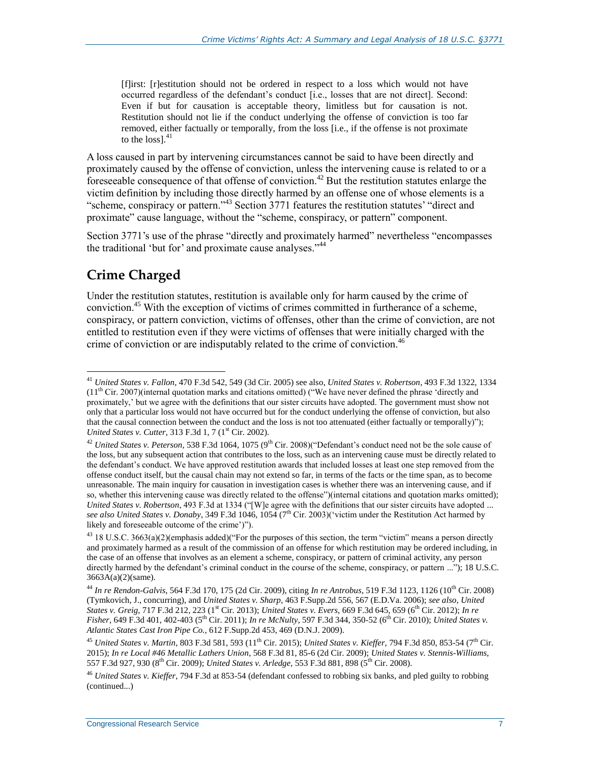[f]irst: [r]estitution should not be ordered in respect to a loss which would not have occurred regardless of the defendant's conduct [i.e., losses that are not direct]. Second: Even if but for causation is acceptable theory, limitless but for causation is not. Restitution should not lie if the conduct underlying the offense of conviction is too far removed, either factually or temporally, from the loss [i.e., if the offense is not proximate to the loss]. $41$ 

A loss caused in part by intervening circumstances cannot be said to have been directly and proximately caused by the offense of conviction, unless the intervening cause is related to or a foreseeable consequence of that offense of conviction.<sup>42</sup> But the restitution statutes enlarge the victim definition by including those directly harmed by an offense one of whose elements is a "scheme, conspiracy or pattern."<sup>43</sup> Section 3771 features the restitution statutes' "direct and proximate" cause language, without the "scheme, conspiracy, or pattern" component.

Section 3771's use of the phrase "directly and proximately harmed" nevertheless "encompasses the traditional 'but for' and proximate cause analyses."<sup>44</sup>

### **Crime Charged**

 $\overline{a}$ 

Under the restitution statutes, restitution is available only for harm caused by the crime of conviction.<sup>45</sup> With the exception of victims of crimes committed in furtherance of a scheme, conspiracy, or pattern conviction, victims of offenses, other than the crime of conviction, are not entitled to restitution even if they were victims of offenses that were initially charged with the crime of conviction or are indisputably related to the crime of conviction.<sup>46</sup>

<sup>41</sup> *United States v. Fallon*, 470 F.3d 542, 549 (3d Cir. 2005) see also, *United States v. Robertson*, 493 F.3d 1322, 1334  $(11<sup>th</sup>)$  Cir. 2007)(internal quotation marks and citations omitted) ("We have never defined the phrase 'directly and proximately,' but we agree with the definitions that our sister circuits have adopted. The government must show not only that a particular loss would not have occurred but for the conduct underlying the offense of conviction, but also that the causal connection between the conduct and the loss is not too attenuated (either factually or temporally)"); *United States v. Cutter*, 313 F.3d 1, 7 (1<sup>st</sup> Cir. 2002).

 $^{42}$  *United States v. Peterson,* 538 F.3d 1064, 1075 (9<sup>th</sup> Cir. 2008)("Defendant's conduct need not be the sole cause of the loss, but any subsequent action that contributes to the loss, such as an intervening cause must be directly related to the defendant's conduct. We have approved restitution awards that included losses at least one step removed from the offense conduct itself, but the causal chain may not extend so far, in terms of the facts or the time span, as to become unreasonable. The main inquiry for causation in investigation cases is whether there was an intervening cause, and if so, whether this intervening cause was directly related to the offense")(internal citations and quotation marks omitted); *United States v. Robertson*, 493 F.3d at 1334 ("[W]e agree with the definitions that our sister circuits have adopted ... *see also United States v. Donaby*, 349 F.3d 1046, 1054 (7th Cir. 2003)('victim under the Restitution Act harmed by likely and foreseeable outcome of the crime')").

<sup>&</sup>lt;sup>43</sup> 18 U.S.C. 3663(a)(2)(emphasis added)("For the purposes of this section, the term "victim" means a person directly and proximately harmed as a result of the commission of an offense for which restitution may be ordered including, in the case of an offense that involves as an element a scheme, conspiracy, or pattern of criminal activity, any person directly harmed by the defendant's criminal conduct in the course of the scheme, conspiracy, or pattern ..."); 18 U.S.C.  $3663A(a)(2)(same).$ 

<sup>44</sup> *In re Rendon-Galvis*, 564 F.3d 170, 175 (2d Cir. 2009), citing *In re Antrobus*, 519 F.3d 1123, 1126 (10th Cir. 2008) (Tymkovich, J., concurring), and *United States v. Sharp*, 463 F.Supp.2d 556, 567 (E.D.Va. 2006); *see also, United States v. Greig*, 717 F.3d 212, 223 (1st Cir. 2013); *United States v. Evers*, 669 F.3d 645, 659 (6th Cir. 2012); *In re Fisher*, 649 F.3d 401, 402-403 (5th Cir. 2011); *In re McNulty*, 597 F.3d 344, 350-52 (6th Cir. 2010); *United States v. Atlantic States Cast Iron Pipe Co.*, 612 F.Supp.2d 453, 469 (D.N.J. 2009).

<sup>45</sup> *United States v. Martin*, 803 F.3d 581, 593 (11th Cir. 2015); *United States v. Kieffer*, 794 F.3d 850, 853-54 (7th Cir. 2015); *In re Local #46 Metallic Lathers Union*, 568 F.3d 81, 85-6 (2d Cir. 2009); *United States v. Stennis-Williams*, 557 F.3d 927, 930 (8th Cir. 2009); *United States v. Arledge*, 553 F.3d 881, 898 (5th Cir. 2008).

<sup>46</sup> *United States v. Kieffer*, 794 F.3d at 853-54 (defendant confessed to robbing six banks, and pled guilty to robbing (continued...)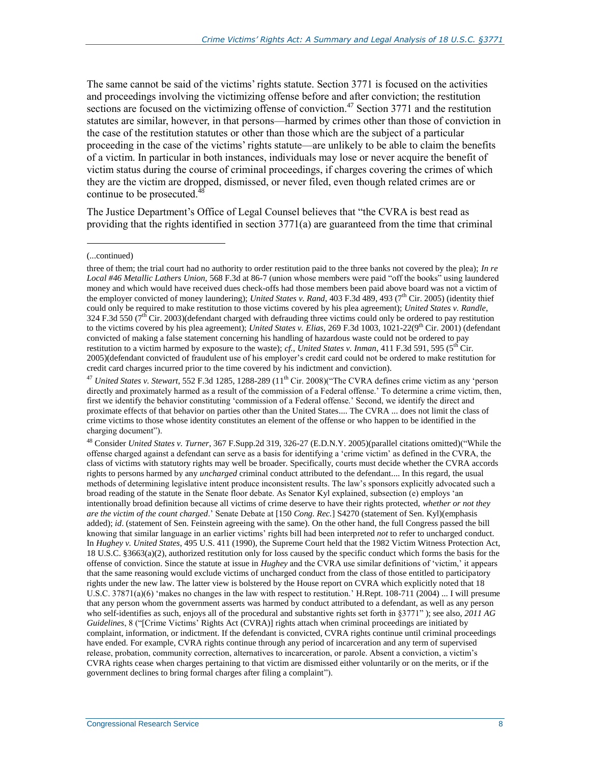The same cannot be said of the victims' rights statute. Section 3771 is focused on the activities and proceedings involving the victimizing offense before and after conviction; the restitution sections are focused on the victimizing offense of conviction.<sup>47</sup> Section 3771 and the restitution statutes are similar, however, in that persons—harmed by crimes other than those of conviction in the case of the restitution statutes or other than those which are the subject of a particular proceeding in the case of the victims' rights statute—are unlikely to be able to claim the benefits of a victim. In particular in both instances, individuals may lose or never acquire the benefit of victim status during the course of criminal proceedings, if charges covering the crimes of which they are the victim are dropped, dismissed, or never filed, even though related crimes are or continue to be prosecuted.<sup>4</sup>

The Justice Department's Office of Legal Counsel believes that "the CVRA is best read as providing that the rights identified in section 3771(a) are guaranteed from the time that criminal

 $\overline{a}$ 

<sup>47</sup> United States v. Stewart, 552 F.3d 1285, 1288-289 (11<sup>th</sup> Cir. 2008)("The CVRA defines crime victim as any 'person directly and proximately harmed as a result of the commission of a Federal offense.' To determine a crime victim, then, first we identify the behavior constituting 'commission of a Federal offense.' Second, we identify the direct and proximate effects of that behavior on parties other than the United States.... The CVRA ... does not limit the class of crime victims to those whose identity constitutes an element of the offense or who happen to be identified in the charging document").

<sup>48</sup> Consider *United States v. Turner*, 367 F.Supp.2d 319, 326-27 (E.D.N.Y. 2005)(parallel citations omitted)("While the offense charged against a defendant can serve as a basis for identifying a 'crime victim' as defined in the CVRA, the class of victims with statutory rights may well be broader. Specifically, courts must decide whether the CVRA accords rights to persons harmed by any *uncharged* criminal conduct attributed to the defendant.... In this regard, the usual methods of determining legislative intent produce inconsistent results. The law's sponsors explicitly advocated such a broad reading of the statute in the Senate floor debate. As Senator Kyl explained, subsection (e) employs 'an intentionally broad definition because all victims of crime deserve to have their rights protected, *whether or not they are the victim of the count charged*.' Senate Debate at [150 *Cong. Rec.*] S4270 (statement of Sen. Kyl)(emphasis added); *id*. (statement of Sen. Feinstein agreeing with the same). On the other hand, the full Congress passed the bill knowing that similar language in an earlier victims' rights bill had been interpreted *not* to refer to uncharged conduct. In *Hughey v. United States*, 495 U.S. 411 (1990), the Supreme Court held that the 1982 Victim Witness Protection Act, 18 U.S.C. §3663(a)(2), authorized restitution only for loss caused by the specific conduct which forms the basis for the offense of conviction. Since the statute at issue in *Hughey* and the CVRA use similar definitions of 'victim,' it appears that the same reasoning would exclude victims of uncharged conduct from the class of those entitled to participatory rights under the new law. The latter view is bolstered by the House report on CVRA which explicitly noted that 18 U.S.C. 37871(a)(6) 'makes no changes in the law with respect to restitution.' H.Rept. 108-711 (2004) ... I will presume that any person whom the government asserts was harmed by conduct attributed to a defendant, as well as any person who self-identifies as such, enjoys all of the procedural and substantive rights set forth in §3771" ); see also, *2011 AG Guidelines*, 8 ("[Crime Victims' Rights Act (CVRA)] rights attach when criminal proceedings are initiated by complaint, information, or indictment. If the defendant is convicted, CVRA rights continue until criminal proceedings have ended. For example, CVRA rights continue through any period of incarceration and any term of supervised release, probation, community correction, alternatives to incarceration, or parole. Absent a conviction, a victim's CVRA rights cease when charges pertaining to that victim are dismissed either voluntarily or on the merits, or if the government declines to bring formal charges after filing a complaint").

<sup>(...</sup>continued)

three of them; the trial court had no authority to order restitution paid to the three banks not covered by the plea); *In re Local #46 Metallic Lathers Union,* 568 F.3d at 86-7 (union whose members were paid "off the books" using laundered money and which would have received dues check-offs had those members been paid above board was not a victim of the employer convicted of money laundering); *United States v. Rand*, 403 F.3d 489, 493 ( $7<sup>th</sup>$  Cir. 2005) (identity thief could only be required to make restitution to those victims covered by his plea agreement); *United States v. Randle*, 324 F.3d 550 ( $7^{th}$  Cir. 2003)(defendant charged with defrauding three victims could only be ordered to pay restitution to the victims covered by his plea agreement); *United States v. Elias*, 269 F.3d 1003, 1021-22(9<sup>th</sup> Cir. 2001) (defendant convicted of making a false statement concerning his handling of hazardous waste could not be ordered to pay restitution to a victim harmed by exposure to the waste); *cf., United States v. Inman*, 411 F.3d 591, 595 (5<sup>th</sup> Cir. 2005)(defendant convicted of fraudulent use of his employer's credit card could not be ordered to make restitution for credit card charges incurred prior to the time covered by his indictment and conviction).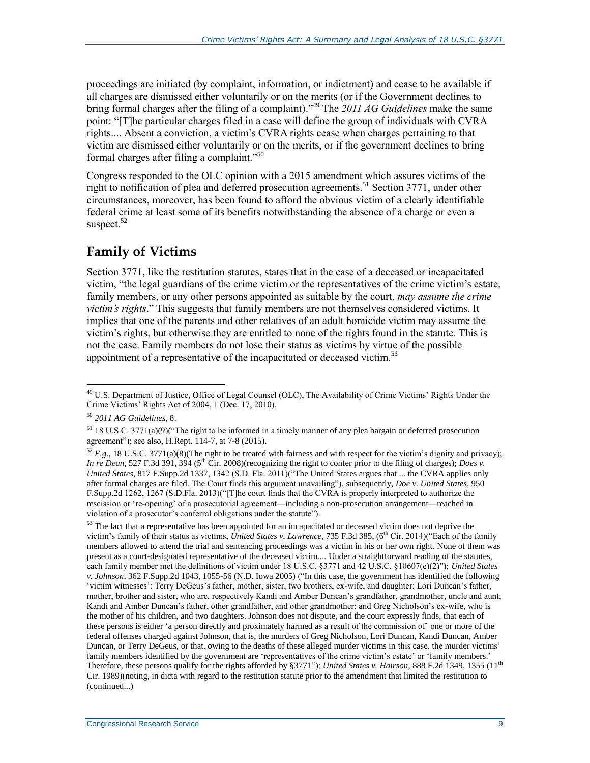proceedings are initiated (by complaint, information, or indictment) and cease to be available if all charges are dismissed either voluntarily or on the merits (or if the Government declines to bring formal charges after the filing of a complaint)."<sup>49</sup> The *2011 AG Guidelines* make the same point: "[T]he particular charges filed in a case will define the group of individuals with CVRA rights.... Absent a conviction, a victim's CVRA rights cease when charges pertaining to that victim are dismissed either voluntarily or on the merits, or if the government declines to bring formal charges after filing a complaint."<sup>50</sup>

Congress responded to the OLC opinion with a 2015 amendment which assures victims of the right to notification of plea and deferred prosecution agreements.<sup>51</sup> Section 3771, under other circumstances, moreover, has been found to afford the obvious victim of a clearly identifiable federal crime at least some of its benefits notwithstanding the absence of a charge or even a suspect. $52$ 

### **Family of Victims**

Section 3771, like the restitution statutes, states that in the case of a deceased or incapacitated victim, "the legal guardians of the crime victim or the representatives of the crime victim's estate, family members, or any other persons appointed as suitable by the court, *may assume the crime victim's rights*." This suggests that family members are not themselves considered victims. It implies that one of the parents and other relatives of an adult homicide victim may assume the victim's rights, but otherwise they are entitled to none of the rights found in the statute. This is not the case. Family members do not lose their status as victims by virtue of the possible appointment of a representative of the incapacitated or deceased victim.<sup>53</sup>

<sup>&</sup>lt;sup>49</sup> U.S. Department of Justice, Office of Legal Counsel (OLC), The Availability of Crime Victims' Rights Under the Crime Victims' Rights Act of 2004, 1 (Dec. 17, 2010).

<sup>50</sup> *2011 AG Guidelines*, 8.

<sup>51</sup> 18 U.S.C. 3771(a)(9)("The right to be informed in a timely manner of any plea bargain or deferred prosecution agreement"); see also, H.Rept. 114-7, at 7-8 (2015).

 $52$  *E.g.*, 18 U.S.C. 3771(a)(8)(The right to be treated with fairness and with respect for the victim's dignity and privacy); *In re Dean*, 527 F.3d 391, 394 (5th Cir. 2008)(recognizing the right to confer prior to the filing of charges); *Does v. United States*, 817 F.Supp.2d 1337, 1342 (S.D. Fla. 2011)("The United States argues that ... the CVRA applies only after formal charges are filed. The Court finds this argument unavailing"), subsequently, *Doe v. United States*, 950 F.Supp.2d 1262, 1267 (S.D.Fla. 2013)("[T]he court finds that the CVRA is properly interpreted to authorize the rescission or 're-opening' of a prosecutorial agreement—including a non-prosecution arrangement—reached in violation of a prosecutor's conferral obligations under the statute").

 $53$  The fact that a representative has been appointed for an incapacitated or deceased victim does not deprive the victim's family of their status as victims, *United States v. Lawrence*, 735 F.3d 385, (6<sup>th</sup> Cir. 2014)("Each of the family members allowed to attend the trial and sentencing proceedings was a victim in his or her own right. None of them was present as a court-designated representative of the deceased victim.... Under a straightforward reading of the statutes, each family member met the definitions of victim under 18 U.S.C. §3771 and 42 U.S.C. §10607(e)(2)"); *United States v. Johnson*, 362 F.Supp.2d 1043, 1055-56 (N.D. Iowa 2005) ("In this case, the government has identified the following 'victim witnesses': Terry DeGeus's father, mother, sister, two brothers, ex-wife, and daughter; Lori Duncan's father, mother, brother and sister, who are, respectively Kandi and Amber Duncan's grandfather, grandmother, uncle and aunt; Kandi and Amber Duncan's father, other grandfather, and other grandmother; and Greg Nicholson's ex-wife, who is the mother of his children, and two daughters. Johnson does not dispute, and the court expressly finds, that each of these persons is either 'a person directly and proximately harmed as a result of the commission of' one or more of the federal offenses charged against Johnson, that is, the murders of Greg Nicholson, Lori Duncan, Kandi Duncan, Amber Duncan, or Terry DeGeus, or that, owing to the deaths of these alleged murder victims in this case, the murder victims' family members identified by the government are 'representatives of the crime victim's estate' or 'family members.' Therefore, these persons qualify for the rights afforded by §3771"); *United States v. Hairson*, 888 F.2d 1349, 1355 (11<sup>th</sup> Cir. 1989)(noting, in dicta with regard to the restitution statute prior to the amendment that limited the restitution to (continued...)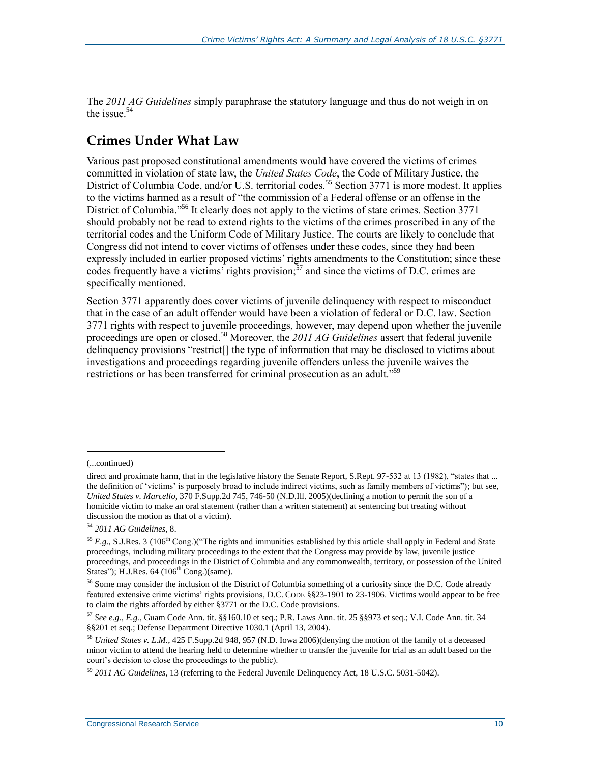The *2011 AG Guidelines* simply paraphrase the statutory language and thus do not weigh in on the issue  $54$ 

#### **Crimes Under What Law**

Various past proposed constitutional amendments would have covered the victims of crimes committed in violation of state law, the *United States Code*, the Code of Military Justice, the District of Columbia Code, and/or U.S. territorial codes.<sup>55</sup> Section 3771 is more modest. It applies to the victims harmed as a result of "the commission of a Federal offense or an offense in the District of Columbia."<sup>56</sup> It clearly does not apply to the victims of state crimes. Section 3771 should probably not be read to extend rights to the victims of the crimes proscribed in any of the territorial codes and the Uniform Code of Military Justice. The courts are likely to conclude that Congress did not intend to cover victims of offenses under these codes, since they had been expressly included in earlier proposed victims' rights amendments to the Constitution; since these codes frequently have a victims' rights provision;  $57$  and since the victims of D.C. crimes are specifically mentioned.

Section 3771 apparently does cover victims of juvenile delinquency with respect to misconduct that in the case of an adult offender would have been a violation of federal or D.C. law. Section 3771 rights with respect to juvenile proceedings, however, may depend upon whether the juvenile proceedings are open or closed.<sup>58</sup> Moreover, the *2011 AG Guidelines* assert that federal juvenile delinquency provisions "restrict[] the type of information that may be disclosed to victims about investigations and proceedings regarding juvenile offenders unless the juvenile waives the restrictions or has been transferred for criminal prosecution as an adult."<sup>59</sup>

<sup>(...</sup>continued)

direct and proximate harm, that in the legislative history the Senate Report, S.Rept. 97-532 at 13 (1982), "states that ... the definition of 'victims' is purposely broad to include indirect victims, such as family members of victims"); but see, *United States v. Marcello*, 370 F.Supp.2d 745, 746-50 (N.D.Ill. 2005)(declining a motion to permit the son of a homicide victim to make an oral statement (rather than a written statement) at sentencing but treating without discussion the motion as that of a victim).

<sup>54</sup> *2011 AG Guidelines*, 8.

<sup>&</sup>lt;sup>55</sup>  $E.g., S.J. Res.$  3 (106<sup>th</sup> Cong.)("The rights and immunities established by this article shall apply in Federal and State proceedings, including military proceedings to the extent that the Congress may provide by law, juvenile justice proceedings, and proceedings in the District of Columbia and any commonwealth, territory, or possession of the United States"); H.J.Res.  $64$  (106<sup>th</sup> Cong.)(same).

<sup>&</sup>lt;sup>56</sup> Some may consider the inclusion of the District of Columbia something of a curiosity since the D.C. Code already featured extensive crime victims' rights provisions, D.C. CODE §§23-1901 to 23-1906. Victims would appear to be free to claim the rights afforded by either §3771 or the D.C. Code provisions.

<sup>57</sup> *See e.g.*, *E.g.*, Guam Code Ann. tit. §§160.10 et seq.; P.R. Laws Ann. tit. 25 §§973 et seq.; V.I. Code Ann. tit. 34 §§201 et seq.; Defense Department Directive 1030.1 (April 13, 2004).

<sup>58</sup> *United States v. L.M.*, 425 F.Supp.2d 948, 957 (N.D. Iowa 2006)(denying the motion of the family of a deceased minor victim to attend the hearing held to determine whether to transfer the juvenile for trial as an adult based on the court's decision to close the proceedings to the public).

<sup>59</sup> *2011 AG Guidelines*, 13 (referring to the Federal Juvenile Delinquency Act, 18 U.S.C. 5031-5042).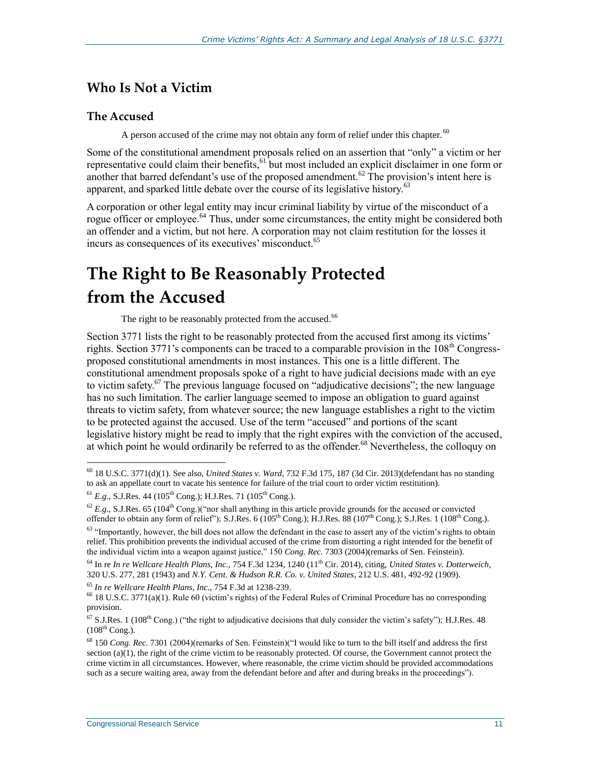#### **Who Is Not a Victim**

#### **The Accused**

 $\overline{a}$ 

A person accused of the crime may not obtain any form of relief under this chapter.<sup>60</sup>

Some of the constitutional amendment proposals relied on an assertion that "only" a victim or her representative could claim their benefits,<sup>61</sup> but most included an explicit disclaimer in one form or another that barred defendant's use of the proposed amendment.<sup>62</sup> The provision's intent here is apparent, and sparked little debate over the course of its legislative history.<sup>63</sup>

A corporation or other legal entity may incur criminal liability by virtue of the misconduct of a rogue officer or employee.<sup>64</sup> Thus, under some circumstances, the entity might be considered both an offender and a victim, but not here. A corporation may not claim restitution for the losses it incurs as consequences of its executives' misconduct.<sup>65</sup>

# **The Right to Be Reasonably Protected from the Accused**

The right to be reasonably protected from the accused.<sup>66</sup>

Section 3771 lists the right to be reasonably protected from the accused first among its victims' rights. Section 3771's components can be traced to a comparable provision in the  $108<sup>th</sup>$  Congressproposed constitutional amendments in most instances. This one is a little different. The constitutional amendment proposals spoke of a right to have judicial decisions made with an eye to victim safety.<sup>67</sup> The previous language focused on "adjudicative decisions"; the new language has no such limitation. The earlier language seemed to impose an obligation to guard against threats to victim safety, from whatever source; the new language establishes a right to the victim to be protected against the accused. Use of the term "accused" and portions of the scant legislative history might be read to imply that the right expires with the conviction of the accused, at which point he would ordinarily be referred to as the offender.<sup>68</sup> Nevertheless, the colloquy on

 $63$  "Importantly, however, the bill does not allow the defendant in the case to assert any of the victim's rights to obtain relief. This prohibition prevents the individual accused of the crime from distorting a right intended for the benefit of the individual victim into a weapon against justice," 150 *Cong. Rec.* 7303 (2004)(remarks of Sen. Feinstein).

<sup>64</sup> In re *In re Wellcare Health Plans, Inc.,* 754 F.3d 1234, 1240 (11th Cir. 2014), citing, *United States v. Dotterweich*, 320 U.S. 277, 281 (1943) and *N.Y. Cent. & Hudson R.R. Co. v. United States*, 212 U.S. 481, 492-92 (1909).

<sup>65</sup> *In re Wellcare Health Plans, Inc.,* 754 F.3d at 1238-239.

<sup>60</sup> 18 U.S.C. 3771(d)(1). See also, *United States v. Ward*, 732 F.3d 175, 187 (3d Cir. 2013)(defendant has no standing to ask an appellate court to vacate his sentence for failure of the trial court to order victim restitution).

 $^{61}$  *E.g.*, S.J.Res. 44 (105<sup>th</sup> Cong.); H.J.Res. 71 (105<sup>th</sup> Cong.).

 $^{62}$  *E.g.*, S.J.Res. 65 (104<sup>th</sup> Cong.)("nor shall anything in this article provide grounds for the accused or convicted offender to obtain any form of relief"); S.J.Res. 6 ( $105<sup>th</sup>$  Cong.); H.J.Res. 88 ( $107<sup>th</sup>$  Cong.); S.J.Res. 1 ( $108<sup>th</sup>$  Cong.).

<sup>&</sup>lt;sup>66</sup> 18 U.S.C. 3771(a)(1). Rule 60 (victim's rights) of the Federal Rules of Criminal Procedure has no corresponding provision.

 $67$  S.J.Res. 1 (108<sup>th</sup> Cong.) ("the right to adjudicative decisions that duly consider the victim's safety"); H.J.Res. 48  $(108<sup>th</sup> Cong.).$ 

<sup>68</sup> 150 *Cong. Rec.* 7301 (2004)(remarks of Sen. Feinstein)("I would like to turn to the bill itself and address the first section (a)(1), the right of the crime victim to be reasonably protected. Of course, the Government cannot protect the crime victim in all circumstances. However, where reasonable, the crime victim should be provided accommodations such as a secure waiting area, away from the defendant before and after and during breaks in the proceedings").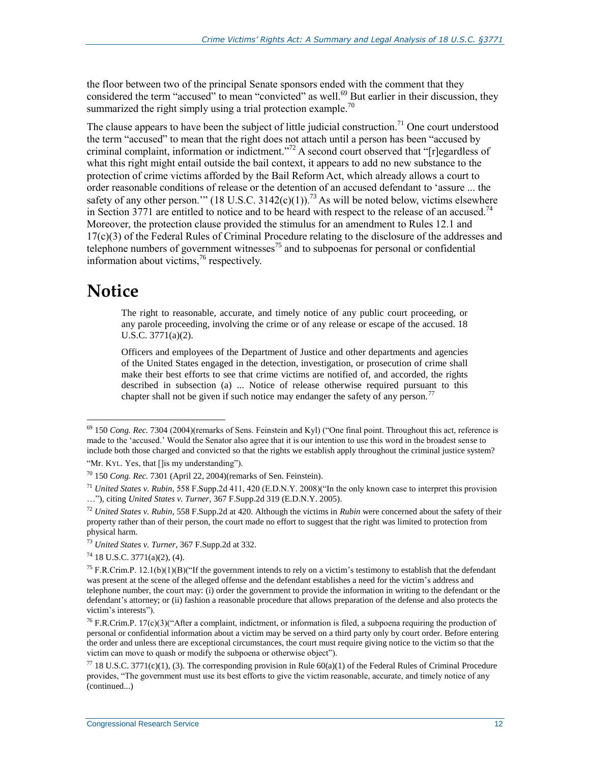the floor between two of the principal Senate sponsors ended with the comment that they considered the term "accused" to mean "convicted" as well.<sup>69</sup> But earlier in their discussion, they summarized the right simply using a trial protection example.<sup>70</sup>

The clause appears to have been the subject of little judicial construction.<sup>71</sup> One court understood the term "accused" to mean that the right does not attach until a person has been "accused by criminal complaint, information or indictment."<sup>72</sup> A second court observed that "[r]egardless of what this right might entail outside the bail context, it appears to add no new substance to the protection of crime victims afforded by the Bail Reform Act, which already allows a court to order reasonable conditions of release or the detention of an accused defendant to 'assure ... the safety of any other person." (18 U.S.C. 3142(c)(1)).<sup>73</sup> As will be noted below, victims elsewhere in Section 3771 are entitled to notice and to be heard with respect to the release of an accused.<sup>74</sup> Moreover, the protection clause provided the stimulus for an amendment to Rules 12.1 and 17(c)(3) of the Federal Rules of Criminal Procedure relating to the disclosure of the addresses and telephone numbers of government witnesses $<sup>75</sup>$  and to subpoenas for personal or confidential</sup> information about victims,  $\frac{76}{6}$  respectively.

### **Notice**

 $\overline{a}$ 

The right to reasonable, accurate, and timely notice of any public court proceeding, or any parole proceeding, involving the crime or of any release or escape of the accused. 18 U.S.C. 3771(a)(2).

Officers and employees of the Department of Justice and other departments and agencies of the United States engaged in the detection, investigation, or prosecution of crime shall make their best efforts to see that crime victims are notified of, and accorded, the rights described in subsection (a) ... Notice of release otherwise required pursuant to this chapter shall not be given if such notice may endanger the safety of any person.<sup>77</sup>

<sup>74</sup> 18 U.S.C. 3771(a)(2), (4).

<sup>69</sup> 150 *Cong. Rec.* 7304 (2004)(remarks of Sens. Feinstein and Kyl) ("One final point. Throughout this act, reference is made to the 'accused.' Would the Senator also agree that it is our intention to use this word in the broadest sense to include both those charged and convicted so that the rights we establish apply throughout the criminal justice system?

<sup>&</sup>quot;Mr. KYL. Yes, that []is my understanding").

<sup>70</sup> 150 *Cong. Rec.* 7301 (April 22, 2004)(remarks of Sen. Feinstein).

<sup>71</sup> *United States v. Rubin*, 558 F.Supp.2d 411, 420 (E.D.N.Y. 2008)("In the only known case to interpret this provision …"), citing *United States v. Turner*, 367 F.Supp.2d 319 (E.D.N.Y. 2005).

<sup>72</sup> *United States v. Rubin*, 558 F.Supp.2d at 420. Although the victims in *Rubin* were concerned about the safety of their property rather than of their person, the court made no effort to suggest that the right was limited to protection from physical harm.

<sup>73</sup> *United States v. Turner*, 367 F.Supp.2d at 332.

<sup>&</sup>lt;sup>75</sup> F.R.Crim.P. 12.1(b)(1)(B)("If the government intends to rely on a victim's testimony to establish that the defendant was present at the scene of the alleged offense and the defendant establishes a need for the victim's address and telephone number, the court may: (i) order the government to provide the information in writing to the defendant or the defendant's attorney; or (ii) fashion a reasonable procedure that allows preparation of the defense and also protects the victim's interests").

 $76$  F.R.Crim.P. 17(c)(3)("After a complaint, indictment, or information is filed, a subpoena requiring the production of personal or confidential information about a victim may be served on a third party only by court order. Before entering the order and unless there are exceptional circumstances, the court must require giving notice to the victim so that the victim can move to quash or modify the subpoena or otherwise object").

 $77$  18 U.S.C. 3771(c)(1), (3). The corresponding provision in Rule 60(a)(1) of the Federal Rules of Criminal Procedure provides, "The government must use its best efforts to give the victim reasonable, accurate, and timely notice of any (continued...)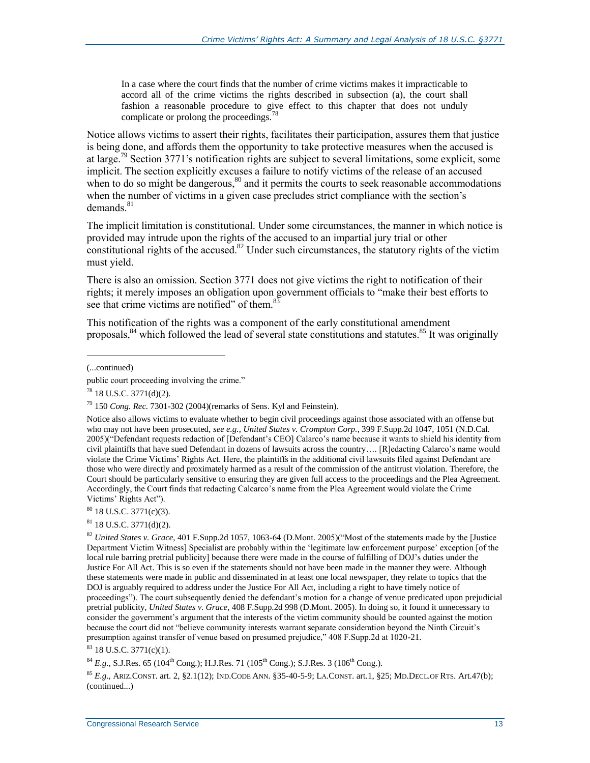In a case where the court finds that the number of crime victims makes it impracticable to accord all of the crime victims the rights described in subsection (a), the court shall fashion a reasonable procedure to give effect to this chapter that does not unduly complicate or prolong the proceedings.<sup>78</sup>

Notice allows victims to assert their rights, facilitates their participation, assures them that justice is being done, and affords them the opportunity to take protective measures when the accused is at large.<sup>79</sup> Section 3771's notification rights are subject to several limitations, some explicit, some implicit. The section explicitly excuses a failure to notify victims of the release of an accused when to do so might be dangerous,<sup>80</sup> and it permits the courts to seek reasonable accommodations when the number of victims in a given case precludes strict compliance with the section's  $d$ emands. $81$ 

The implicit limitation is constitutional. Under some circumstances, the manner in which notice is provided may intrude upon the rights of the accused to an impartial jury trial or other constitutional rights of the accused.<sup>82</sup> Under such circumstances, the statutory rights of the victim must yield.

There is also an omission. Section 3771 does not give victims the right to notification of their rights; it merely imposes an obligation upon government officials to "make their best efforts to see that crime victims are notified" of them.<sup>83</sup>

This notification of the rights was a component of the early constitutional amendment proposals,<sup>84</sup> which followed the lead of several state constitutions and statutes.<sup>85</sup> It was originally

l

<sup>82</sup> *United States v. Grace*, 401 F.Supp.2d 1057, 1063-64 (D.Mont. 2005)("Most of the statements made by the [Justice Department Victim Witness] Specialist are probably within the 'legitimate law enforcement purpose' exception [of the local rule barring pretrial publicity] because there were made in the course of fulfilling of DOJ's duties under the Justice For All Act. This is so even if the statements should not have been made in the manner they were. Although these statements were made in public and disseminated in at least one local newspaper, they relate to topics that the DOJ is arguably required to address under the Justice For All Act, including a right to have timely notice of proceedings"). The court subsequently denied the defendant's motion for a change of venue predicated upon prejudicial pretrial publicity, *United States v. Grace*, 408 F.Supp.2d 998 (D.Mont. 2005). In doing so, it found it unnecessary to consider the government's argument that the interests of the victim community should be counted against the motion because the court did not "believe community interests warrant separate consideration beyond the Ninth Circuit's presumption against transfer of venue based on presumed prejudice," 408 F.Supp.2d at 1020-21.

 $83$  18 U.S.C. 3771(c)(1).

<sup>84</sup> *E.g.*, S.J.Res. 65 (104<sup>th</sup> Cong.); H.J.Res. 71 (105<sup>th</sup> Cong.); S.J.Res. 3 (106<sup>th</sup> Cong.).

<sup>85</sup> *E.g.*, ARIZ.CONST. art. 2, §2.1(12); IND.CODE ANN. §35-40-5-9; LA.CONST. art.1, §25; MD.DECL.OF RTS. Art.47(b); (continued...)

<sup>(...</sup>continued)

public court proceeding involving the crime."

 $78$  18 U.S.C. 3771(d)(2).

<sup>79</sup> 150 *Cong. Rec.* 7301-302 (2004)(remarks of Sens. Kyl and Feinstein).

Notice also allows victims to evaluate whether to begin civil proceedings against those associated with an offense but who may not have been prosecuted, *see e.g.*, *United States v. Crompton Corp.*, 399 F.Supp.2d 1047, 1051 (N.D.Cal. 2005)("Defendant requests redaction of [Defendant's CEO] Calarco's name because it wants to shield his identity from civil plaintiffs that have sued Defendant in dozens of lawsuits across the country…. [R]edacting Calarco's name would violate the Crime Victims' Rights Act. Here, the plaintiffs in the additional civil lawsuits filed against Defendant are those who were directly and proximately harmed as a result of the commission of the antitrust violation. Therefore, the Court should be particularly sensitive to ensuring they are given full access to the proceedings and the Plea Agreement. Accordingly, the Court finds that redacting Calcarco's name from the Plea Agreement would violate the Crime Victims' Rights Act").

 $80$  18 U.S.C. 3771(c)(3).

 $81$  18 U.S.C. 3771(d)(2).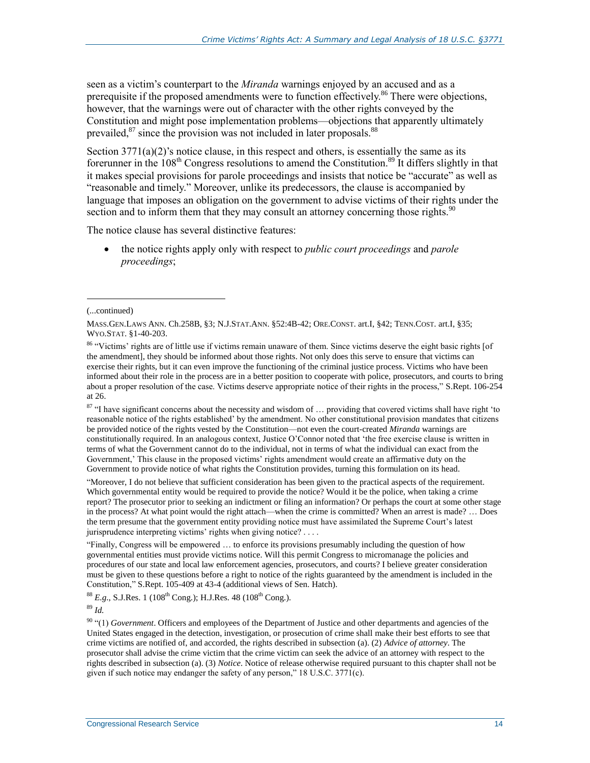seen as a victim's counterpart to the *Miranda* warnings enjoyed by an accused and as a prerequisite if the proposed amendments were to function effectively.<sup>86</sup> There were objections, however, that the warnings were out of character with the other rights conveyed by the Constitution and might pose implementation problems—objections that apparently ultimately prevailed, $87$  since the provision was not included in later proposals.  $88$ 

Section  $3771(a)(2)$ 's notice clause, in this respect and others, is essentially the same as its forerunner in the 108<sup>th</sup> Congress resolutions to amend the Constitution.<sup>89</sup> It differs slightly in that it makes special provisions for parole proceedings and insists that notice be "accurate" as well as "reasonable and timely." Moreover, unlike its predecessors, the clause is accompanied by language that imposes an obligation on the government to advise victims of their rights under the section and to inform them that they may consult an attorney concerning those rights.<sup>90</sup>

The notice clause has several distinctive features:

 the notice rights apply only with respect to *public court proceedings* and *parole proceedings*;

 $\overline{a}$ 

<sup>87</sup> "I have significant concerns about the necessity and wisdom of ... providing that covered victims shall have right 'to reasonable notice of the rights established' by the amendment. No other constitutional provision mandates that citizens be provided notice of the rights vested by the Constitution—not even the court-created *Miranda* warnings are constitutionally required. In an analogous context, Justice O'Connor noted that 'the free exercise clause is written in terms of what the Government cannot do to the individual, not in terms of what the individual can exact from the Government,' This clause in the proposed victims' rights amendment would create an affirmative duty on the Government to provide notice of what rights the Constitution provides, turning this formulation on its head.

"Moreover, I do not believe that sufficient consideration has been given to the practical aspects of the requirement. Which governmental entity would be required to provide the notice? Would it be the police, when taking a crime report? The prosecutor prior to seeking an indictment or filing an information? Or perhaps the court at some other stage in the process? At what point would the right attach—when the crime is committed? When an arrest is made? … Does the term presume that the government entity providing notice must have assimilated the Supreme Court's latest jurisprudence interpreting victims' rights when giving notice? . . . .

"Finally, Congress will be empowered … to enforce its provisions presumably including the question of how governmental entities must provide victims notice. Will this permit Congress to micromanage the policies and procedures of our state and local law enforcement agencies, prosecutors, and courts? I believe greater consideration must be given to these questions before a right to notice of the rights guaranteed by the amendment is included in the Constitution," S.Rept. 105-409 at 43-4 (additional views of Sen. Hatch).

 $88$  *E.g.*, S.J.Res. 1 (108<sup>th</sup> Cong.); H.J.Res. 48 (108<sup>th</sup> Cong.).

<sup>89</sup> *Id.*

<sup>90</sup> "(1) *Government*. Officers and employees of the Department of Justice and other departments and agencies of the United States engaged in the detection, investigation, or prosecution of crime shall make their best efforts to see that crime victims are notified of, and accorded, the rights described in subsection (a). (2) *Advice of attorney*. The prosecutor shall advise the crime victim that the crime victim can seek the advice of an attorney with respect to the rights described in subsection (a). (3) *Notice*. Notice of release otherwise required pursuant to this chapter shall not be given if such notice may endanger the safety of any person," 18 U.S.C. 3771(c).

<sup>(...</sup>continued)

MASS.GEN.LAWS ANN. Ch.258B, §3; N.J.STAT.ANN. §52:4B-42; ORE.CONST. art.I, §42; TENN.COST. art.I, §35; WYO.STAT. §1-40-203.

<sup>86 &</sup>quot;Victims' rights are of little use if victims remain unaware of them. Since victims deserve the eight basic rights [of the amendment], they should be informed about those rights. Not only does this serve to ensure that victims can exercise their rights, but it can even improve the functioning of the criminal justice process. Victims who have been informed about their role in the process are in a better position to cooperate with police, prosecutors, and courts to bring about a proper resolution of the case. Victims deserve appropriate notice of their rights in the process," S.Rept. 106-254 at 26.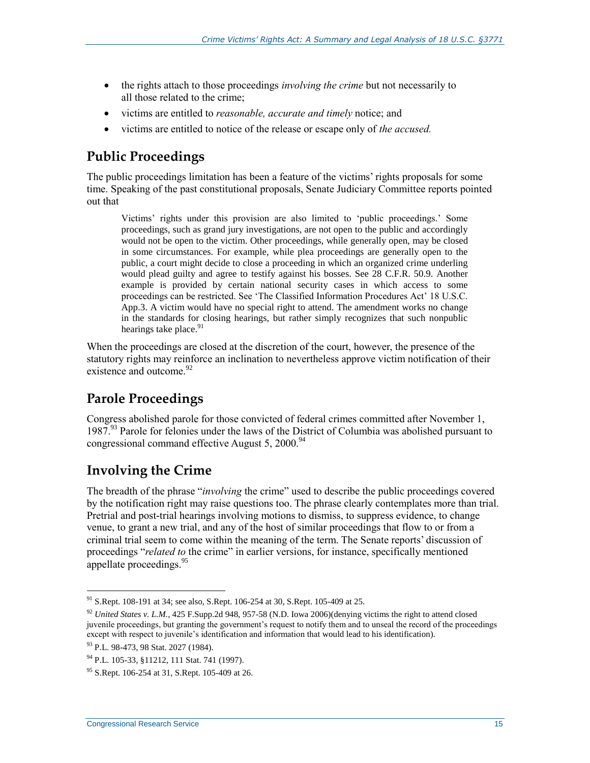- the rights attach to those proceedings *involving the crime* but not necessarily to all those related to the crime;
- victims are entitled to *reasonable, accurate and timely* notice; and
- victims are entitled to notice of the release or escape only of *the accused.*

### **Public Proceedings**

The public proceedings limitation has been a feature of the victims' rights proposals for some time. Speaking of the past constitutional proposals, Senate Judiciary Committee reports pointed out that

Victims' rights under this provision are also limited to 'public proceedings.' Some proceedings, such as grand jury investigations, are not open to the public and accordingly would not be open to the victim. Other proceedings, while generally open, may be closed in some circumstances. For example, while plea proceedings are generally open to the public, a court might decide to close a proceeding in which an organized crime underling would plead guilty and agree to testify against his bosses. See 28 C.F.R. 50.9. Another example is provided by certain national security cases in which access to some proceedings can be restricted. See 'The Classified Information Procedures Act' 18 U.S.C. App.3. A victim would have no special right to attend. The amendment works no change in the standards for closing hearings, but rather simply recognizes that such nonpublic hearings take place.<sup>91</sup>

When the proceedings are closed at the discretion of the court, however, the presence of the statutory rights may reinforce an inclination to nevertheless approve victim notification of their existence and outcome.<sup>92</sup>

### **Parole Proceedings**

Congress abolished parole for those convicted of federal crimes committed after November 1, 1987.<sup>93</sup> Parole for felonies under the laws of the District of Columbia was abolished pursuant to congressional command effective August 5,  $2000^{94}$ 

### **Involving the Crime**

The breadth of the phrase "*involving* the crime" used to describe the public proceedings covered by the notification right may raise questions too. The phrase clearly contemplates more than trial. Pretrial and post-trial hearings involving motions to dismiss, to suppress evidence, to change venue, to grant a new trial, and any of the host of similar proceedings that flow to or from a criminal trial seem to come within the meaning of the term. The Senate reports' discussion of proceedings "*related to* the crime" in earlier versions, for instance, specifically mentioned appellate proceedings.<sup>95</sup>

 $91$  S.Rept. 108-191 at 34; see also, S.Rept. 106-254 at 30, S.Rept. 105-409 at 25.

<sup>92</sup> *United States v. L.M.*, 425 F.Supp.2d 948, 957-58 (N.D. Iowa 2006)(denying victims the right to attend closed juvenile proceedings, but granting the government's request to notify them and to unseal the record of the proceedings except with respect to juvenile's identification and information that would lead to his identification).

<sup>93</sup> P.L. 98-473, 98 Stat. 2027 (1984).

<sup>94</sup> P.L. 105-33, §11212, 111 Stat. 741 (1997).

<sup>95</sup> S.Rept. 106-254 at 31, S.Rept. 105-409 at 26.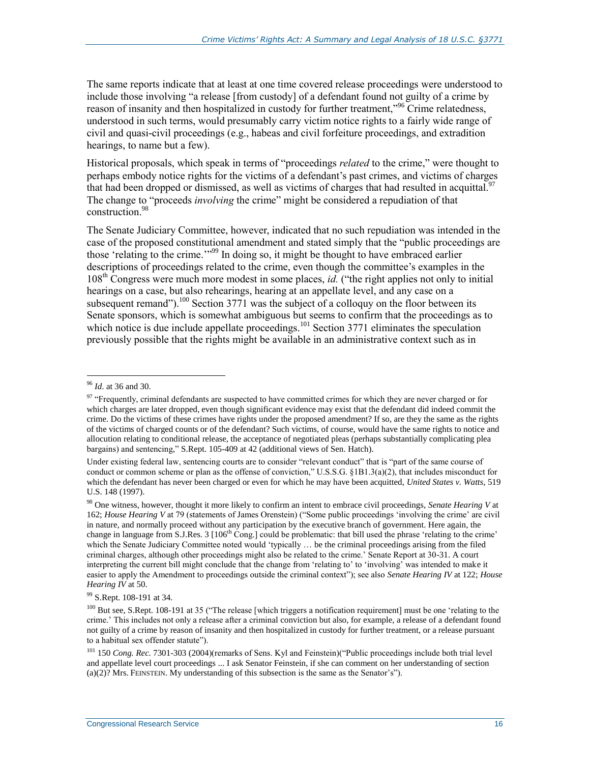The same reports indicate that at least at one time covered release proceedings were understood to include those involving "a release [from custody] of a defendant found not guilty of a crime by reason of insanity and then hospitalized in custody for further treatment,"<sup>96</sup> Crime relatedness, understood in such terms, would presumably carry victim notice rights to a fairly wide range of civil and quasi-civil proceedings (e.g., habeas and civil forfeiture proceedings, and extradition hearings, to name but a few).

Historical proposals, which speak in terms of "proceedings *related* to the crime," were thought to perhaps embody notice rights for the victims of a defendant's past crimes, and victims of charges that had been dropped or dismissed, as well as victims of charges that had resulted in acquittal.<sup>97</sup> The change to "proceeds *involving* the crime" might be considered a repudiation of that construction. 98

The Senate Judiciary Committee, however, indicated that no such repudiation was intended in the case of the proposed constitutional amendment and stated simply that the "public proceedings are those 'relating to the crime.'"<sup>99</sup> In doing so, it might be thought to have embraced earlier descriptions of proceedings related to the crime, even though the committee's examples in the 108th Congress were much more modest in some places, *id.* ("the right applies not only to initial hearings on a case, but also rehearings, hearing at an appellate level, and any case on a subsequent remand").<sup>100</sup> Section 3771 was the subject of a colloquy on the floor between its Senate sponsors, which is somewhat ambiguous but seems to confirm that the proceedings as to which notice is due include appellate proceedings.<sup>101</sup> Section 3771 eliminates the speculation previously possible that the rights might be available in an administrative context such as in

<sup>96</sup> *Id*. at 36 and 30.

<sup>97 &</sup>quot;Frequently, criminal defendants are suspected to have committed crimes for which they are never charged or for which charges are later dropped, even though significant evidence may exist that the defendant did indeed commit the crime. Do the victims of these crimes have rights under the proposed amendment? If so, are they the same as the rights of the victims of charged counts or of the defendant? Such victims, of course, would have the same rights to notice and allocution relating to conditional release, the acceptance of negotiated pleas (perhaps substantially complicating plea bargains) and sentencing," S.Rept. 105-409 at 42 (additional views of Sen. Hatch).

Under existing federal law, sentencing courts are to consider "relevant conduct" that is "part of the same course of conduct or common scheme or plan as the offense of conviction," U.S.S.G. §1B1.3(a)(2), that includes misconduct for which the defendant has never been charged or even for which he may have been acquitted, *United States v. Watts*, 519 U.S. 148 (1997).

<sup>98</sup> One witness, however, thought it more likely to confirm an intent to embrace civil proceedings, *Senate Hearing V* at 162; *House Hearing V* at 79 (statements of James Orenstein) ("Some public proceedings 'involving the crime' are civil in nature, and normally proceed without any participation by the executive branch of government. Here again, the change in language from S.J.Res.  $3$  [106<sup>th</sup> Cong.] could be problematic: that bill used the phrase 'relating to the crime' which the Senate Judiciary Committee noted would 'typically ... be the criminal proceedings arising from the filed criminal charges, although other proceedings might also be related to the crime.' Senate Report at 30-31. A court interpreting the current bill might conclude that the change from 'relating to' to 'involving' was intended to make it easier to apply the Amendment to proceedings outside the criminal context"); see also *Senate Hearing IV* at 122; *House Hearing IV* at 50.

<sup>99</sup> S.Rept. 108-191 at 34.

<sup>&</sup>lt;sup>100</sup> But see, S.Rept. 108-191 at 35 ("The release [which triggers a notification requirement] must be one 'relating to the crime.' This includes not only a release after a criminal conviction but also, for example, a release of a defendant found not guilty of a crime by reason of insanity and then hospitalized in custody for further treatment, or a release pursuant to a habitual sex offender statute").

<sup>101</sup> 150 *Cong. Rec.* 7301-303 (2004)(remarks of Sens. Kyl and Feinstein)("Public proceedings include both trial level and appellate level court proceedings ... I ask Senator Feinstein, if she can comment on her understanding of section  $(a)(2)$ ? Mrs. FEINSTEIN. My understanding of this subsection is the same as the Senator's").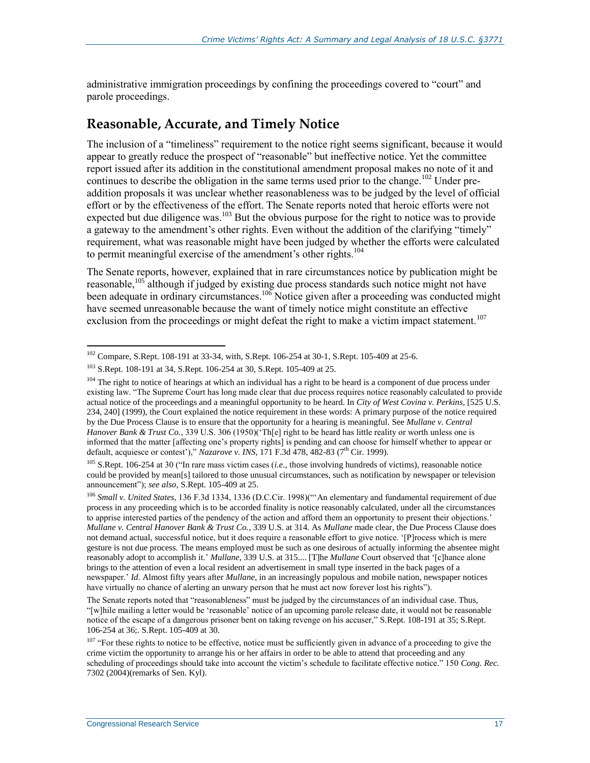administrative immigration proceedings by confining the proceedings covered to "court" and parole proceedings.

#### **Reasonable, Accurate, and Timely Notice**

The inclusion of a "timeliness" requirement to the notice right seems significant, because it would appear to greatly reduce the prospect of "reasonable" but ineffective notice. Yet the committee report issued after its addition in the constitutional amendment proposal makes no note of it and continues to describe the obligation in the same terms used prior to the change.<sup>102</sup> Under preaddition proposals it was unclear whether reasonableness was to be judged by the level of official effort or by the effectiveness of the effort. The Senate reports noted that heroic efforts were not expected but due diligence was.<sup>103</sup> But the obvious purpose for the right to notice was to provide a gateway to the amendment's other rights. Even without the addition of the clarifying "timely" requirement, what was reasonable might have been judged by whether the efforts were calculated to permit meaningful exercise of the amendment's other rights.<sup>104</sup>

The Senate reports, however, explained that in rare circumstances notice by publication might be reasonable,<sup>105</sup> although if judged by existing due process standards such notice might not have been adequate in ordinary circumstances.<sup>106</sup> Notice given after a proceeding was conducted might have seemed unreasonable because the want of timely notice might constitute an effective exclusion from the proceedings or might defeat the right to make a victim impact statement.<sup>107</sup>

<sup>105</sup> S.Rept. 106-254 at 30 ("In rare mass victim cases (*i.e*., those involving hundreds of victims), reasonable notice could be provided by mean[s] tailored to those unusual circumstances, such as notification by newspaper or television announcement"); *see also,* S.Rept. 105-409 at 25.

<sup>106</sup> *Small v. United States*, 136 F.3d 1334, 1336 (D.C.Cir. 1998)("'An elementary and fundamental requirement of due process in any proceeding which is to be accorded finality is notice reasonably calculated, under all the circumstances to apprise interested parties of the pendency of the action and afford them an opportunity to present their objections.' *Mullane v. Central Hanover Bank & Trust Co.*, 339 U.S. at 314. As *Mullane* made clear, the Due Process Clause does not demand actual, successful notice, but it does require a reasonable effort to give notice. '[P]rocess which is mere gesture is not due process. The means employed must be such as one desirous of actually informing the absentee might reasonably adopt to accomplish it.' *Mullane*, 339 U.S. at 315.... [T]he *Mullane* Court observed that '[c]hance alone brings to the attention of even a local resident an advertisement in small type inserted in the back pages of a newspaper.' *Id*. Almost fifty years after *Mullane*, in an increasingly populous and mobile nation, newspaper notices have virtually no chance of alerting an unwary person that he must act now forever lost his rights").

The Senate reports noted that "reasonableness" must be judged by the circumstances of an individual case. Thus, "[w]hile mailing a letter would be 'reasonable' notice of an upcoming parole release date, it would not be reasonable notice of the escape of a dangerous prisoner bent on taking revenge on his accuser," S.Rept. 108-191 at 35; S.Rept. 106-254 at 36;. S.Rept. 105-409 at 30.

 $\overline{a}$  $102$  Compare, S.Rept. 108-191 at 33-34, with, S.Rept. 106-254 at 30-1, S.Rept. 105-409 at 25-6.

<sup>103</sup> S.Rept. 108-191 at 34, S.Rept. 106-254 at 30, S.Rept. 105-409 at 25.

<sup>&</sup>lt;sup>104</sup> The right to notice of hearings at which an individual has a right to be heard is a component of due process under existing law. "The Supreme Court has long made clear that due process requires notice reasonably calculated to provide actual notice of the proceedings and a meaningful opportunity to be heard. In *City of West Covina v. Perkins*, [525 U.S. 234, 240] (1999), the Court explained the notice requirement in these words: A primary purpose of the notice required by the Due Process Clause is to ensure that the opportunity for a hearing is meaningful. See *Mullane v. Central Hanover Bank & Trust Co.*, 339 U.S. 306 (1950)('Th[e] right to be heard has little reality or worth unless one is informed that the matter [affecting one's property rights] is pending and can choose for himself whether to appear or default, acquiesce or contest')," *Nazarove v. INS*, 171 F.3d 478, 482-83 (7<sup>th</sup> Cir. 1999).

<sup>&</sup>lt;sup>107</sup> "For these rights to notice to be effective, notice must be sufficiently given in advance of a proceeding to give the crime victim the opportunity to arrange his or her affairs in order to be able to attend that proceeding and any scheduling of proceedings should take into account the victim's schedule to facilitate effective notice." 150 *Cong. Rec.* 7302 (2004)(remarks of Sen. Kyl).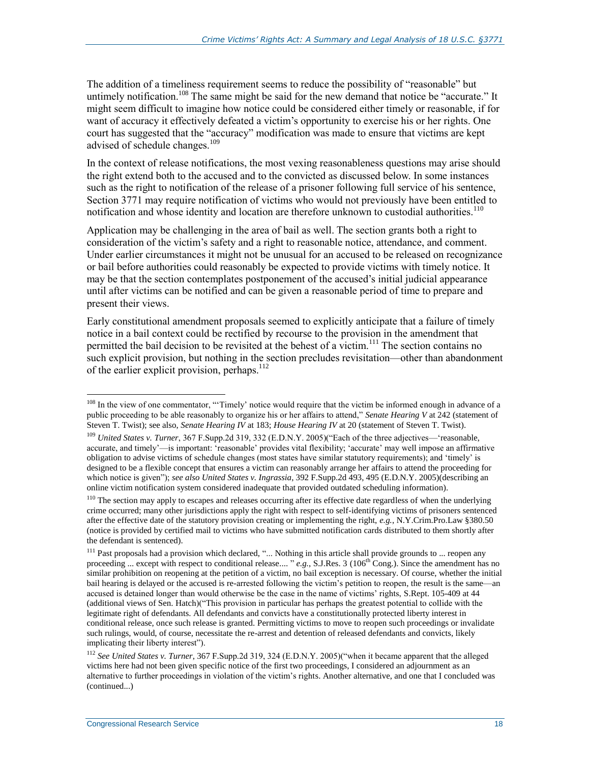The addition of a timeliness requirement seems to reduce the possibility of "reasonable" but untimely notification.<sup>108</sup> The same might be said for the new demand that notice be "accurate." It might seem difficult to imagine how notice could be considered either timely or reasonable, if for want of accuracy it effectively defeated a victim's opportunity to exercise his or her rights. One court has suggested that the "accuracy" modification was made to ensure that victims are kept advised of schedule changes.<sup>109</sup>

In the context of release notifications, the most vexing reasonableness questions may arise should the right extend both to the accused and to the convicted as discussed below. In some instances such as the right to notification of the release of a prisoner following full service of his sentence, Section 3771 may require notification of victims who would not previously have been entitled to notification and whose identity and location are therefore unknown to custodial authorities.<sup>110</sup>

Application may be challenging in the area of bail as well. The section grants both a right to consideration of the victim's safety and a right to reasonable notice, attendance, and comment. Under earlier circumstances it might not be unusual for an accused to be released on recognizance or bail before authorities could reasonably be expected to provide victims with timely notice. It may be that the section contemplates postponement of the accused's initial judicial appearance until after victims can be notified and can be given a reasonable period of time to prepare and present their views.

Early constitutional amendment proposals seemed to explicitly anticipate that a failure of timely notice in a bail context could be rectified by recourse to the provision in the amendment that permitted the bail decision to be revisited at the behest of a victim.<sup>111</sup> The section contains no such explicit provision, but nothing in the section precludes revisitation—other than abandonment of the earlier explicit provision, perhaps. $112$ 

<sup>&</sup>lt;sup>108</sup> In the view of one commentator, "Timely' notice would require that the victim be informed enough in advance of a public proceeding to be able reasonably to organize his or her affairs to attend," *Senate Hearing V* at 242 (statement of Steven T. Twist); see also, *Senate Hearing IV* at 183; *House Hearing IV* at 20 (statement of Steven T. Twist).

<sup>109</sup> *United States v. Turner*, 367 F.Supp.2d 319, 332 (E.D.N.Y. 2005)("Each of the three adjectives—'reasonable, accurate, and timely'—is important: 'reasonable' provides vital flexibility; 'accurate' may well impose an affirmative obligation to advise victims of schedule changes (most states have similar statutory requirements); and 'timely' is designed to be a flexible concept that ensures a victim can reasonably arrange her affairs to attend the proceeding for which notice is given"); *see also United States v. Ingrassia*, 392 F.Supp.2d 493, 495 (E.D.N.Y. 2005)(describing an online victim notification system considered inadequate that provided outdated scheduling information).

<sup>&</sup>lt;sup>110</sup> The section may apply to escapes and releases occurring after its effective date regardless of when the underlying crime occurred; many other jurisdictions apply the right with respect to self-identifying victims of prisoners sentenced after the effective date of the statutory provision creating or implementing the right, *e.g.*, N.Y.Crim.Pro.Law §380.50 (notice is provided by certified mail to victims who have submitted notification cards distributed to them shortly after the defendant is sentenced).

<sup>&</sup>lt;sup>111</sup> Past proposals had a provision which declared, "... Nothing in this article shall provide grounds to ... reopen any proceeding ... except with respect to conditional release.... " *e.g.*, S.J.Res. 3 (106<sup>th</sup> Cong.). Since the amendment has no similar prohibition on reopening at the petition of a victim, no bail exception is necessary. Of course, whether the initial bail hearing is delayed or the accused is re-arrested following the victim's petition to reopen, the result is the same—an accused is detained longer than would otherwise be the case in the name of victims' rights, S.Rept. 105-409 at 44 (additional views of Sen. Hatch)("This provision in particular has perhaps the greatest potential to collide with the legitimate right of defendants. All defendants and convicts have a constitutionally protected liberty interest in conditional release, once such release is granted. Permitting victims to move to reopen such proceedings or invalidate such rulings, would, of course, necessitate the re-arrest and detention of released defendants and convicts, likely implicating their liberty interest").

<sup>112</sup> *See United States v. Turner*, 367 F.Supp.2d 319, 324 (E.D.N.Y. 2005)("when it became apparent that the alleged victims here had not been given specific notice of the first two proceedings, I considered an adjournment as an alternative to further proceedings in violation of the victim's rights. Another alternative, and one that I concluded was (continued...)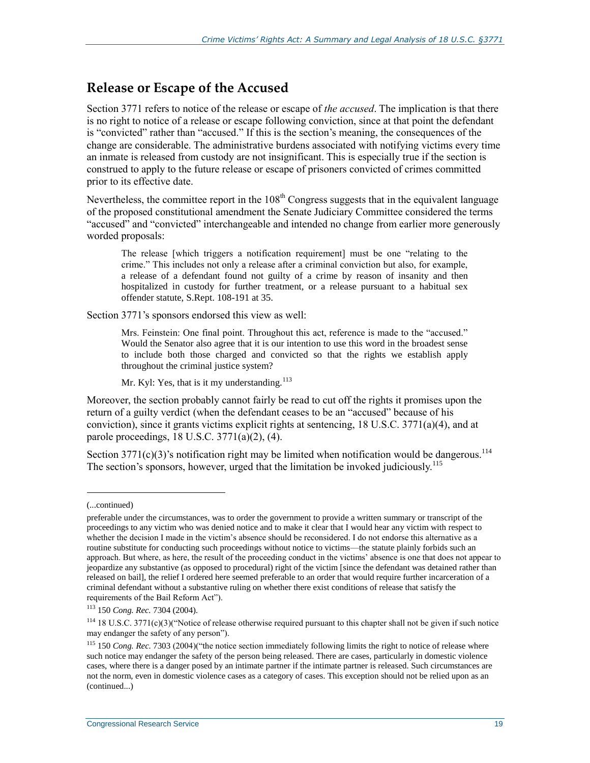#### **Release or Escape of the Accused**

Section 3771 refers to notice of the release or escape of *the accused*. The implication is that there is no right to notice of a release or escape following conviction, since at that point the defendant is "convicted" rather than "accused." If this is the section's meaning, the consequences of the change are considerable. The administrative burdens associated with notifying victims every time an inmate is released from custody are not insignificant. This is especially true if the section is construed to apply to the future release or escape of prisoners convicted of crimes committed prior to its effective date.

Nevertheless, the committee report in the  $108<sup>th</sup>$  Congress suggests that in the equivalent language of the proposed constitutional amendment the Senate Judiciary Committee considered the terms "accused" and "convicted" interchangeable and intended no change from earlier more generously worded proposals:

The release [which triggers a notification requirement] must be one "relating to the crime." This includes not only a release after a criminal conviction but also, for example, a release of a defendant found not guilty of a crime by reason of insanity and then hospitalized in custody for further treatment, or a release pursuant to a habitual sex offender statute, S.Rept. 108-191 at 35.

Section 3771's sponsors endorsed this view as well:

Mrs. Feinstein: One final point. Throughout this act, reference is made to the "accused." Would the Senator also agree that it is our intention to use this word in the broadest sense to include both those charged and convicted so that the rights we establish apply throughout the criminal justice system?

Mr. Kyl: Yes, that is it my understanding.<sup>113</sup>

Moreover, the section probably cannot fairly be read to cut off the rights it promises upon the return of a guilty verdict (when the defendant ceases to be an "accused" because of his conviction), since it grants victims explicit rights at sentencing, 18 U.S.C.  $3771(a)(4)$ , and at parole proceedings, 18 U.S.C. 3771(a)(2), (4).

Section 3771(c)(3)'s notification right may be limited when notification would be dangerous.<sup>114</sup> The section's sponsors, however, urged that the limitation be invoked judiciously.<sup>115</sup>

<sup>(...</sup>continued)

preferable under the circumstances, was to order the government to provide a written summary or transcript of the proceedings to any victim who was denied notice and to make it clear that I would hear any victim with respect to whether the decision I made in the victim's absence should be reconsidered. I do not endorse this alternative as a routine substitute for conducting such proceedings without notice to victims—the statute plainly forbids such an approach. But where, as here, the result of the proceeding conduct in the victims' absence is one that does not appear to jeopardize any substantive (as opposed to procedural) right of the victim [since the defendant was detained rather than released on bail], the relief I ordered here seemed preferable to an order that would require further incarceration of a criminal defendant without a substantive ruling on whether there exist conditions of release that satisfy the requirements of the Bail Reform Act").

<sup>113</sup> 150 *Cong. Rec.* 7304 (2004).

 $114$  18 U.S.C. 3771(c)(3)("Notice of release otherwise required pursuant to this chapter shall not be given if such notice may endanger the safety of any person").

<sup>115</sup> 150 *Cong. Rec.* 7303 (2004)("the notice section immediately following limits the right to notice of release where such notice may endanger the safety of the person being released. There are cases, particularly in domestic violence cases, where there is a danger posed by an intimate partner if the intimate partner is released. Such circumstances are not the norm, even in domestic violence cases as a category of cases. This exception should not be relied upon as an (continued...)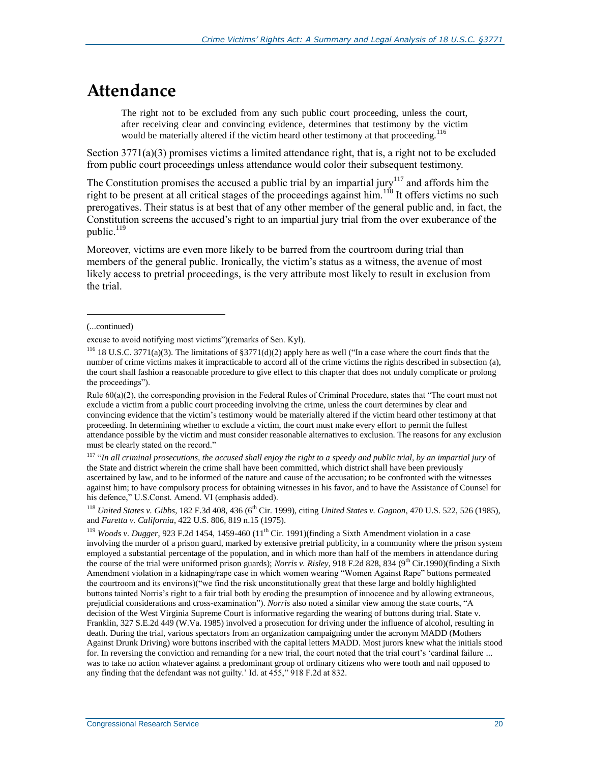### **Attendance**

The right not to be excluded from any such public court proceeding, unless the court, after receiving clear and convincing evidence, determines that testimony by the victim would be materially altered if the victim heard other testimony at that proceeding.<sup>116</sup>

Section 3771(a)(3) promises victims a limited attendance right, that is, a right not to be excluded from public court proceedings unless attendance would color their subsequent testimony.

The Constitution promises the accused a public trial by an impartial jury<sup>117</sup> and affords him the right to be present at all critical stages of the proceedings against him.<sup>118</sup> It offers victims no such prerogatives. Their status is at best that of any other member of the general public and, in fact, the Constitution screens the accused's right to an impartial jury trial from the over exuberance of the public. $119$ 

Moreover, victims are even more likely to be barred from the courtroom during trial than members of the general public. Ironically, the victim's status as a witness, the avenue of most likely access to pretrial proceedings, is the very attribute most likely to result in exclusion from the trial.

l

Rule 60(a)(2), the corresponding provision in the Federal Rules of Criminal Procedure, states that "The court must not exclude a victim from a public court proceeding involving the crime, unless the court determines by clear and convincing evidence that the victim's testimony would be materially altered if the victim heard other testimony at that proceeding. In determining whether to exclude a victim, the court must make every effort to permit the fullest attendance possible by the victim and must consider reasonable alternatives to exclusion. The reasons for any exclusion must be clearly stated on the record."

<sup>117</sup> "*In all criminal prosecutions, the accused shall enjoy the right to a speedy and public trial, by an impartial jury* of the State and district wherein the crime shall have been committed, which district shall have been previously ascertained by law, and to be informed of the nature and cause of the accusation; to be confronted with the witnesses against him; to have compulsory process for obtaining witnesses in his favor, and to have the Assistance of Counsel for his defence," U.S.Const. Amend. VI (emphasis added).

<sup>118</sup> *United States v. Gibbs*, 182 F.3d 408, 436 (6<sup>th</sup> Cir. 1999), citing *United States v. Gagnon*, 470 U.S. 522, 526 (1985), and *Faretta v. California*, 422 U.S. 806, 819 n.15 (1975).

<sup>119</sup> *Woods v. Dugger*, 923 F.2d 1454, 1459-460 (11<sup>th</sup> Cir. 1991)(finding a Sixth Amendment violation in a case involving the murder of a prison guard, marked by extensive pretrial publicity, in a community where the prison system employed a substantial percentage of the population, and in which more than half of the members in attendance during the course of the trial were uniformed prison guards); *Norris v. Risley*, 918 F.2d 828, 834 (9<sup>th</sup> Cir.1990)(finding a Sixth Amendment violation in a kidnaping/rape case in which women wearing "Women Against Rape" buttons permeated the courtroom and its environs)("we find the risk unconstitutionally great that these large and boldly highlighted buttons tainted Norris's right to a fair trial both by eroding the presumption of innocence and by allowing extraneous, prejudicial considerations and cross-examination"). *Norris* also noted a similar view among the state courts, "A decision of the West Virginia Supreme Court is informative regarding the wearing of buttons during trial. State v. Franklin, 327 S.E.2d 449 (W.Va. 1985) involved a prosecution for driving under the influence of alcohol, resulting in death. During the trial, various spectators from an organization campaigning under the acronym MADD (Mothers Against Drunk Driving) wore buttons inscribed with the capital letters MADD. Most jurors knew what the initials stood for. In reversing the conviction and remanding for a new trial, the court noted that the trial court's 'cardinal failure ... was to take no action whatever against a predominant group of ordinary citizens who were tooth and nail opposed to any finding that the defendant was not guilty.' Id. at 455," 918 F.2d at 832.

<sup>(...</sup>continued)

excuse to avoid notifying most victims")(remarks of Sen. Kyl).

<sup>116</sup> 18 U.S.C. 3771(a)(3). The limitations of §3771(d)(2) apply here as well ("In a case where the court finds that the number of crime victims makes it impracticable to accord all of the crime victims the rights described in subsection (a), the court shall fashion a reasonable procedure to give effect to this chapter that does not unduly complicate or prolong the proceedings").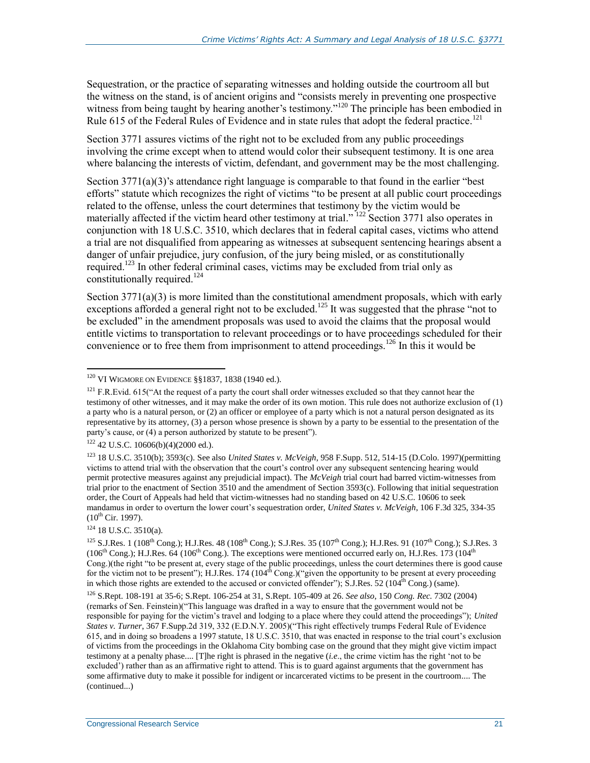Sequestration, or the practice of separating witnesses and holding outside the courtroom all but the witness on the stand, is of ancient origins and "consists merely in preventing one prospective witness from being taught by hearing another's testimony."<sup>120</sup> The principle has been embodied in Rule 615 of the Federal Rules of Evidence and in state rules that adopt the federal practice.<sup>121</sup>

Section 3771 assures victims of the right not to be excluded from any public proceedings involving the crime except when to attend would color their subsequent testimony. It is one area where balancing the interests of victim, defendant, and government may be the most challenging.

Section 3771(a)(3)'s attendance right language is comparable to that found in the earlier "best" efforts" statute which recognizes the right of victims "to be present at all public court proceedings related to the offense, unless the court determines that testimony by the victim would be materially affected if the victim heard other testimony at trial." <sup>122</sup> Section 3771 also operates in conjunction with 18 U.S.C. 3510, which declares that in federal capital cases, victims who attend a trial are not disqualified from appearing as witnesses at subsequent sentencing hearings absent a danger of unfair prejudice, jury confusion, of the jury being misled, or as constitutionally required.<sup>123</sup> In other federal criminal cases, victims may be excluded from trial only as constitutionally required.<sup>124</sup>

Section 3771(a)(3) is more limited than the constitutional amendment proposals, which with early exceptions afforded a general right not to be excluded.<sup>125</sup> It was suggested that the phrase "not to be excluded" in the amendment proposals was used to avoid the claims that the proposal would entitle victims to transportation to relevant proceedings or to have proceedings scheduled for their convenience or to free them from imprisonment to attend proceedings.<sup>126</sup> In this it would be

<sup>124</sup> 18 U.S.C. 3510(a).

<sup>120</sup> VI WIGMORE ON EVIDENCE §§1837, 1838 (1940 ed.).

<sup>&</sup>lt;sup>121</sup> F.R.Evid. 615("At the request of a party the court shall order witnesses excluded so that they cannot hear the testimony of other witnesses, and it may make the order of its own motion. This rule does not authorize exclusion of (1) a party who is a natural person, or (2) an officer or employee of a party which is not a natural person designated as its representative by its attorney, (3) a person whose presence is shown by a party to be essential to the presentation of the party's cause, or (4) a person authorized by statute to be present").

 $122$  42 U.S.C. 10606(b)(4)(2000 ed.).

<sup>123</sup> 18 U.S.C. 3510(b); 3593(c). See also *United States v. McVeigh*, 958 F.Supp. 512, 514-15 (D.Colo. 1997)(permitting victims to attend trial with the observation that the court's control over any subsequent sentencing hearing would permit protective measures against any prejudicial impact). The *McVeigh* trial court had barred victim-witnesses from trial prior to the enactment of Section 3510 and the amendment of Section 3593(c). Following that initial sequestration order, the Court of Appeals had held that victim-witnesses had no standing based on 42 U.S.C. 10606 to seek mandamus in order to overturn the lower court's sequestration order, *United States v. McVeigh*, 106 F.3d 325, 334-35  $(10^{th}$  Cir. 1997).

<sup>&</sup>lt;sup>125</sup> S.J.Res. 1 (108<sup>th</sup> Cong.); H.J.Res. 48 (108<sup>th</sup> Cong.); S.J.Res. 35 (107<sup>th</sup> Cong.); H.J.Res. 91 (107<sup>th</sup> Cong.); S.J.Res. 3  $(106<sup>th</sup> Cong.);$  H.J.Res.  $64$  ( $106<sup>th</sup> Cong.$ ). The exceptions were mentioned occurred early on, H.J.Res. 173 ( $104<sup>th</sup>$ Cong.)(the right "to be present at, every stage of the public proceedings, unless the court determines there is good cause for the victim not to be present"); H.J.Res. 174 (104<sup>th</sup> Cong.)("given the opportunity to be present at every proceeding in which those rights are extended to the accused or convicted offender");  $\hat{S}$  J.Res. 52 (104<sup>th</sup> Cong.) (same).

<sup>126</sup> S.Rept. 108-191 at 35-6; S.Rept. 106-254 at 31, S.Rept. 105-409 at 26. *See also*, 150 *Cong. Rec.* 7302 (2004) (remarks of Sen. Feinstein)("This language was drafted in a way to ensure that the government would not be responsible for paying for the victim's travel and lodging to a place where they could attend the proceedings"); *United States v. Turner*, 367 F.Supp.2d 319, 332 (E.D.N.Y. 2005)("This right effectively trumps Federal Rule of Evidence 615, and in doing so broadens a 1997 statute, 18 U.S.C. 3510, that was enacted in response to the trial court's exclusion of victims from the proceedings in the Oklahoma City bombing case on the ground that they might give victim impact testimony at a penalty phase.... [T]he right is phrased in the negative (*i.e*., the crime victim has the right 'not to be excluded') rather than as an affirmative right to attend. This is to guard against arguments that the government has some affirmative duty to make it possible for indigent or incarcerated victims to be present in the courtroom.... The (continued...)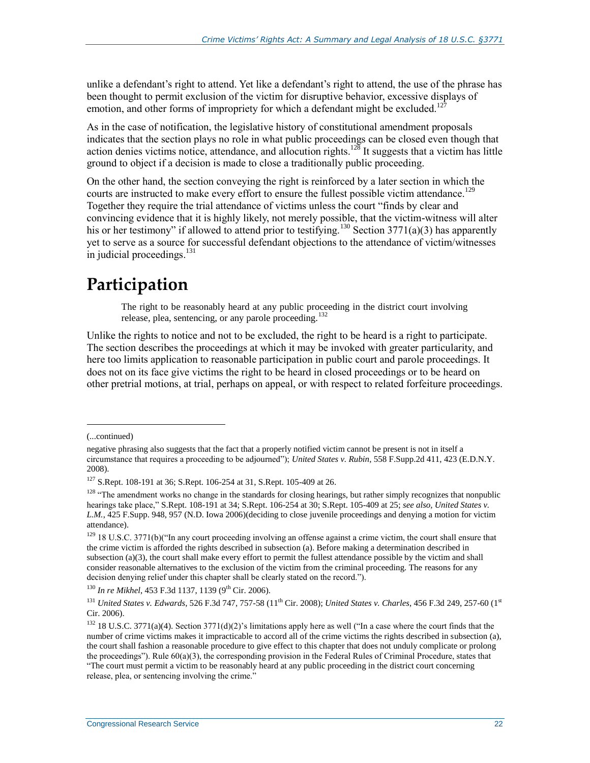unlike a defendant's right to attend. Yet like a defendant's right to attend, the use of the phrase has been thought to permit exclusion of the victim for disruptive behavior, excessive displays of emotion, and other forms of impropriety for which a defendant might be excluded.<sup>12</sup>

As in the case of notification, the legislative history of constitutional amendment proposals indicates that the section plays no role in what public proceedings can be closed even though that action denies victims notice, attendance, and allocution rights.<sup>128</sup> It suggests that a victim has little ground to object if a decision is made to close a traditionally public proceeding.

On the other hand, the section conveying the right is reinforced by a later section in which the courts are instructed to make every effort to ensure the fullest possible victim attendance.<sup>129</sup> Together they require the trial attendance of victims unless the court "finds by clear and convincing evidence that it is highly likely, not merely possible, that the victim-witness will alter his or her testimony" if allowed to attend prior to testifying.<sup>130</sup> Section 3771(a)(3) has apparently yet to serve as a source for successful defendant objections to the attendance of victim/witnesses in judicial proceedings. 131

# **Participation**

The right to be reasonably heard at any public proceeding in the district court involving release, plea, sentencing, or any parole proceeding.<sup>132</sup>

Unlike the rights to notice and not to be excluded, the right to be heard is a right to participate. The section describes the proceedings at which it may be invoked with greater particularity, and here too limits application to reasonable participation in public court and parole proceedings. It does not on its face give victims the right to be heard in closed proceedings or to be heard on other pretrial motions, at trial, perhaps on appeal, or with respect to related forfeiture proceedings.

l

<sup>(...</sup>continued)

negative phrasing also suggests that the fact that a properly notified victim cannot be present is not in itself a circumstance that requires a proceeding to be adjourned"); *United States v. Rubin*, 558 F.Supp.2d 411, 423 (E.D.N.Y. 2008).

<sup>127</sup> S.Rept. 108-191 at 36; S.Rept. 106-254 at 31, S.Rept. 105-409 at 26.

<sup>&</sup>lt;sup>128</sup> "The amendment works no change in the standards for closing hearings, but rather simply recognizes that nonpublic hearings take place," S.Rept. 108-191 at 34; S.Rept. 106-254 at 30; S.Rept. 105-409 at 25; *see also, United States v. L.M.*, 425 F.Supp. 948, 957 (N.D. Iowa 2006)(deciding to close juvenile proceedings and denying a motion for victim attendance).

<sup>&</sup>lt;sup>129</sup> 18 U.S.C. 3771(b)("In any court proceeding involving an offense against a crime victim, the court shall ensure that the crime victim is afforded the rights described in subsection (a). Before making a determination described in subsection (a)(3), the court shall make every effort to permit the fullest attendance possible by the victim and shall consider reasonable alternatives to the exclusion of the victim from the criminal proceeding. The reasons for any decision denying relief under this chapter shall be clearly stated on the record.").

<sup>&</sup>lt;sup>130</sup> In re Mikhel, 453 F.3d 1137, 1139 (9<sup>th</sup> Cir. 2006).

<sup>131</sup> *United States v. Edwards*, 526 F.3d 747, 757-58 (11<sup>th</sup> Cir. 2008); *United States v. Charles*, 456 F.3d 249, 257-60 (1st Cir. 2006).

 $132$  18 U.S.C. 3771(a)(4). Section 3771(d)(2)'s limitations apply here as well ("In a case where the court finds that the number of crime victims makes it impracticable to accord all of the crime victims the rights described in subsection (a), the court shall fashion a reasonable procedure to give effect to this chapter that does not unduly complicate or prolong the proceedings"). Rule  $60(a)(3)$ , the corresponding provision in the Federal Rules of Criminal Procedure, states that "The court must permit a victim to be reasonably heard at any public proceeding in the district court concerning release, plea, or sentencing involving the crime."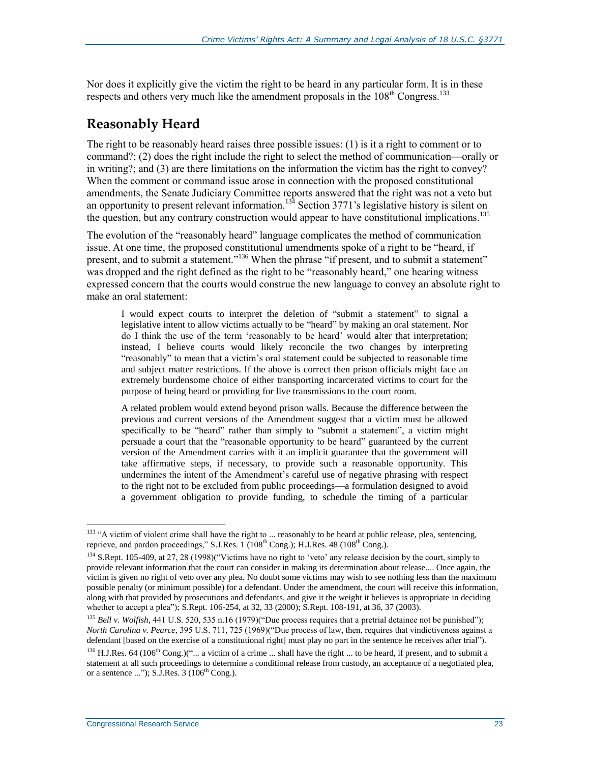Nor does it explicitly give the victim the right to be heard in any particular form. It is in these respects and others very much like the amendment proposals in the  $108<sup>th</sup>$  Congress.<sup>133</sup>

#### **Reasonably Heard**

The right to be reasonably heard raises three possible issues: (1) is it a right to comment or to command?; (2) does the right include the right to select the method of communication—orally or in writing?; and (3) are there limitations on the information the victim has the right to convey? When the comment or command issue arose in connection with the proposed constitutional amendments, the Senate Judiciary Committee reports answered that the right was not a veto but an opportunity to present relevant information.<sup>134</sup> Section 3771's legislative history is silent on the question, but any contrary construction would appear to have constitutional implications.<sup>135</sup>

The evolution of the "reasonably heard" language complicates the method of communication issue. At one time, the proposed constitutional amendments spoke of a right to be "heard, if present, and to submit a statement."<sup>136</sup> When the phrase "if present, and to submit a statement" was dropped and the right defined as the right to be "reasonably heard," one hearing witness expressed concern that the courts would construe the new language to convey an absolute right to make an oral statement:

I would expect courts to interpret the deletion of "submit a statement" to signal a legislative intent to allow victims actually to be "heard" by making an oral statement. Nor do I think the use of the term 'reasonably to be heard' would alter that interpretation; instead, I believe courts would likely reconcile the two changes by interpreting "reasonably" to mean that a victim's oral statement could be subjected to reasonable time and subject matter restrictions. If the above is correct then prison officials might face an extremely burdensome choice of either transporting incarcerated victims to court for the purpose of being heard or providing for live transmissions to the court room.

A related problem would extend beyond prison walls. Because the difference between the previous and current versions of the Amendment suggest that a victim must be allowed specifically to be "heard" rather than simply to "submit a statement", a victim might persuade a court that the "reasonable opportunity to be heard" guaranteed by the current version of the Amendment carries with it an implicit guarantee that the government will take affirmative steps, if necessary, to provide such a reasonable opportunity. This undermines the intent of the Amendment's careful use of negative phrasing with respect to the right not to be excluded from public proceedings—a formulation designed to avoid a government obligation to provide funding, to schedule the timing of a particular

<sup>&</sup>lt;sup>133</sup> "A victim of violent crime shall have the right to ... reasonably to be heard at public release, plea, sentencing, reprieve, and pardon proceedings," S.J.Res. 1 ( $108<sup>th</sup>$  Cong.); H.J.Res. 48 ( $108<sup>th</sup>$  Cong.).

<sup>&</sup>lt;sup>134</sup> S.Rept. 105-409, at 27, 28 (1998)("Victims have no right to 'veto' any release decision by the court, simply to provide relevant information that the court can consider in making its determination about release.... Once again, the victim is given no right of veto over any plea. No doubt some victims may wish to see nothing less than the maximum possible penalty (or minimum possible) for a defendant. Under the amendment, the court will receive this information, along with that provided by prosecutions and defendants, and give it the weight it believes is appropriate in deciding whether to accept a plea"); S.Rept. 106-254, at 32, 33 (2000); S.Rept. 108-191, at 36, 37 (2003).

<sup>&</sup>lt;sup>135</sup> *Bell v. Wolfish*, 441 U.S. 520, 535 n.16 (1979)("Due process requires that a pretrial detainee not be punished"); *North Carolina v. Pearce*, 395 U.S. 711, 725 (1969)("Due process of law, then, requires that vindictiveness against a defendant [based on the exercise of a constitutional right] must play no part in the sentence he receives after trial").

 $136$  H.J.Res. 64 (106<sup>th</sup> Cong.)("... a victim of a crime ... shall have the right ... to be heard, if present, and to submit a statement at all such proceedings to determine a conditional release from custody, an acceptance of a negotiated plea, or a sentence ...");  $S.J.Res. 3 (106<sup>th</sup> Cong.).$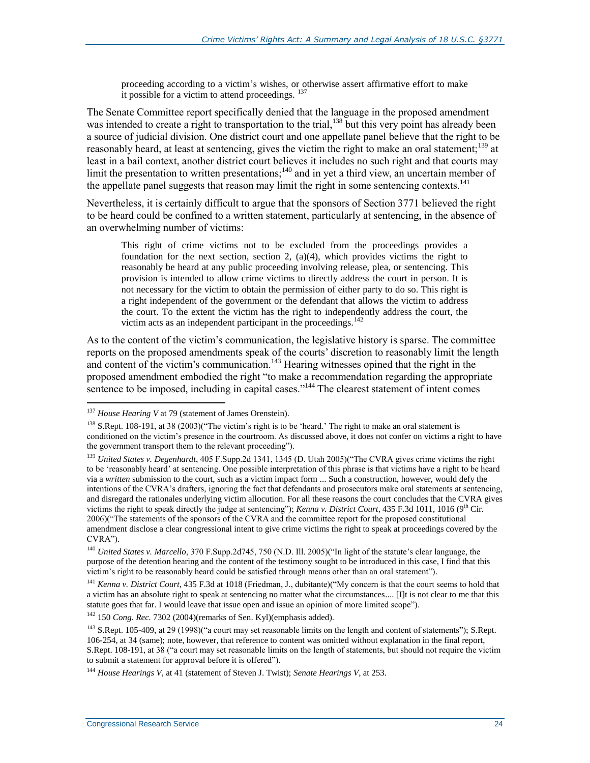proceeding according to a victim's wishes, or otherwise assert affirmative effort to make it possible for a victim to attend proceedings. <sup>137</sup>

The Senate Committee report specifically denied that the language in the proposed amendment was intended to create a right to transportation to the trial,<sup>138</sup> but this very point has already been a source of judicial division. One district court and one appellate panel believe that the right to be reasonably heard, at least at sentencing, gives the victim the right to make an oral statement;<sup>139</sup> at least in a bail context, another district court believes it includes no such right and that courts may limit the presentation to written presentations; $\frac{140}{40}$  and in yet a third view, an uncertain member of the appellate panel suggests that reason may limit the right in some sentencing contexts.<sup>141</sup>

Nevertheless, it is certainly difficult to argue that the sponsors of Section 3771 believed the right to be heard could be confined to a written statement, particularly at sentencing, in the absence of an overwhelming number of victims:

This right of crime victims not to be excluded from the proceedings provides a foundation for the next section, section 2,  $(a)(4)$ , which provides victims the right to reasonably be heard at any public proceeding involving release, plea, or sentencing. This provision is intended to allow crime victims to directly address the court in person. It is not necessary for the victim to obtain the permission of either party to do so. This right is a right independent of the government or the defendant that allows the victim to address the court. To the extent the victim has the right to independently address the court, the victim acts as an independent participant in the proceedings.<sup>142</sup>

As to the content of the victim's communication, the legislative history is sparse. The committee reports on the proposed amendments speak of the courts' discretion to reasonably limit the length and content of the victim's communication.<sup>143</sup> Hearing witnesses opined that the right in the proposed amendment embodied the right "to make a recommendation regarding the appropriate sentence to be imposed, including in capital cases."<sup>144</sup> The clearest statement of intent comes

 $\overline{a}$ 

<sup>141</sup> *Kenna v. District Court*, 435 F.3d at 1018 (Friedman, J., dubitante)("My concern is that the court seems to hold that a victim has an absolute right to speak at sentencing no matter what the circumstances.... [I]t is not clear to me that this statute goes that far. I would leave that issue open and issue an opinion of more limited scope").

<sup>142</sup> 150 *Cong. Rec.* 7302 (2004)(remarks of Sen. Kyl)(emphasis added).

<sup>&</sup>lt;sup>137</sup> *House Hearing V* at 79 (statement of James Orenstein).

<sup>&</sup>lt;sup>138</sup> S.Rept. 108-191, at 38 (2003)("The victim's right is to be 'heard.' The right to make an oral statement is conditioned on the victim's presence in the courtroom. As discussed above, it does not confer on victims a right to have the government transport them to the relevant proceeding").

<sup>139</sup> *United States v. Degenhardt*, 405 F.Supp.2d 1341, 1345 (D. Utah 2005)("The CVRA gives crime victims the right to be 'reasonably heard' at sentencing. One possible interpretation of this phrase is that victims have a right to be heard via a *written* submission to the court, such as a victim impact form ... Such a construction, however, would defy the intentions of the CVRA's drafters, ignoring the fact that defendants and prosecutors make oral statements at sentencing, and disregard the rationales underlying victim allocution. For all these reasons the court concludes that the CVRA gives victims the right to speak directly the judge at sentencing"); *Kenna v. District Court*, 435 F.3d 1011, 1016 (9<sup>th</sup> Cir. 2006)("The statements of the sponsors of the CVRA and the committee report for the proposed constitutional amendment disclose a clear congressional intent to give crime victims the right to speak at proceedings covered by the CVRA").

<sup>140</sup> *United States v. Marcello*, 370 F.Supp.2d745, 750 (N.D. Ill. 2005)("In light of the statute's clear language, the purpose of the detention hearing and the content of the testimony sought to be introduced in this case, I find that this victim's right to be reasonably heard could be satisfied through means other than an oral statement")*.*

<sup>&</sup>lt;sup>143</sup> S.Rept. 105-409, at 29 (1998)("a court may set reasonable limits on the length and content of statements"); S.Rept. 106-254, at 34 (same); note, however, that reference to content was omitted without explanation in the final report, S.Rept. 108-191, at 38 ("a court may set reasonable limits on the length of statements, but should not require the victim to submit a statement for approval before it is offered").

<sup>144</sup> *House Hearings V*, at 41 (statement of Steven J. Twist); *Senate Hearings V*, at 253.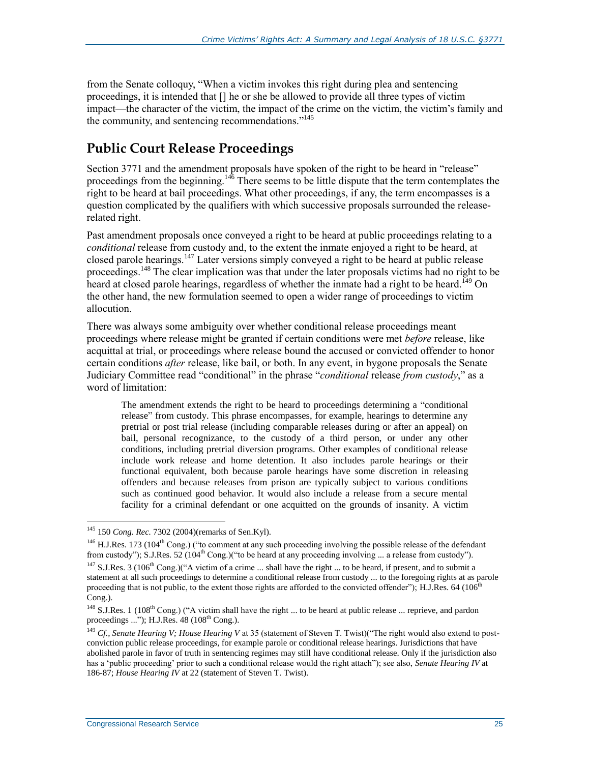from the Senate colloquy, "When a victim invokes this right during plea and sentencing proceedings, it is intended that [] he or she be allowed to provide all three types of victim impact—the character of the victim, the impact of the crime on the victim, the victim's family and the community, and sentencing recommendations."<sup>145</sup>

### **Public Court Release Proceedings**

Section 3771 and the amendment proposals have spoken of the right to be heard in "release" proceedings from the beginning.<sup>146</sup> There seems to be little dispute that the term contemplates the right to be heard at bail proceedings. What other proceedings, if any, the term encompasses is a question complicated by the qualifiers with which successive proposals surrounded the releaserelated right.

Past amendment proposals once conveyed a right to be heard at public proceedings relating to a *conditional* release from custody and, to the extent the inmate enjoyed a right to be heard, at closed parole hearings.<sup>147</sup> Later versions simply conveyed a right to be heard at public release proceedings.<sup>148</sup> The clear implication was that under the later proposals victims had no right to be heard at closed parole hearings, regardless of whether the inmate had a right to be heard.<sup> $149$ </sup> On the other hand, the new formulation seemed to open a wider range of proceedings to victim allocution.

There was always some ambiguity over whether conditional release proceedings meant proceedings where release might be granted if certain conditions were met *before* release, like acquittal at trial, or proceedings where release bound the accused or convicted offender to honor certain conditions *after* release, like bail, or both. In any event, in bygone proposals the Senate Judiciary Committee read "conditional" in the phrase "*conditional* release *from custody*," as a word of limitation:

The amendment extends the right to be heard to proceedings determining a "conditional release" from custody. This phrase encompasses, for example, hearings to determine any pretrial or post trial release (including comparable releases during or after an appeal) on bail, personal recognizance, to the custody of a third person, or under any other conditions, including pretrial diversion programs. Other examples of conditional release include work release and home detention. It also includes parole hearings or their functional equivalent, both because parole hearings have some discretion in releasing offenders and because releases from prison are typically subject to various conditions such as continued good behavior. It would also include a release from a secure mental facility for a criminal defendant or one acquitted on the grounds of insanity. A victim

<sup>145</sup> 150 *Cong. Rec.* 7302 (2004)(remarks of Sen.Kyl).

 $146$  H.J.Res. 173 (104<sup>th</sup> Cong.) ("to comment at any such proceeding involving the possible release of the defendant from custody"); S.J.Res. 52 (104<sup>th</sup> Cong.)("to be heard at any proceeding involving ... a release from custody").

<sup>&</sup>lt;sup>147</sup> S.J.Res. 3 (106<sup>th</sup> Cong.)("A victim of a crime ... shall have the right ... to be heard, if present, and to submit a statement at all such proceedings to determine a conditional release from custody ... to the foregoing rights at as parole proceeding that is not public, to the extent those rights are afforded to the convicted offender"); H.J.Res. 64 ( $106<sup>th</sup>$ Cong.).

<sup>&</sup>lt;sup>148</sup> S.J.Res. 1 (108<sup>th</sup> Cong.) ("A victim shall have the right ... to be heard at public release ... reprieve, and pardon proceedings ..."); H.J.Res.  $48$  (108<sup>th</sup> Cong.).

<sup>&</sup>lt;sup>149</sup> *Cf., Senate Hearing V; House Hearing V* at 35 (statement of Steven T. Twist)("The right would also extend to postconviction public release proceedings, for example parole or conditional release hearings. Jurisdictions that have abolished parole in favor of truth in sentencing regimes may still have conditional release. Only if the jurisdiction also has a 'public proceeding' prior to such a conditional release would the right attach"); see also, *Senate Hearing IV* at 186-87; *House Hearing IV* at 22 (statement of Steven T. Twist).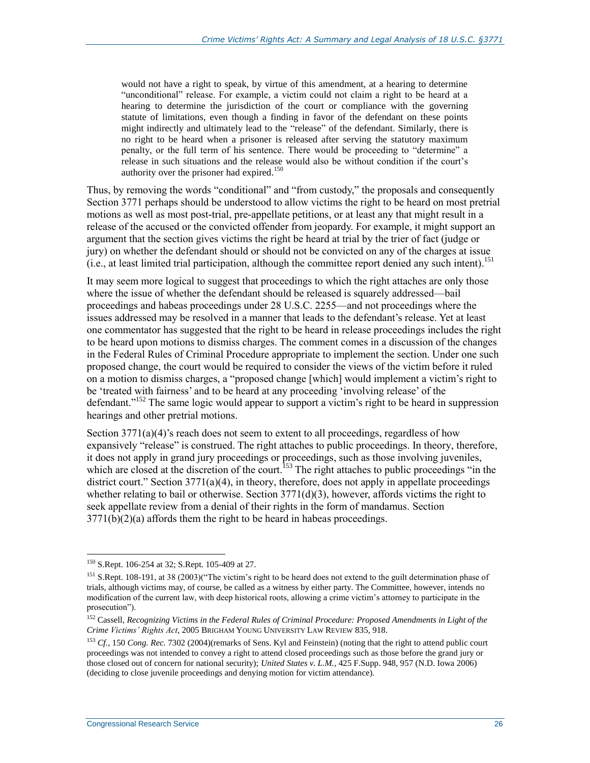would not have a right to speak, by virtue of this amendment, at a hearing to determine "unconditional" release. For example, a victim could not claim a right to be heard at a hearing to determine the jurisdiction of the court or compliance with the governing statute of limitations, even though a finding in favor of the defendant on these points might indirectly and ultimately lead to the "release" of the defendant. Similarly, there is no right to be heard when a prisoner is released after serving the statutory maximum penalty, or the full term of his sentence. There would be proceeding to "determine" a release in such situations and the release would also be without condition if the court's authority over the prisoner had expired.<sup>150</sup>

Thus, by removing the words "conditional" and "from custody," the proposals and consequently Section 3771 perhaps should be understood to allow victims the right to be heard on most pretrial motions as well as most post-trial, pre-appellate petitions, or at least any that might result in a release of the accused or the convicted offender from jeopardy. For example, it might support an argument that the section gives victims the right be heard at trial by the trier of fact (judge or jury) on whether the defendant should or should not be convicted on any of the charges at issue (i.e., at least limited trial participation, although the committee report denied any such intent). 151

It may seem more logical to suggest that proceedings to which the right attaches are only those where the issue of whether the defendant should be released is squarely addressed—bail proceedings and habeas proceedings under 28 U.S.C. 2255—and not proceedings where the issues addressed may be resolved in a manner that leads to the defendant's release. Yet at least one commentator has suggested that the right to be heard in release proceedings includes the right to be heard upon motions to dismiss charges. The comment comes in a discussion of the changes in the Federal Rules of Criminal Procedure appropriate to implement the section. Under one such proposed change, the court would be required to consider the views of the victim before it ruled on a motion to dismiss charges, a "proposed change [which] would implement a victim's right to be 'treated with fairness' and to be heard at any proceeding 'involving release' of the defendant."<sup>152</sup> The same logic would appear to support a victim's right to be heard in suppression hearings and other pretrial motions.

Section  $3771(a)(4)$ 's reach does not seem to extent to all proceedings, regardless of how expansively "release" is construed. The right attaches to public proceedings. In theory, therefore, it does not apply in grand jury proceedings or proceedings, such as those involving juveniles, which are closed at the discretion of the court.<sup>153</sup> The right attaches to public proceedings "in the district court." Section 3771(a)(4), in theory, therefore, does not apply in appellate proceedings whether relating to bail or otherwise. Section  $3771(d)(3)$ , however, affords victims the right to seek appellate review from a denial of their rights in the form of mandamus. Section 3771(b)(2)(a) affords them the right to be heard in habeas proceedings.

<sup>&</sup>lt;sup>150</sup> S.Rept. 106-254 at 32; S.Rept. 105-409 at 27.

<sup>&</sup>lt;sup>151</sup> S.Rept. 108-191, at 38 (2003)("The victim's right to be heard does not extend to the guilt determination phase of trials, although victims may, of course, be called as a witness by either party. The Committee, however, intends no modification of the current law, with deep historical roots, allowing a crime victim's attorney to participate in the prosecution").

<sup>152</sup> Cassell, *Recognizing Victims in the Federal Rules of Criminal Procedure: Proposed Amendments in Light of the Crime Victims' Rights Act*, 2005 BRIGHAM YOUNG UNIVERSITY LAW REVIEW 835, 918.

<sup>153</sup> *Cf.,* 150 *Cong. Rec.* 7302 (2004)(remarks of Sens. Kyl and Feinstein) (noting that the right to attend public court proceedings was not intended to convey a right to attend closed proceedings such as those before the grand jury or those closed out of concern for national security); *United States v. L.M.*, 425 F.Supp. 948, 957 (N.D. Iowa 2006) (deciding to close juvenile proceedings and denying motion for victim attendance).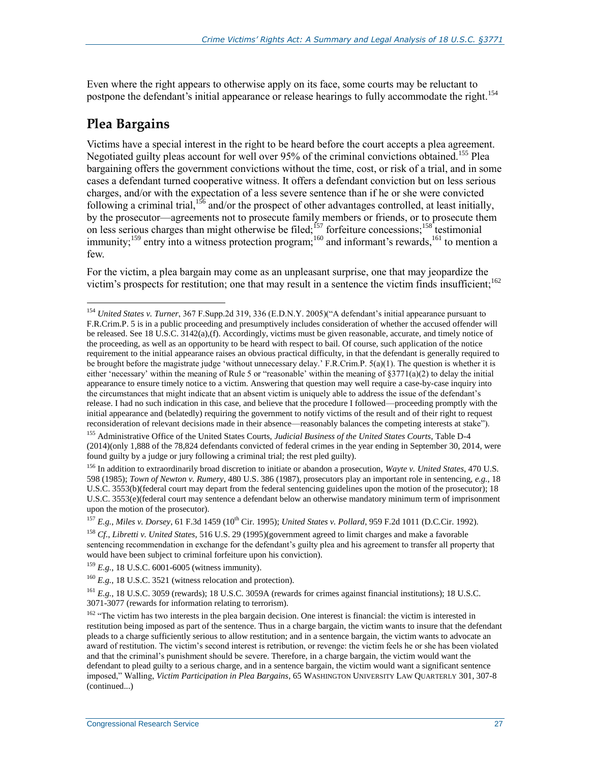Even where the right appears to otherwise apply on its face, some courts may be reluctant to postpone the defendant's initial appearance or release hearings to fully accommodate the right.<sup>154</sup>

#### **Plea Bargains**

 $\overline{a}$ 

Victims have a special interest in the right to be heard before the court accepts a plea agreement. Negotiated guilty pleas account for well over 95% of the criminal convictions obtained.<sup>155</sup> Plea bargaining offers the government convictions without the time, cost, or risk of a trial, and in some cases a defendant turned cooperative witness. It offers a defendant conviction but on less serious charges, and/or with the expectation of a less severe sentence than if he or she were convicted following a criminal trial,  $156$  and/or the prospect of other advantages controlled, at least initially, by the prosecutor—agreements not to prosecute family members or friends, or to prosecute them on less serious charges than might otherwise be filed;<sup>157</sup> forfeiture concessions;<sup>158</sup> testimonial immunity;<sup>159</sup> entry into a witness protection program;<sup>160</sup> and informant's rewards,<sup>161</sup> to mention a few.

For the victim, a plea bargain may come as an unpleasant surprise, one that may jeopardize the victim's prospects for restitution; one that may result in a sentence the victim finds insufficient; $^{162}$ 

<sup>155</sup> Administrative Office of the United States Courts, *Judicial Business of the United States Courts*, Table D-4 (2014)(only 1,888 of the 78,824 defendants convicted of federal crimes in the year ending in September 30, 2014, were found guilty by a judge or jury following a criminal trial; the rest pled guilty).

<sup>156</sup> In addition to extraordinarily broad discretion to initiate or abandon a prosecution, *Wayte v. United States*, 470 U.S. 598 (1985); *Town of Newton v. Rumery*, 480 U.S. 386 (1987), prosecutors play an important role in sentencing, *e.g.*, 18 U.S.C. 3553(b)(federal court may depart from the federal sentencing guidelines upon the motion of the prosecutor); 18 U.S.C. 3553(e)(federal court may sentence a defendant below an otherwise mandatory minimum term of imprisonment upon the motion of the prosecutor).

<sup>157</sup> E.g., Miles v. Dorsey, 61 F.3d 1459 (10<sup>th</sup> Cir. 1995); *United States v. Pollard*, 959 F.2d 1011 (D.C.Cir. 1992).

<sup>158</sup> *Cf*., *Libretti v. United States*, 516 U.S. 29 (1995)(government agreed to limit charges and make a favorable sentencing recommendation in exchange for the defendant's guilty plea and his agreement to transfer all property that would have been subject to criminal forfeiture upon his conviction).

<sup>159</sup> *E.g.*, 18 U.S.C. 6001-6005 (witness immunity).

<sup>154</sup> *United States v. Turner*, 367 F.Supp.2d 319, 336 (E.D.N.Y. 2005)("A defendant's initial appearance pursuant to F.R.Crim.P. 5 is in a public proceeding and presumptively includes consideration of whether the accused offender will be released. See 18 U.S.C. 3142(a),(f). Accordingly, victims must be given reasonable, accurate, and timely notice of the proceeding, as well as an opportunity to be heard with respect to bail. Of course, such application of the notice requirement to the initial appearance raises an obvious practical difficulty, in that the defendant is generally required to be brought before the magistrate judge 'without unnecessary delay.' F.R.Crim.P. 5(a)(1). The question is whether it is either 'necessary' within the meaning of Rule 5 or "reasonable' within the meaning of  $\S 3771(a)(2)$  to delay the initial appearance to ensure timely notice to a victim. Answering that question may well require a case-by-case inquiry into the circumstances that might indicate that an absent victim is uniquely able to address the issue of the defendant's release. I had no such indication in this case, and believe that the procedure I followed—proceeding promptly with the initial appearance and (belatedly) requiring the government to notify victims of the result and of their right to request reconsideration of relevant decisions made in their absence—reasonably balances the competing interests at stake").

<sup>&</sup>lt;sup>160</sup> *E.g.*, 18 U.S.C. 3521 (witness relocation and protection).

<sup>&</sup>lt;sup>161</sup> *E.g.*, 18 U.S.C. 3059 (rewards); 18 U.S.C. 3059A (rewards for crimes against financial institutions); 18 U.S.C. 3071-3077 (rewards for information relating to terrorism).

<sup>&</sup>lt;sup>162</sup> "The victim has two interests in the plea bargain decision. One interest is financial: the victim is interested in restitution being imposed as part of the sentence. Thus in a charge bargain, the victim wants to insure that the defendant pleads to a charge sufficiently serious to allow restitution; and in a sentence bargain, the victim wants to advocate an award of restitution. The victim's second interest is retribution, or revenge: the victim feels he or she has been violated and that the criminal's punishment should be severe. Therefore, in a charge bargain, the victim would want the defendant to plead guilty to a serious charge, and in a sentence bargain, the victim would want a significant sentence imposed," Walling, *Victim Participation in Plea Bargains*, 65 WASHINGTON UNIVERSITY LAW QUARTERLY 301, 307-8 (continued...)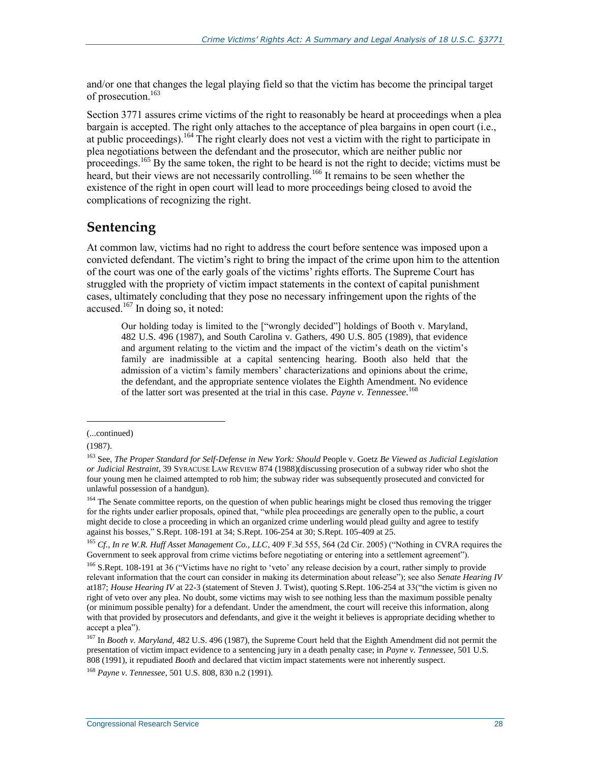and/or one that changes the legal playing field so that the victim has become the principal target of prosecution.<sup>163</sup>

Section 3771 assures crime victims of the right to reasonably be heard at proceedings when a plea bargain is accepted. The right only attaches to the acceptance of plea bargains in open court (i.e., at public proceedings).<sup>164</sup> The right clearly does not vest a victim with the right to participate in plea negotiations between the defendant and the prosecutor, which are neither public nor proceedings.<sup>165</sup> By the same token, the right to be heard is not the right to decide; victims must be heard, but their views are not necessarily controlling.<sup>166</sup> It remains to be seen whether the existence of the right in open court will lead to more proceedings being closed to avoid the complications of recognizing the right.

#### **Sentencing**

At common law, victims had no right to address the court before sentence was imposed upon a convicted defendant. The victim's right to bring the impact of the crime upon him to the attention of the court was one of the early goals of the victims' rights efforts. The Supreme Court has struggled with the propriety of victim impact statements in the context of capital punishment cases, ultimately concluding that they pose no necessary infringement upon the rights of the accused.<sup>167</sup> In doing so, it noted:

Our holding today is limited to the ["wrongly decided"] holdings of Booth v. Maryland, 482 U.S. 496 (1987), and South Carolina v. Gathers, 490 U.S. 805 (1989), that evidence and argument relating to the victim and the impact of the victim's death on the victim's family are inadmissible at a capital sentencing hearing. Booth also held that the admission of a victim's family members' characterizations and opinions about the crime, the defendant, and the appropriate sentence violates the Eighth Amendment. No evidence of the latter sort was presented at the trial in this case. *Payne v. Tennessee.* 168

l

<sup>168</sup> *Payne v. Tennessee*, 501 U.S. 808, 830 n.2 (1991).

<sup>(...</sup>continued)

<sup>(1987).</sup>

<sup>163</sup> See, *The Proper Standard for Self-Defense in New York: Should* People v. Goetz *Be Viewed as Judicial Legislation or Judicial Restraint*, 39 SYRACUSE LAW REVIEW 874 (1988)(discussing prosecution of a subway rider who shot the four young men he claimed attempted to rob him; the subway rider was subsequently prosecuted and convicted for unlawful possession of a handgun).

<sup>&</sup>lt;sup>164</sup> The Senate committee reports, on the question of when public hearings might be closed thus removing the trigger for the rights under earlier proposals, opined that, "while plea proceedings are generally open to the public, a court might decide to close a proceeding in which an organized crime underling would plead guilty and agree to testify against his bosses," S.Rept. 108-191 at 34; S.Rept. 106-254 at 30; S.Rept. 105-409 at 25.

<sup>&</sup>lt;sup>165</sup> Cf., In re W.R. Huff Asset Management Co., LLC, 409 F.3d 555, 564 (2d Cir. 2005) ("Nothing in CVRA requires the Government to seek approval from crime victims before negotiating or entering into a settlement agreement").

<sup>&</sup>lt;sup>166</sup> S.Rept. 108-191 at 36 ("Victims have no right to 'veto' any release decision by a court, rather simply to provide relevant information that the court can consider in making its determination about release"); see also *Senate Hearing IV* at187; *House Hearing IV* at 22-3 (statement of Steven J. Twist), quoting S.Rept. 106-254 at 33("the victim is given no right of veto over any plea. No doubt, some victims may wish to see nothing less than the maximum possible penalty (or minimum possible penalty) for a defendant. Under the amendment, the court will receive this information, along with that provided by prosecutors and defendants, and give it the weight it believes is appropriate deciding whether to accept a plea").

<sup>&</sup>lt;sup>167</sup> In *Booth v. Maryland*, 482 U.S. 496 (1987), the Supreme Court held that the Eighth Amendment did not permit the presentation of victim impact evidence to a sentencing jury in a death penalty case; in *Payne v. Tennessee*, 501 U.S. 808 (1991), it repudiated *Booth* and declared that victim impact statements were not inherently suspect.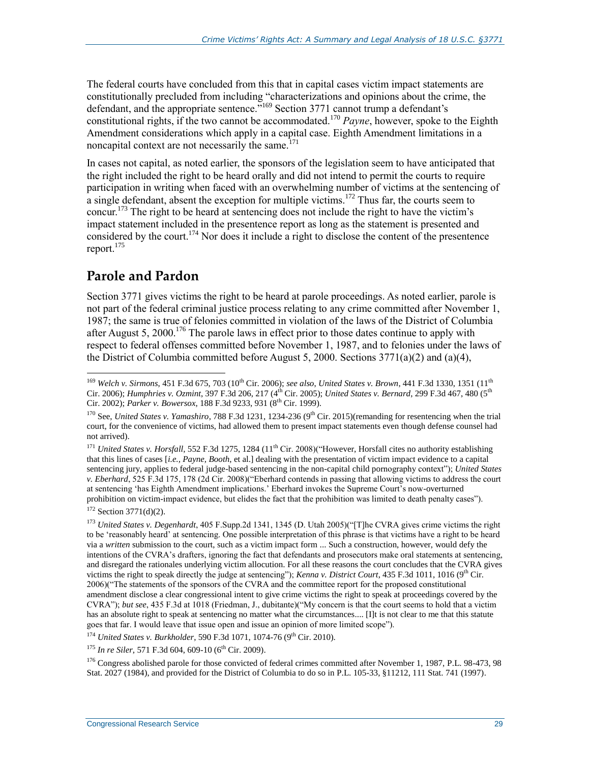The federal courts have concluded from this that in capital cases victim impact statements are constitutionally precluded from including "characterizations and opinions about the crime, the defendant, and the appropriate sentence.<sup>7169</sup> Section 3771 cannot trump a defendant's constitutional rights, if the two cannot be accommodated. <sup>170</sup> *Payne*, however, spoke to the Eighth Amendment considerations which apply in a capital case. Eighth Amendment limitations in a noncapital context are not necessarily the same. $171$ 

In cases not capital, as noted earlier, the sponsors of the legislation seem to have anticipated that the right included the right to be heard orally and did not intend to permit the courts to require participation in writing when faced with an overwhelming number of victims at the sentencing of a single defendant, absent the exception for multiple victims.<sup>172</sup> Thus far, the courts seem to concur.<sup>173</sup> The right to be heard at sentencing does not include the right to have the victim's impact statement included in the presentence report as long as the statement is presented and considered by the court.<sup>174</sup> Nor does it include a right to disclose the content of the presentence report. $175$ 

#### **Parole and Pardon**

Section 3771 gives victims the right to be heard at parole proceedings. As noted earlier, parole is not part of the federal criminal justice process relating to any crime committed after November 1, 1987; the same is true of felonies committed in violation of the laws of the District of Columbia after August 5, 2000.<sup>176</sup> The parole laws in effect prior to those dates continue to apply with respect to federal offenses committed before November 1, 1987, and to felonies under the laws of the District of Columbia committed before August 5, 2000. Sections  $3771(a)(2)$  and  $(a)(4)$ ,

 $\overline{a}$ 

<sup>174</sup> *United States v. Burkholder*, 590 F.3d 1071, 1074-76 (9<sup>th</sup> Cir. 2010).

<sup>175</sup> *In re Siler*, 571 F.3d 604, 609-10 (6<sup>th</sup> Cir. 2009).

<sup>176</sup> Congress abolished parole for those convicted of federal crimes committed after November 1, 1987, P.L. 98-473, 98 Stat. 2027 (1984), and provided for the District of Columbia to do so in P.L. 105-33, §11212, 111 Stat. 741 (1997).

<sup>&</sup>lt;sup>169</sup> *Welch v. Sirmons*, 451 F.3d 675, 703 (10<sup>th</sup> Cir. 2006); *see also, United States v. Brown*, 441 F.3d 1330, 1351 (11<sup>th</sup> Cir. 2006); *Humphries v. Ozmint*, 397 F.3d 206, 217 (4th Cir. 2005); *United States v. Bernard*, 299 F.3d 467, 480 (5th Cir. 2002); *Parker v. Bowersox*, 188 F.3d 9233, 931 (8th Cir. 1999).

<sup>&</sup>lt;sup>170</sup> See, *United States v. Yamashiro*, 788 F.3d 1231, 1234-236 (9<sup>th</sup> Cir. 2015)(remanding for resentencing when the trial court, for the convenience of victims, had allowed them to present impact statements even though defense counsel had not arrived).

<sup>&</sup>lt;sup>171</sup> *United States v. Horsfall*, 552 F.3d 1275, 1284 (11<sup>th</sup> Cir. 2008)("However, Horsfall cites no authority establishing that this lines of cases [*i.e., Payne, Booth*, et al.] dealing with the presentation of victim impact evidence to a capital sentencing jury, applies to federal judge-based sentencing in the non-capital child pornography context"); *United States v. Eberhard*, 525 F.3d 175, 178 (2d Cir. 2008)("Eberhard contends in passing that allowing victims to address the court at sentencing 'has Eighth Amendment implications.' Eberhard invokes the Supreme Court's now-overturned prohibition on victim-impact evidence, but elides the fact that the prohibition was limited to death penalty cases").  $172$  Section 3771(d)(2).

<sup>173</sup> *United States v. Degenhardt*, 405 F.Supp.2d 1341, 1345 (D. Utah 2005)("[T]he CVRA gives crime victims the right to be 'reasonably heard' at sentencing. One possible interpretation of this phrase is that victims have a right to be heard via a *written* submission to the court, such as a victim impact form ... Such a construction, however, would defy the intentions of the CVRA's drafters, ignoring the fact that defendants and prosecutors make oral statements at sentencing, and disregard the rationales underlying victim allocution. For all these reasons the court concludes that the CVRA gives victims the right to speak directly the judge at sentencing"); *Kenna v. District Court*, 435 F.3d 1011, 1016 (9<sup>th</sup> Cir. 2006)("The statements of the sponsors of the CVRA and the committee report for the proposed constitutional amendment disclose a clear congressional intent to give crime victims the right to speak at proceedings covered by the CVRA"); *but see*, 435 F.3d at 1018 (Friedman, J., dubitante)("My concern is that the court seems to hold that a victim has an absolute right to speak at sentencing no matter what the circumstances.... [I]t is not clear to me that this statute goes that far. I would leave that issue open and issue an opinion of more limited scope").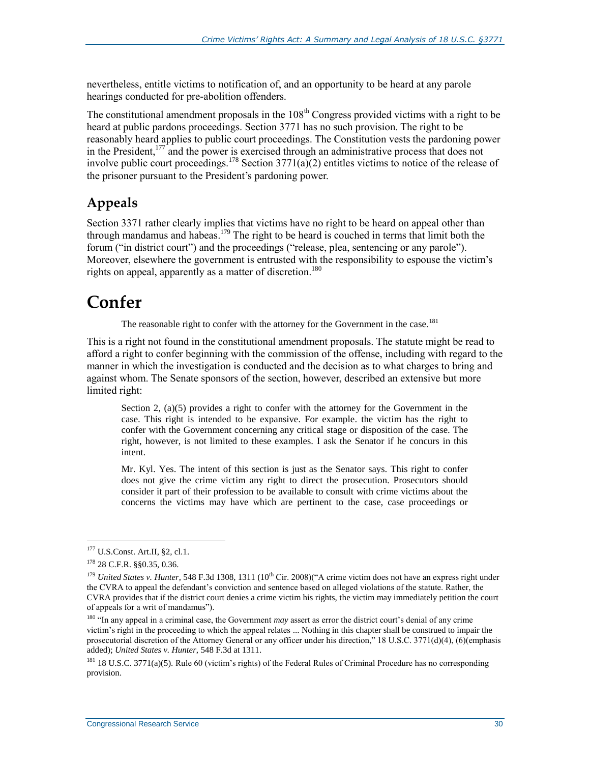nevertheless, entitle victims to notification of, and an opportunity to be heard at any parole hearings conducted for pre-abolition offenders.

The constitutional amendment proposals in the  $108<sup>th</sup>$  Congress provided victims with a right to be heard at public pardons proceedings. Section 3771 has no such provision. The right to be reasonably heard applies to public court proceedings. The Constitution vests the pardoning power in the President,<sup>177</sup> and the power is exercised through an administrative process that does not involve public court proceedings.<sup>178</sup> Section 3771(a)(2) entitles victims to notice of the release of the prisoner pursuant to the President's pardoning power.

### **Appeals**

Section 3371 rather clearly implies that victims have no right to be heard on appeal other than through mandamus and habeas. <sup>179</sup> The right to be heard is couched in terms that limit both the forum ("in district court") and the proceedings ("release, plea, sentencing or any parole"). Moreover, elsewhere the government is entrusted with the responsibility to espouse the victim's rights on appeal, apparently as a matter of discretion.<sup>180</sup>

# **Confer**

The reasonable right to confer with the attorney for the Government in the case.<sup>181</sup>

This is a right not found in the constitutional amendment proposals. The statute might be read to afford a right to confer beginning with the commission of the offense, including with regard to the manner in which the investigation is conducted and the decision as to what charges to bring and against whom. The Senate sponsors of the section, however, described an extensive but more limited right:

Section 2, (a)(5) provides a right to confer with the attorney for the Government in the case. This right is intended to be expansive. For example. the victim has the right to confer with the Government concerning any critical stage or disposition of the case. The right, however, is not limited to these examples. I ask the Senator if he concurs in this intent.

Mr. Kyl. Yes. The intent of this section is just as the Senator says. This right to confer does not give the crime victim any right to direct the prosecution. Prosecutors should consider it part of their profession to be available to consult with crime victims about the concerns the victims may have which are pertinent to the case, case proceedings or

<sup>&</sup>lt;sup>177</sup> U.S.Const. Art.II, §2, cl.1.

<sup>178</sup> 28 C.F.R. §§0.35, 0.36.

<sup>&</sup>lt;sup>179</sup> *United States v. Hunter*, 548 F.3d 1308, 1311 (10<sup>th</sup> Cir. 2008)("A crime victim does not have an express right under the CVRA to appeal the defendant's conviction and sentence based on alleged violations of the statute. Rather, the CVRA provides that if the district court denies a crime victim his rights, the victim may immediately petition the court of appeals for a writ of mandamus").

<sup>&</sup>lt;sup>180</sup> "In any appeal in a criminal case, the Government *may* assert as error the district court's denial of any crime victim's right in the proceeding to which the appeal relates ... Nothing in this chapter shall be construed to impair the prosecutorial discretion of the Attorney General or any officer under his direction," 18 U.S.C. 3771(d)(4), (6)(emphasis added); *United States v. Hunter*, 548 F.3d at 1311.

<sup>&</sup>lt;sup>181</sup> 18 U.S.C. 3771(a)(5). Rule 60 (victim's rights) of the Federal Rules of Criminal Procedure has no corresponding provision.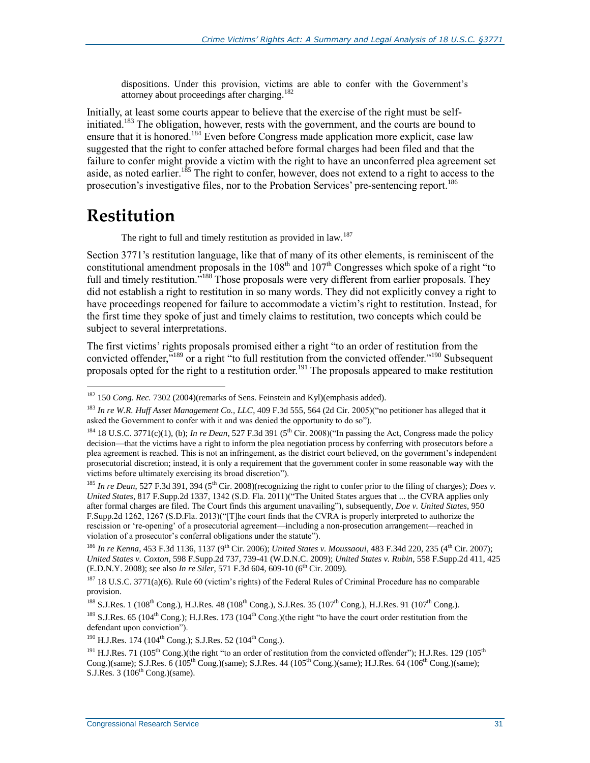dispositions. Under this provision, victims are able to confer with the Government's attorney about proceedings after charging. 182

Initially, at least some courts appear to believe that the exercise of the right must be selfinitiated.<sup>183</sup> The obligation, however, rests with the government, and the courts are bound to ensure that it is honored.<sup>184</sup> Even before Congress made application more explicit, case law suggested that the right to confer attached before formal charges had been filed and that the failure to confer might provide a victim with the right to have an unconferred plea agreement set aside, as noted earlier.<sup>185</sup> The right to confer, however, does not extend to a right to access to the prosecution's investigative files, nor to the Probation Services' pre-sentencing report.<sup>186</sup>

### **Restitution**

 $\overline{a}$ 

The right to full and timely restitution as provided in  $law$ .<sup>187</sup>

Section 3771's restitution language, like that of many of its other elements, is reminiscent of the constitutional amendment proposals in the 108<sup>th</sup> and 107<sup>th</sup> Congresses which spoke of a right "to full and timely restitution.<sup>5188</sup> Those proposals were very different from earlier proposals. They did not establish a right to restitution in so many words. They did not explicitly convey a right to have proceedings reopened for failure to accommodate a victim's right to restitution. Instead, for the first time they spoke of just and timely claims to restitution, two concepts which could be subject to several interpretations.

The first victims' rights proposals promised either a right "to an order of restitution from the convicted offender,<sup>"189</sup> or a right "to full restitution from the convicted offender."<sup>190</sup> Subsequent proposals opted for the right to a restitution order.<sup>191</sup> The proposals appeared to make restitution

 $190$  H.J.Res. 174 (104<sup>th</sup> Cong.); S.J.Res. 52 (104<sup>th</sup> Cong.).

<sup>182</sup> 150 *Cong. Rec.* 7302 (2004)(remarks of Sens. Feinstein and Kyl)(emphasis added).

<sup>183</sup> *In re W.R. Huff Asset Management Co., LLC*, 409 F.3d 555, 564 (2d Cir. 2005)("no petitioner has alleged that it asked the Government to confer with it and was denied the opportunity to do so").

<sup>&</sup>lt;sup>184</sup> 18 U.S.C. 3771(c)(1), (b); *In re Dean*, 527 F.3d 391 ( $5<sup>th</sup>$  Cir. 2008)("In passing the Act, Congress made the policy decision—that the victims have a right to inform the plea negotiation process by conferring with prosecutors before a plea agreement is reached. This is not an infringement, as the district court believed, on the government's independent prosecutorial discretion; instead, it is only a requirement that the government confer in some reasonable way with the victims before ultimately exercising its broad discretion").

<sup>&</sup>lt;sup>185</sup> *In re Dean*, 527 F.3d 391, 394 (5<sup>th</sup> Cir. 2008)(recognizing the right to confer prior to the filing of charges); *Does v. United States*, 817 F.Supp.2d 1337, 1342 (S.D. Fla. 2011)("The United States argues that ... the CVRA applies only after formal charges are filed. The Court finds this argument unavailing"), subsequently, *Doe v. United States*, 950 F.Supp.2d 1262, 1267 (S.D.Fla. 2013)("[T]he court finds that the CVRA is properly interpreted to authorize the rescission or 're-opening' of a prosecutorial agreement—including a non-prosecution arrangement—reached in violation of a prosecutor's conferral obligations under the statute").

<sup>186</sup> *In re Kenna*, 453 F.3d 1136, 1137 (9<sup>th</sup> Cir. 2006); *United States v. Moussaoui*, 483 F.34d 220, 235 (4<sup>th</sup> Cir. 2007); *United States v. Coxton*, 598 F.Supp.2d 737, 739-41 (W.D.N.C. 2009); *United States v. Rubin*, 558 F.Supp.2d 411, 425 (E.D.N.Y. 2008); see also *In re Siler*, 571 F.3d 604, 609-10 (6th Cir. 2009).

 $187\,18$  U.S.C. 3771(a)(6). Rule 60 (victim's rights) of the Federal Rules of Criminal Procedure has no comparable provision.

<sup>&</sup>lt;sup>188</sup> S.J.Res. 1 (108<sup>th</sup> Cong.), H.J.Res. 48 (108<sup>th</sup> Cong.), S.J.Res. 35 (107<sup>th</sup> Cong.), H.J.Res. 91 (107<sup>th</sup> Cong.).  $189$  S.J.Res. 65 (104<sup>th</sup> Cong.); H.J.Res. 173 (104<sup>th</sup> Cong.)(the right "to have the court order restitution from the defendant upon conviction").

 $191$  H.J.Res. 71 (105<sup>th</sup> Cong.)(the right "to an order of restitution from the convicted offender"); H.J.Res. 129 (105<sup>th</sup>) Cong.)(same); S.J.Res. 6 (105<sup>th</sup> Cong.)(same); S.J.Res. 44 (105<sup>th</sup> Cong.)(same); H.J.Res. 64 (106<sup>th</sup> Cong.)(same); S.J.Res.  $3(106^{th}$  Cong.)(same).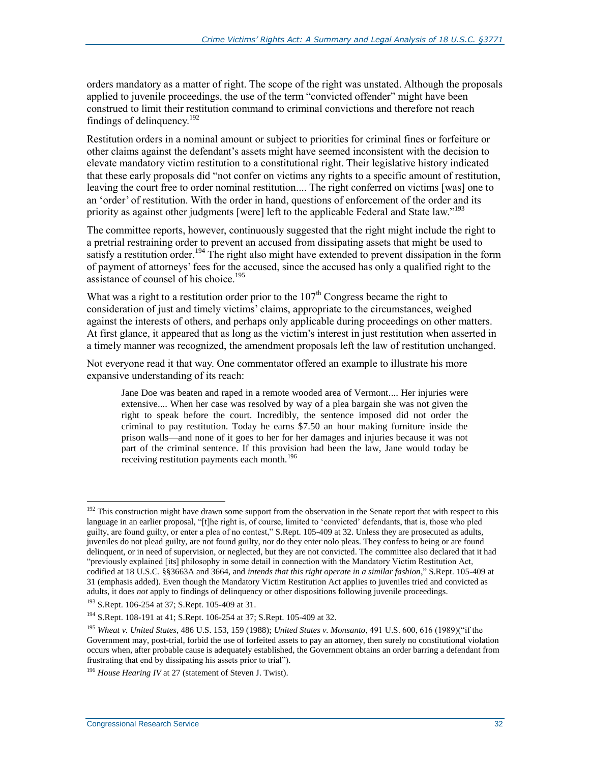orders mandatory as a matter of right. The scope of the right was unstated. Although the proposals applied to juvenile proceedings, the use of the term "convicted offender" might have been construed to limit their restitution command to criminal convictions and therefore not reach findings of delinquency.<sup>192</sup>

Restitution orders in a nominal amount or subject to priorities for criminal fines or forfeiture or other claims against the defendant's assets might have seemed inconsistent with the decision to elevate mandatory victim restitution to a constitutional right. Their legislative history indicated that these early proposals did "not confer on victims any rights to a specific amount of restitution, leaving the court free to order nominal restitution.... The right conferred on victims [was] one to an 'order' of restitution. With the order in hand, questions of enforcement of the order and its priority as against other judgments [were] left to the applicable Federal and State law."<sup>193</sup>

The committee reports, however, continuously suggested that the right might include the right to a pretrial restraining order to prevent an accused from dissipating assets that might be used to satisfy a restitution order.<sup>194</sup> The right also might have extended to prevent dissipation in the form of payment of attorneys' fees for the accused, since the accused has only a qualified right to the assistance of counsel of his choice.<sup>195</sup>

What was a right to a restitution order prior to the  $107<sup>th</sup>$  Congress became the right to consideration of just and timely victims' claims, appropriate to the circumstances, weighed against the interests of others, and perhaps only applicable during proceedings on other matters. At first glance, it appeared that as long as the victim's interest in just restitution when asserted in a timely manner was recognized, the amendment proposals left the law of restitution unchanged.

Not everyone read it that way. One commentator offered an example to illustrate his more expansive understanding of its reach:

Jane Doe was beaten and raped in a remote wooded area of Vermont.... Her injuries were extensive.... When her case was resolved by way of a plea bargain she was not given the right to speak before the court. Incredibly, the sentence imposed did not order the criminal to pay restitution. Today he earns \$7.50 an hour making furniture inside the prison walls—and none of it goes to her for her damages and injuries because it was not part of the criminal sentence. If this provision had been the law, Jane would today be receiving restitution payments each month.<sup>196</sup>

<sup>&</sup>lt;sup>192</sup> This construction might have drawn some support from the observation in the Senate report that with respect to this language in an earlier proposal, "[t]he right is, of course, limited to 'convicted' defendants, that is, those who pled guilty, are found guilty, or enter a plea of no contest," S.Rept. 105-409 at 32. Unless they are prosecuted as adults, juveniles do not plead guilty, are not found guilty, nor do they enter nolo pleas. They confess to being or are found delinquent, or in need of supervision, or neglected, but they are not convicted. The committee also declared that it had "previously explained [its] philosophy in some detail in connection with the Mandatory Victim Restitution Act, codified at 18 U.S.C. §§3663A and 3664, and *intends that this right operate in a similar fashion*," S.Rept. 105-409 at 31 (emphasis added). Even though the Mandatory Victim Restitution Act applies to juveniles tried and convicted as adults, it does *not* apply to findings of delinquency or other dispositions following juvenile proceedings.

<sup>193</sup> S.Rept. 106-254 at 37; S.Rept. 105-409 at 31.

<sup>194</sup> S.Rept. 108-191 at 41; S.Rept. 106-254 at 37; S.Rept. 105-409 at 32.

<sup>195</sup> *Wheat v. United States*, 486 U.S. 153, 159 (1988); *United States v. Monsanto*, 491 U.S. 600, 616 (1989)("if the Government may, post-trial, forbid the use of forfeited assets to pay an attorney, then surely no constitutional violation occurs when, after probable cause is adequately established, the Government obtains an order barring a defendant from frustrating that end by dissipating his assets prior to trial").

<sup>&</sup>lt;sup>196</sup> *House Hearing IV* at 27 (statement of Steven J. Twist).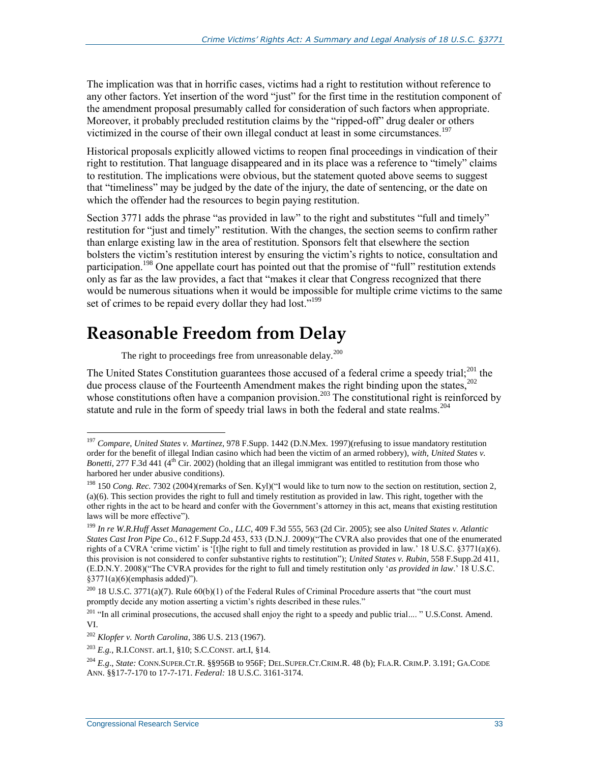The implication was that in horrific cases, victims had a right to restitution without reference to any other factors. Yet insertion of the word "just" for the first time in the restitution component of the amendment proposal presumably called for consideration of such factors when appropriate. Moreover, it probably precluded restitution claims by the "ripped-off" drug dealer or others victimized in the course of their own illegal conduct at least in some circumstances.<sup>197</sup>

Historical proposals explicitly allowed victims to reopen final proceedings in vindication of their right to restitution. That language disappeared and in its place was a reference to "timely" claims to restitution. The implications were obvious, but the statement quoted above seems to suggest that "timeliness" may be judged by the date of the injury, the date of sentencing, or the date on which the offender had the resources to begin paying restitution.

Section 3771 adds the phrase "as provided in law" to the right and substitutes "full and timely" restitution for "just and timely" restitution. With the changes, the section seems to confirm rather than enlarge existing law in the area of restitution. Sponsors felt that elsewhere the section bolsters the victim's restitution interest by ensuring the victim's rights to notice, consultation and participation.<sup>198</sup> One appellate court has pointed out that the promise of "full" restitution extends only as far as the law provides, a fact that "makes it clear that Congress recognized that there would be numerous situations when it would be impossible for multiple crime victims to the same set of crimes to be repaid every dollar they had lost."<sup>199</sup>

### **Reasonable Freedom from Delay**

The right to proceedings free from unreasonable delay.<sup>200</sup>

The United States Constitution guarantees those accused of a federal crime a speedy trial;<sup>201</sup> the due process clause of the Fourteenth Amendment makes the right binding upon the states, $^{202}$ whose constitutions often have a companion provision.<sup>203</sup> The constitutional right is reinforced by statute and rule in the form of speedy trial laws in both the federal and state realms.<sup>204</sup>

<sup>197</sup> *Compare*, *United States v. Martinez*, 978 F.Supp. 1442 (D.N.Mex. 1997)(refusing to issue mandatory restitution order for the benefit of illegal Indian casino which had been the victim of an armed robbery), *with, United States v. Bonetti*, 277 F.3d 441 (4<sup>th</sup> Cir. 2002) (holding that an illegal immigrant was entitled to restitution from those who harbored her under abusive conditions).

<sup>&</sup>lt;sup>198</sup> 150 *Cong. Rec.* 7302 (2004)(remarks of Sen. Kyl)("I would like to turn now to the section on restitution, section 2, (a)(6). This section provides the right to full and timely restitution as provided in law. This right, together with the other rights in the act to be heard and confer with the Government's attorney in this act, means that existing restitution laws will be more effective").

<sup>199</sup> *In re W.R.Huff Asset Management Co., LLC*, 409 F.3d 555, 563 (2d Cir. 2005); see also *United States v. Atlantic States Cast Iron Pipe Co.*, 612 F.Supp.2d 453, 533 (D.N.J. 2009)("The CVRA also provides that one of the enumerated rights of a CVRA 'crime victim' is '[t]he right to full and timely restitution as provided in law.' 18 U.S.C. §3771(a)(6). this provision is not considered to confer substantive rights to restitution"); *United States v. Rubin*, 558 F.Supp.2d 411, (E.D.N.Y. 2008)("The CVRA provides for the right to full and timely restitution only '*as provided in law*.' 18 U.S.C. §3771(a)(6)(emphasis added)").

<sup>&</sup>lt;sup>200</sup> 18 U.S.C. 3771(a)(7). Rule  $60(b)(1)$  of the Federal Rules of Criminal Procedure asserts that "the court must promptly decide any motion asserting a victim's rights described in these rules."

<sup>&</sup>lt;sup>201</sup> "In all criminal prosecutions, the accused shall enjoy the right to a speedy and public trial.... " U.S.Const. Amend. VI.

<sup>202</sup> *Klopfer v. North Carolina*, 386 U.S. 213 (1967).

<sup>203</sup> *E.g.*, R.I.CONST. art.1, §10; S.C.CONST. art.I, §14.

<sup>204</sup> *E.g*., *State:* CONN.SUPER.CT.R. §§956B to 956F; DEL.SUPER.CT.CRIM.R. 48 (b); FLA.R. CRIM.P. 3.191; GA.CODE ANN. §§17-7-170 to 17-7-171. *Federal:* 18 U.S.C. 3161-3174.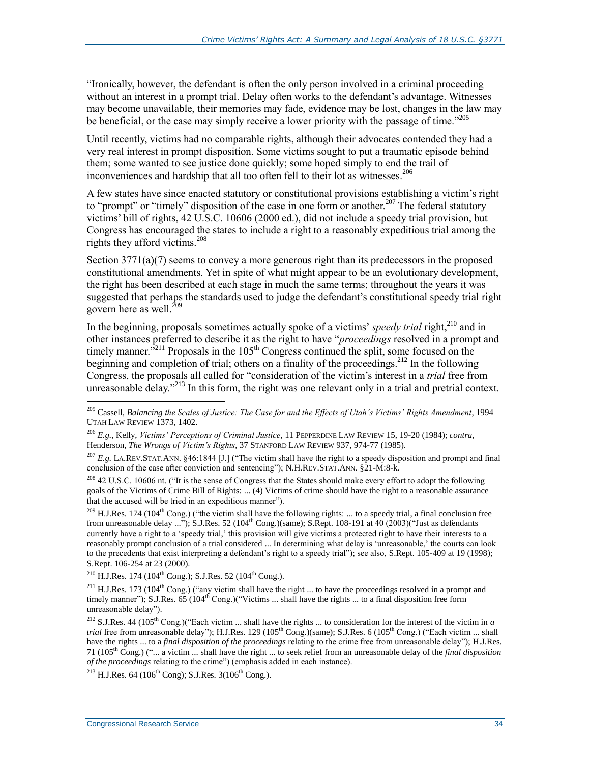"Ironically, however, the defendant is often the only person involved in a criminal proceeding without an interest in a prompt trial. Delay often works to the defendant's advantage. Witnesses may become unavailable, their memories may fade, evidence may be lost, changes in the law may be beneficial, or the case may simply receive a lower priority with the passage of time."<sup>205</sup>

Until recently, victims had no comparable rights, although their advocates contended they had a very real interest in prompt disposition. Some victims sought to put a traumatic episode behind them; some wanted to see justice done quickly; some hoped simply to end the trail of inconveniences and hardship that all too often fell to their lot as witnesses.<sup>206</sup>

A few states have since enacted statutory or constitutional provisions establishing a victim's right to "prompt" or "timely" disposition of the case in one form or another.<sup>207</sup> The federal statutory victims' bill of rights, 42 U.S.C. 10606 (2000 ed.), did not include a speedy trial provision, but Congress has encouraged the states to include a right to a reasonably expeditious trial among the rights they afford victims.<sup>208</sup>

Section 3771(a)(7) seems to convey a more generous right than its predecessors in the proposed constitutional amendments. Yet in spite of what might appear to be an evolutionary development, the right has been described at each stage in much the same terms; throughout the years it was suggested that perhaps the standards used to judge the defendant's constitutional speedy trial right govern here as well. $^{209}$ 

In the beginning, proposals sometimes actually spoke of a victims' *speedy trial* right,<sup>210</sup> and in other instances preferred to describe it as the right to have "*proceedings* resolved in a prompt and timely manner."<sup>211</sup> Proposals in the 105<sup>th</sup> Congress continued the split, some focused on the beginning and completion of trial; others on a finality of the proceedings.<sup>212</sup> In the following Congress, the proposals all called for "consideration of the victim's interest in a *trial* free from unreasonable delay."<sup>213</sup> In this form, the right was one relevant only in a trial and pretrial context.

<sup>209</sup> H.J.Res. 174 (104<sup>th</sup> Cong.) ("the victim shall have the following rights: ... to a speedy trial, a final conclusion free from unreasonable delay ..."); S.J.Res. 52 (104th Cong.)(same); S.Rept. 108-191 at 40 (2003)("Just as defendants currently have a right to a 'speedy trial,' this provision will give victims a protected right to have their interests to a reasonably prompt conclusion of a trial considered ... In determining what delay is 'unreasonable,' the courts can look to the precedents that exist interpreting a defendant's right to a speedy trial"); see also, S.Rept. 105-409 at 19 (1998); S.Rept. 106-254 at 23 (2000).

 $^{210}$  H.J.Res. 174 (104<sup>th</sup> Cong.); S.J.Res. 52 (104<sup>th</sup> Cong.).

<sup>211</sup> H.J.Res. 173 (104<sup>th</sup> Cong.) ("any victim shall have the right ... to have the proceedings resolved in a prompt and timely manner"); S.J.Res.  $65 (104<sup>th</sup> Cong.)("Victims ... shall have the rights ... to a final disposition free form$ unreasonable delay").

 $^{213}$  H.J.Res. 64 (106<sup>th</sup> Cong); S.J.Res. 3(106<sup>th</sup> Cong.).

<sup>205</sup> Cassell, *Balancing the Scales of Justice: The Case for and the Effects of Utah's Victims' Rights Amendment*, 1994 UTAH LAW REVIEW 1373, 1402.

<sup>206</sup> *E.g.*, Kelly, *Victims' Perceptions of Criminal Justice*, 11 PEPPERDINE LAW REVIEW 15, 19-20 (1984); *contra*, Henderson, *The Wrongs of Victim's Rights*, 37 STANFORD LAW REVIEW 937, 974-77 (1985).

<sup>&</sup>lt;sup>207</sup> *E.g.* LA.REV.STAT.ANN. §46:1844 [J.] ("The victim shall have the right to a speedy disposition and prompt and final conclusion of the case after conviction and sentencing"); N.H.REV.STAT.ANN. §21-M:8-k.

<sup>&</sup>lt;sup>208</sup> 42 U.S.C. 10606 nt. ("It is the sense of Congress that the States should make every effort to adopt the following goals of the Victims of Crime Bill of Rights: ... (4) Victims of crime should have the right to a reasonable assurance that the accused will be tried in an expeditious manner").

<sup>&</sup>lt;sup>212</sup> S.J.Res. 44 (105<sup>th</sup> Cong.)("Each victim ... shall have the rights ... to consideration for the interest of the victim in *a trial* free from unreasonable delay"); H.J.Res. 129 (105<sup>th</sup> Cong.)(same); S.J.Res. 6 (105<sup>th</sup> Cong.) ("Each victim ... shall have the rights ... to a *final disposition of the proceedings* relating to the crime free from unreasonable delay"); H.J.Res. 71 (105th Cong.) ("... a victim ... shall have the right ... to seek relief from an unreasonable delay of the *final disposition of the proceedings* relating to the crime") (emphasis added in each instance).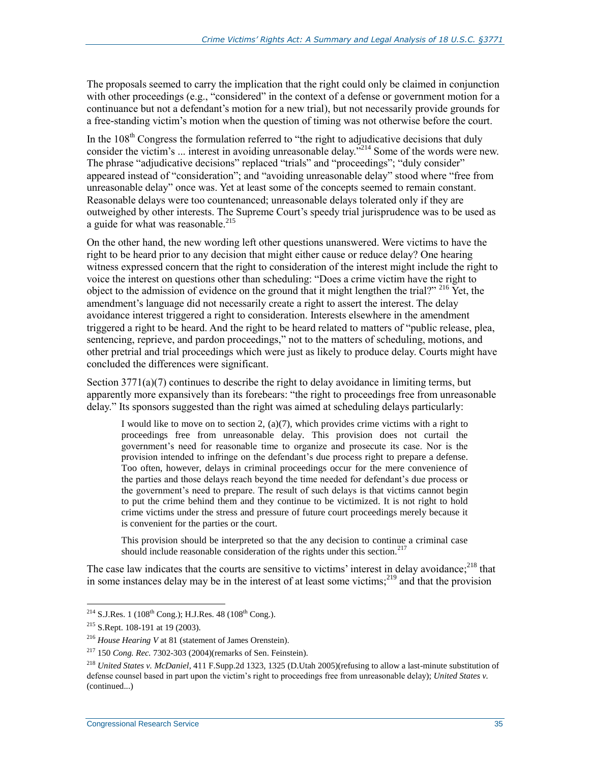The proposals seemed to carry the implication that the right could only be claimed in conjunction with other proceedings (e.g., "considered" in the context of a defense or government motion for a continuance but not a defendant's motion for a new trial), but not necessarily provide grounds for a free-standing victim's motion when the question of timing was not otherwise before the court.

In the  $108<sup>th</sup>$  Congress the formulation referred to "the right to adjudicative decisions that duly consider the victim's ... interest in avoiding unreasonable delay.<sup>2214</sup> Some of the words were new. The phrase "adjudicative decisions" replaced "trials" and "proceedings"; "duly consider" appeared instead of "consideration"; and "avoiding unreasonable delay" stood where "free from unreasonable delay" once was. Yet at least some of the concepts seemed to remain constant. Reasonable delays were too countenanced; unreasonable delays tolerated only if they are outweighed by other interests. The Supreme Court's speedy trial jurisprudence was to be used as a guide for what was reasonable. $215$ 

On the other hand, the new wording left other questions unanswered. Were victims to have the right to be heard prior to any decision that might either cause or reduce delay? One hearing witness expressed concern that the right to consideration of the interest might include the right to voice the interest on questions other than scheduling: "Does a crime victim have the right to object to the admission of evidence on the ground that it might lengthen the trial?" <sup>216</sup> Yet, the amendment's language did not necessarily create a right to assert the interest. The delay avoidance interest triggered a right to consideration. Interests elsewhere in the amendment triggered a right to be heard. And the right to be heard related to matters of "public release, plea, sentencing, reprieve, and pardon proceedings," not to the matters of scheduling, motions, and other pretrial and trial proceedings which were just as likely to produce delay. Courts might have concluded the differences were significant.

Section 3771(a)(7) continues to describe the right to delay avoidance in limiting terms, but apparently more expansively than its forebears: "the right to proceedings free from unreasonable delay." Its sponsors suggested than the right was aimed at scheduling delays particularly:

I would like to move on to section 2,  $(a)(7)$ , which provides crime victims with a right to proceedings free from unreasonable delay. This provision does not curtail the government's need for reasonable time to organize and prosecute its case. Nor is the provision intended to infringe on the defendant's due process right to prepare a defense. Too often, however, delays in criminal proceedings occur for the mere convenience of the parties and those delays reach beyond the time needed for defendant's due process or the government's need to prepare. The result of such delays is that victims cannot begin to put the crime behind them and they continue to be victimized. It is not right to hold crime victims under the stress and pressure of future court proceedings merely because it is convenient for the parties or the court.

This provision should be interpreted so that the any decision to continue a criminal case should include reasonable consideration of the rights under this section. $^{217}$ 

The case law indicates that the courts are sensitive to victims' interest in delay avoidance;<sup>218</sup> that in some instances delay may be in the interest of at least some victims; $^{219}$  and that the provision

<sup>&</sup>lt;sup>214</sup> S.J.Res. 1 (108<sup>th</sup> Cong.); H.J.Res. 48 (108<sup>th</sup> Cong.).

<sup>215</sup> S.Rept. 108-191 at 19 (2003).

<sup>216</sup> *House Hearing V* at 81 (statement of James Orenstein).

<sup>217</sup> 150 *Cong. Rec.* 7302-303 (2004)(remarks of Sen. Feinstein).

<sup>218</sup> *United States v. McDaniel*, 411 F.Supp.2d 1323, 1325 (D.Utah 2005)(refusing to allow a last-minute substitution of defense counsel based in part upon the victim's right to proceedings free from unreasonable delay); *United States v.*  (continued...)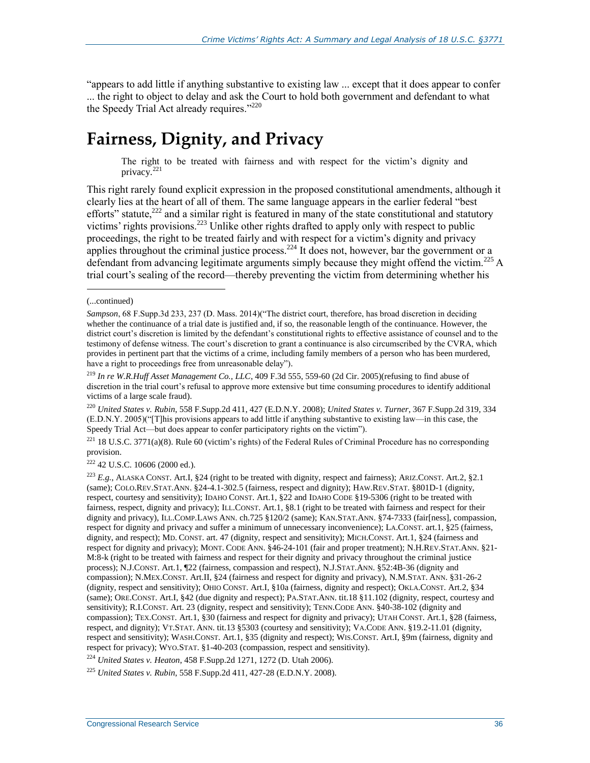"appears to add little if anything substantive to existing law ... except that it does appear to confer ... the right to object to delay and ask the Court to hold both government and defendant to what the Speedy Trial Act already requires."<sup>220</sup>

### **Fairness, Dignity, and Privacy**

The right to be treated with fairness and with respect for the victim's dignity and privacy.<sup>221</sup>

This right rarely found explicit expression in the proposed constitutional amendments, although it clearly lies at the heart of all of them. The same language appears in the earlier federal "best efforts" statute,<sup>222</sup> and a similar right is featured in many of the state constitutional and statutory victims' rights provisions.<sup>223</sup> Unlike other rights drafted to apply only with respect to public proceedings, the right to be treated fairly and with respect for a victim's dignity and privacy applies throughout the criminal justice process.<sup>224</sup> It does not, however, bar the government or a defendant from advancing legitimate arguments simply because they might offend the victim.<sup>225</sup> A trial court's sealing of the record—thereby preventing the victim from determining whether his

l

<sup>220</sup> *United States v. Rubin*, 558 F.Supp.2d 411, 427 (E.D.N.Y. 2008); *United States v. Turner*, 367 F.Supp.2d 319, 334 (E.D.N.Y. 2005)("[T]his provisions appears to add little if anything substantive to existing law—in this case, the Speedy Trial Act—but does appear to confer participatory rights on the victim").

 $221$  18 U.S.C. 3771(a)(8). Rule 60 (victim's rights) of the Federal Rules of Criminal Procedure has no corresponding provision.

<sup>222</sup> 42 U.S.C. 10606 (2000 ed.).

<sup>224</sup> *United States v. Heaton*, 458 F.Supp.2d 1271, 1272 (D. Utah 2006).

<sup>225</sup> *United States v. Rubin*, 558 F.Supp.2d 411, 427-28 (E.D.N.Y. 2008).

<sup>(...</sup>continued)

*Sampson*, 68 F.Supp.3d 233, 237 (D. Mass. 2014)("The district court, therefore, has broad discretion in deciding whether the continuance of a trial date is justified and, if so, the reasonable length of the continuance. However, the district court's discretion is limited by the defendant's constitutional rights to effective assistance of counsel and to the testimony of defense witness. The court's discretion to grant a continuance is also circumscribed by the CVRA, which provides in pertinent part that the victims of a crime, including family members of a person who has been murdered, have a right to proceedings free from unreasonable delay").

<sup>219</sup> *In re W.R.Huff Asset Management Co., LLC*, 409 F.3d 555, 559-60 (2d Cir. 2005)(refusing to find abuse of discretion in the trial court's refusal to approve more extensive but time consuming procedures to identify additional victims of a large scale fraud).

<sup>&</sup>lt;sup>223</sup> E.g., ALASKA CONST. Art.I, §24 (right to be treated with dignity, respect and fairness); ARIZ.CONST. Art.2, §2.1 (same); COLO.REV.STAT.ANN. §24-4.1-302.5 (fairness, respect and dignity); HAW.REV.STAT. §801D-1 (dignity, respect, courtesy and sensitivity); IDAHO CONST. Art.1, §22 and IDAHO CODE §19-5306 (right to be treated with fairness, respect, dignity and privacy); ILL.CONST. Art.1, §8.1 (right to be treated with fairness and respect for their dignity and privacy), ILL.COMP.LAWS ANN. ch.725 §120/2 (same); KAN.STAT.ANN. §74-7333 (fair[ness], compassion, respect for dignity and privacy and suffer a minimum of unnecessary inconvenience); LA.CONST. art.1, §25 (fairness, dignity, and respect); MD. CONST. art. 47 (dignity, respect and sensitivity); MICH. CONST. Art.1, §24 (fairness and respect for dignity and privacy); MONT. CODE ANN. §46-24-101 (fair and proper treatment); N.H.REV.STAT.ANN. §21- M:8-k (right to be treated with fairness and respect for their dignity and privacy throughout the criminal justice process); N.J.CONST. Art.1, ¶22 (fairness, compassion and respect), N.J.STAT.ANN. §52:4B-36 (dignity and compassion); N.MEX.CONST. Art.II, §24 (fairness and respect for dignity and privacy), N.M.STAT. ANN. §31-26-2 (dignity, respect and sensitivity); OHIO CONST. Art.I, §10a (fairness, dignity and respect); OKLA.CONST. Art.2, §34 (same); ORE.CONST. Art.I, §42 (due dignity and respect); PA.STAT.ANN. tit.18 §11.102 (dignity, respect, courtesy and sensitivity); R.I.CONST. Art. 23 (dignity, respect and sensitivity); TENN.CODE ANN. §40-38-102 (dignity and compassion); TEX.CONST. Art.1, §30 (fairness and respect for dignity and privacy); UTAH CONST. Art.1, §28 (fairness, respect, and dignity); VT.STAT. ANN. tit.13 §5303 (courtesy and sensitivity); VA.CODE ANN. §19.2-11.01 (dignity, respect and sensitivity); WASH.CONST. Art.1, §35 (dignity and respect); WIS.CONST. Art.I, §9m (fairness, dignity and respect for privacy); WYO.STAT. §1-40-203 (compassion, respect and sensitivity).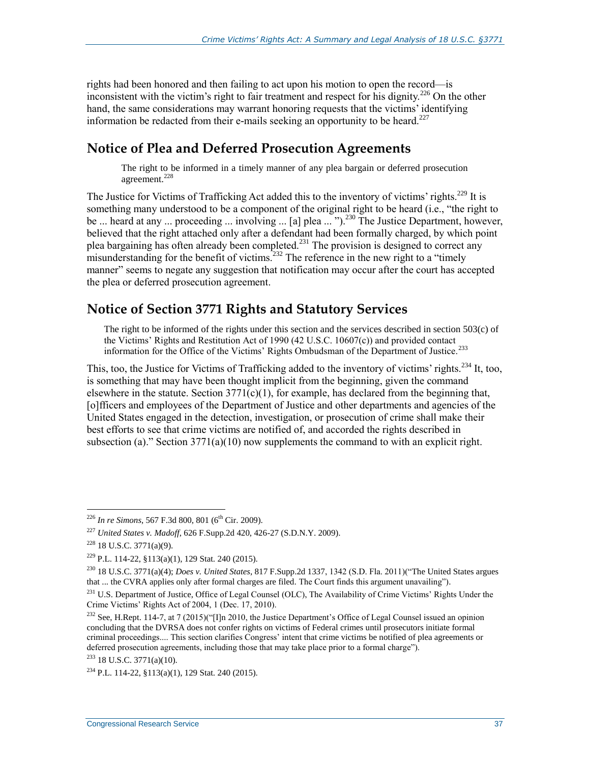rights had been honored and then failing to act upon his motion to open the record—is inconsistent with the victim's right to fair treatment and respect for his dignity.<sup>226</sup> On the other hand, the same considerations may warrant honoring requests that the victims' identifying information be redacted from their e-mails seeking an opportunity to be heard.<sup>227</sup>

#### **Notice of Plea and Deferred Prosecution Agreements**

The right to be informed in a timely manner of any plea bargain or deferred prosecution agreement.<sup>228</sup>

The Justice for Victims of Trafficking Act added this to the inventory of victims' rights.<sup>229</sup> It is something many understood to be a component of the original right to be heard (i.e., "the right to be ... heard at any ... proceeding ... involving ... [a] plea ... ").<sup>230</sup> The Justice Department, however, believed that the right attached only after a defendant had been formally charged, by which point plea bargaining has often already been completed.<sup>231</sup> The provision is designed to correct any misunderstanding for the benefit of victims.<sup>232</sup> The reference in the new right to a "timely" manner" seems to negate any suggestion that notification may occur after the court has accepted the plea or deferred prosecution agreement.

### **Notice of Section 3771 Rights and Statutory Services**

The right to be informed of the rights under this section and the services described in section 503(c) of the Victims' Rights and Restitution Act of 1990 (42 U.S.C. 10607(c)) and provided contact information for the Office of the Victims' Rights Ombudsman of the Department of Justice.<sup>233</sup>

This, too, the Justice for Victims of Trafficking added to the inventory of victims' rights.<sup>234</sup> It, too, is something that may have been thought implicit from the beginning, given the command elsewhere in the statute. Section  $3771(c)(1)$ , for example, has declared from the beginning that, [o]fficers and employees of the Department of Justice and other departments and agencies of the United States engaged in the detection, investigation, or prosecution of crime shall make their best efforts to see that crime victims are notified of, and accorded the rights described in subsection (a)." Section  $3771(a)(10)$  now supplements the command to with an explicit right.

<sup>&</sup>lt;sup>226</sup> In re Simons, 567 F.3d 800, 801 (6<sup>th</sup> Cir. 2009).

<sup>227</sup> *United States v. Madoff*, 626 F.Supp.2d 420, 426-27 (S.D.N.Y. 2009).

<sup>228</sup> 18 U.S.C. 3771(a)(9).

<sup>&</sup>lt;sup>229</sup> P.L. 114-22, §113(a)(1), 129 Stat. 240 (2015).

<sup>230</sup> 18 U.S.C. 3771(a)(4); *Does v. United States*, 817 F.Supp.2d 1337, 1342 (S.D. Fla. 2011)("The United States argues that ... the CVRA applies only after formal charges are filed. The Court finds this argument unavailing").

<sup>&</sup>lt;sup>231</sup> U.S. Department of Justice, Office of Legal Counsel (OLC), The Availability of Crime Victims' Rights Under the Crime Victims' Rights Act of 2004, 1 (Dec. 17, 2010).

<sup>&</sup>lt;sup>232</sup> See, H.Rept. 114-7, at 7 (2015)("[I]n 2010, the Justice Department's Office of Legal Counsel issued an opinion concluding that the DVRSA does not confer rights on victims of Federal crimes until prosecutors initiate formal criminal proceedings.... This section clarifies Congress' intent that crime victims be notified of plea agreements or deferred prosecution agreements, including those that may take place prior to a formal charge").

 $233$  18 U.S.C. 3771(a)(10).

 $^{234}$  P.L. 114-22, §113(a)(1), 129 Stat. 240 (2015).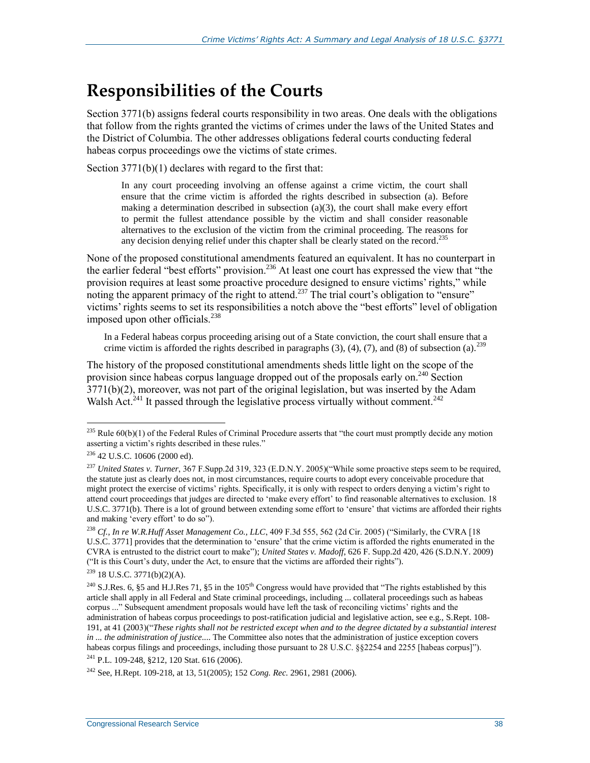# **Responsibilities of the Courts**

Section 3771(b) assigns federal courts responsibility in two areas. One deals with the obligations that follow from the rights granted the victims of crimes under the laws of the United States and the District of Columbia. The other addresses obligations federal courts conducting federal habeas corpus proceedings owe the victims of state crimes.

Section 3771(b)(1) declares with regard to the first that:

In any court proceeding involving an offense against a crime victim, the court shall ensure that the crime victim is afforded the rights described in subsection (a). Before making a determination described in subsection  $(a)(3)$ , the court shall make every effort to permit the fullest attendance possible by the victim and shall consider reasonable alternatives to the exclusion of the victim from the criminal proceeding. The reasons for any decision denying relief under this chapter shall be clearly stated on the record.<sup>235</sup>

None of the proposed constitutional amendments featured an equivalent. It has no counterpart in the earlier federal "best efforts" provision. <sup>236</sup> At least one court has expressed the view that "the provision requires at least some proactive procedure designed to ensure victims' rights," while noting the apparent primacy of the right to attend.<sup>237</sup> The trial court's obligation to "ensure" victims' rights seems to set its responsibilities a notch above the "best efforts" level of obligation imposed upon other officials. $^{238}$ 

In a Federal habeas corpus proceeding arising out of a State conviction, the court shall ensure that a crime victim is afforded the rights described in paragraphs  $(3)$ ,  $(4)$ ,  $(7)$ , and  $(8)$  of subsection  $(a)$ .<sup>239</sup>

The history of the proposed constitutional amendments sheds little light on the scope of the provision since habeas corpus language dropped out of the proposals early on.<sup>240</sup> Section  $3771(b)(2)$ , moreover, was not part of the original legislation, but was inserted by the Adam Walsh Act.<sup>241</sup> It passed through the legislative process virtually without comment.<sup>242</sup>

<sup>&</sup>lt;sup>235</sup> Rule  $60(b)(1)$  of the Federal Rules of Criminal Procedure asserts that "the court must promptly decide any motion asserting a victim's rights described in these rules."

<sup>236</sup> 42 U.S.C. 10606 (2000 ed).

<sup>237</sup> *United States v. Turner*, 367 F.Supp.2d 319, 323 (E.D.N.Y. 2005)("While some proactive steps seem to be required, the statute just as clearly does not, in most circumstances, require courts to adopt every conceivable procedure that might protect the exercise of victims' rights. Specifically, it is only with respect to orders denying a victim's right to attend court proceedings that judges are directed to 'make every effort' to find reasonable alternatives to exclusion. 18 U.S.C. 3771(b). There is a lot of ground between extending some effort to 'ensure' that victims are afforded their rights and making 'every effort' to do so").

<sup>&</sup>lt;sup>238</sup> *Cf., In re W.R.Huff Asset Management Co., LLC*, 409 F.3d 555, 562 (2d Cir. 2005) ("Similarly, the CVRA [18] U.S.C. 3771] provides that the determination to 'ensure' that the crime victim is afforded the rights enumerated in the CVRA is entrusted to the district court to make"); *United States v. Madoff*, 626 F. Supp.2d 420, 426 (S.D.N.Y. 2009) ("It is this Court's duty, under the Act, to ensure that the victims are afforded their rights").

<sup>239</sup> 18 U.S.C. 3771(b)(2)(A).

<sup>&</sup>lt;sup>240</sup> S.J.Res. 6, §5 and H.J.Res 71, §5 in the 105<sup>th</sup> Congress would have provided that "The rights established by this article shall apply in all Federal and State criminal proceedings, including ... collateral proceedings such as habeas corpus ..." Subsequent amendment proposals would have left the task of reconciling victims' rights and the administration of habeas corpus proceedings to post-ratification judicial and legislative action, see e.g., S.Rept. 108- 191, at 41 (2003)("*These rights shall not be restricted except when and to the degree dictated by a substantial interest in ... the administration of justice*.... The Committee also notes that the administration of justice exception covers habeas corpus filings and proceedings, including those pursuant to 28 U.S.C. §§2254 and 2255 [habeas corpus]").

<sup>241</sup> P.L. 109-248, §212, 120 Stat. 616 (2006).

<sup>242</sup> See, H.Rept. 109-218, at 13, 51(2005); 152 *Cong. Rec.* 2961, 2981 (2006).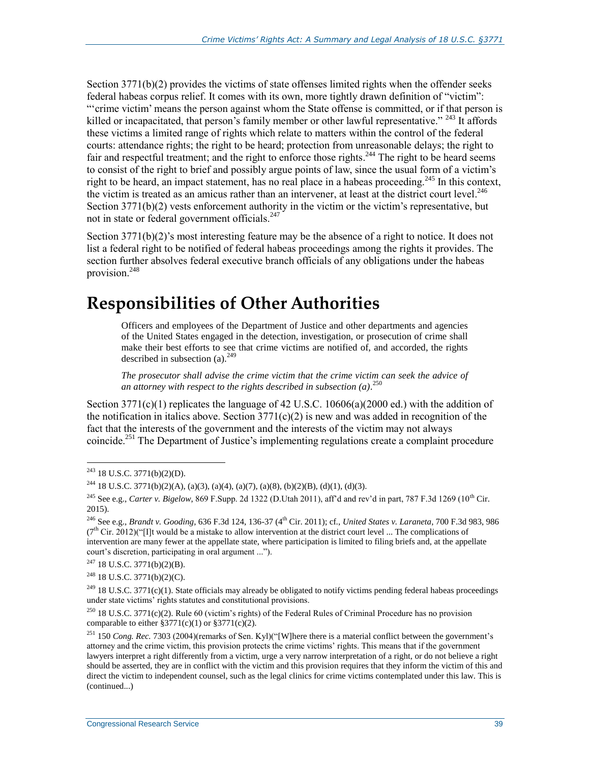Section 3771(b)(2) provides the victims of state offenses limited rights when the offender seeks federal habeas corpus relief. It comes with its own, more tightly drawn definition of "victim": "'crime victim' means the person against whom the State offense is committed, or if that person is killed or incapacitated, that person's family member or other lawful representative."<sup>243</sup> It affords these victims a limited range of rights which relate to matters within the control of the federal courts: attendance rights; the right to be heard; protection from unreasonable delays; the right to fair and respectful treatment; and the right to enforce those rights.<sup>244</sup> The right to be heard seems to consist of the right to brief and possibly argue points of law, since the usual form of a victim's right to be heard, an impact statement, has no real place in a habeas proceeding.<sup>245</sup> In this context, the victim is treated as an amicus rather than an intervener, at least at the district court level.<sup>246</sup> Section 3771(b)(2) vests enforcement authority in the victim or the victim's representative, but not in state or federal government officials.<sup>247</sup>

Section 3771(b)(2)'s most interesting feature may be the absence of a right to notice. It does not list a federal right to be notified of federal habeas proceedings among the rights it provides. The section further absolves federal executive branch officials of any obligations under the habeas provision.<sup>248</sup>

# **Responsibilities of Other Authorities**

Officers and employees of the Department of Justice and other departments and agencies of the United States engaged in the detection, investigation, or prosecution of crime shall make their best efforts to see that crime victims are notified of, and accorded, the rights described in subsection  $(a)$ .<sup>249</sup>

*The prosecutor shall advise the crime victim that the crime victim can seek the advice of an attorney with respect to the rights described in subsection (a)*. 250

Section 3771(c)(1) replicates the language of 42 U.S.C. 10606(a)(2000 ed.) with the addition of the notification in italics above. Section  $3771(c)(2)$  is new and was added in recognition of the fact that the interests of the government and the interests of the victim may not always coincide.<sup>251</sup> The Department of Justice's implementing regulations create a complaint procedure

 $\overline{a}$ 

 $^{247}$  18 U.S.C. 3771(b)(2)(B).

<sup>248</sup> 18 U.S.C. 3771(b)(2)(C).

 $^{249}$  18 U.S.C. 3771(c)(1). State officials may already be obligated to notify victims pending federal habeas proceedings under state victims' rights statutes and constitutional provisions.

<sup>250</sup> 18 U.S.C. 3771(c)(2). Rule 60 (victim's rights) of the Federal Rules of Criminal Procedure has no provision comparable to either  $§3771(c)(1)$  or  $§3771(c)(2)$ .

 $243$  18 U.S.C. 3771(b)(2)(D).

<sup>244</sup> 18 U.S.C. 3771(b)(2)(A), (a)(3), (a)(4), (a)(7), (a)(8), (b)(2)(B), (d)(1), (d)(3).

<sup>&</sup>lt;sup>245</sup> See e.g., *Carter v. Bigelow*, 869 F.Supp. 2d 1322 (D.Utah 2011), aff'd and rev'd in part, 787 F.3d 1269 (10<sup>th</sup> Cir. 2015).

<sup>246</sup> See e.g., *Brandt v. Gooding*, 636 F.3d 124, 136-37 (4th Cir. 2011); cf., *United States v. Laraneta*, 700 F.3d 983, 986  $(7<sup>th</sup> Cir. 2012)'$  (Ilt would be a mistake to allow intervention at the district court level ... The complications of intervention are many fewer at the appellate state, where participation is limited to filing briefs and, at the appellate court's discretion, participating in oral argument ...").

<sup>251</sup> 150 *Cong. Rec.* 7303 (2004)(remarks of Sen. Kyl)("[W]here there is a material conflict between the government's attorney and the crime victim, this provision protects the crime victims' rights. This means that if the government lawyers interpret a right differently from a victim, urge a very narrow interpretation of a right, or do not believe a right should be asserted, they are in conflict with the victim and this provision requires that they inform the victim of this and direct the victim to independent counsel, such as the legal clinics for crime victims contemplated under this law. This is (continued...)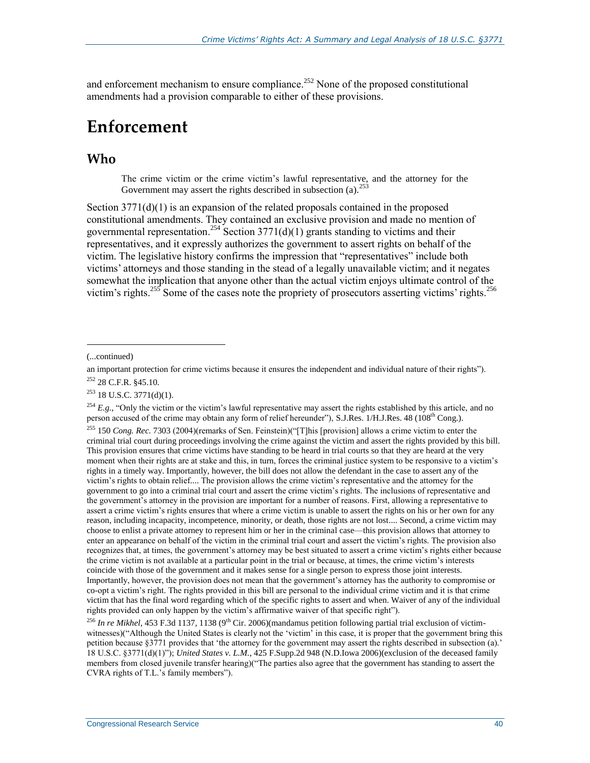and enforcement mechanism to ensure compliance.<sup>252</sup> None of the proposed constitutional amendments had a provision comparable to either of these provisions.

### **Enforcement**

#### **Who**

The crime victim or the crime victim's lawful representative, and the attorney for the Government may assert the rights described in subsection (a).  $^{25}$ 

Section  $3771(d)(1)$  is an expansion of the related proposals contained in the proposed constitutional amendments. They contained an exclusive provision and made no mention of governmental representation.<sup>254</sup> Section 3771(d)(1) grants standing to victims and their representatives, and it expressly authorizes the government to assert rights on behalf of the victim. The legislative history confirms the impression that "representatives" include both victims' attorneys and those standing in the stead of a legally unavailable victim; and it negates somewhat the implication that anyone other than the actual victim enjoys ultimate control of the victim's rights.<sup>255</sup> Some of the cases note the propriety of prosecutors asserting victims' rights.<sup>256</sup>

l

 $253$  18 U.S.C. 3771(d)(1).

 $^{254}$  *E.g.*, "Only the victim or the victim's lawful representative may assert the rights established by this article, and no person accused of the crime may obtain any form of relief hereunder"), S.J.Res. 1/H.J.Res. 48 (108<sup>th</sup> Cong.).

<sup>255</sup> 150 *Cong. Rec.* 7303 (2004)(remarks of Sen. Feinstein)("[T]his [provision] allows a crime victim to enter the criminal trial court during proceedings involving the crime against the victim and assert the rights provided by this bill. This provision ensures that crime victims have standing to be heard in trial courts so that they are heard at the very moment when their rights are at stake and this, in turn, forces the criminal justice system to be responsive to a victim's rights in a timely way. Importantly, however, the bill does not allow the defendant in the case to assert any of the victim's rights to obtain relief.... The provision allows the crime victim's representative and the attorney for the government to go into a criminal trial court and assert the crime victim's rights. The inclusions of representative and the government's attorney in the provision are important for a number of reasons. First, allowing a representative to assert a crime victim's rights ensures that where a crime victim is unable to assert the rights on his or her own for any reason, including incapacity, incompetence, minority, or death, those rights are not lost.... Second, a crime victim may choose to enlist a private attorney to represent him or her in the criminal case—this provision allows that attorney to enter an appearance on behalf of the victim in the criminal trial court and assert the victim's rights. The provision also recognizes that, at times, the government's attorney may be best situated to assert a crime victim's rights either because the crime victim is not available at a particular point in the trial or because, at times, the crime victim's interests coincide with those of the government and it makes sense for a single person to express those joint interests. Importantly, however, the provision does not mean that the government's attorney has the authority to compromise or co-opt a victim's right. The rights provided in this bill are personal to the individual crime victim and it is that crime victim that has the final word regarding which of the specific rights to assert and when. Waiver of any of the individual rights provided can only happen by the victim's affirmative waiver of that specific right").

<sup>256</sup> *In re Mikhel*, 453 F.3d 1137, 1138 (9<sup>th</sup> Cir. 2006)(mandamus petition following partial trial exclusion of victimwitnesses)("Although the United States is clearly not the 'victim' in this case, it is proper that the government bring this petition because §3771 provides that 'the attorney for the government may assert the rights described in subsection (a).' 18 U.S.C. §3771(d)(1)"); *United States v. L.M.*, 425 F.Supp.2d 948 (N.D.Iowa 2006)(exclusion of the deceased family members from closed juvenile transfer hearing)("The parties also agree that the government has standing to assert the CVRA rights of T.L.'s family members").

<sup>(...</sup>continued)

an important protection for crime victims because it ensures the independent and individual nature of their rights"). <sup>252</sup> 28 C.F.R. §45.10.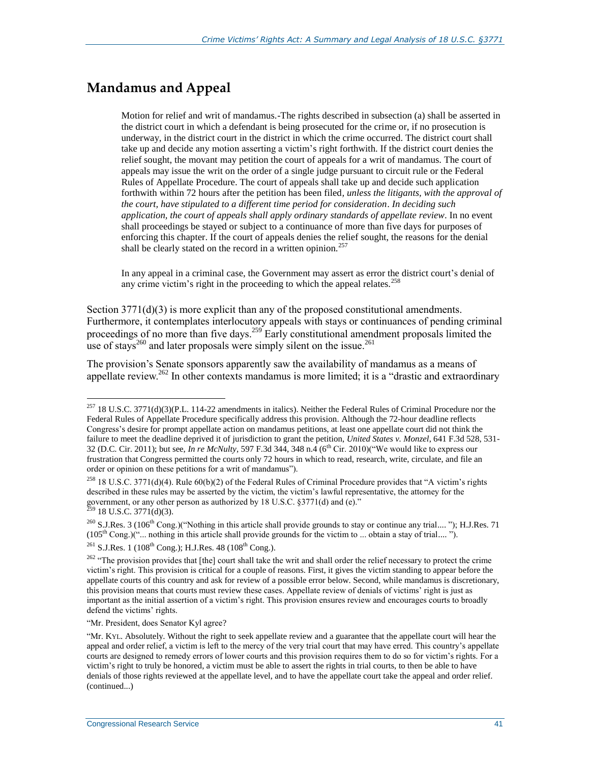#### **Mandamus and Appeal**

Motion for relief and writ of mandamus.-The rights described in subsection (a) shall be asserted in the district court in which a defendant is being prosecuted for the crime or, if no prosecution is underway, in the district court in the district in which the crime occurred. The district court shall take up and decide any motion asserting a victim's right forthwith. If the district court denies the relief sought, the movant may petition the court of appeals for a writ of mandamus. The court of appeals may issue the writ on the order of a single judge pursuant to circuit rule or the Federal Rules of Appellate Procedure. The court of appeals shall take up and decide such application forthwith within 72 hours after the petition has been filed*, unless the litigants, with the approval of the court, have stipulated to a different time period for consideration*. *In deciding such application, the court of appeals shall apply ordinary standards of appellate review*. In no event shall proceedings be stayed or subject to a continuance of more than five days for purposes of enforcing this chapter. If the court of appeals denies the relief sought, the reasons for the denial shall be clearly stated on the record in a written opinion.<sup>257</sup>

In any appeal in a criminal case, the Government may assert as error the district court's denial of any crime victim's right in the proceeding to which the appeal relates.<sup>258</sup>

Section  $3771(d)(3)$  is more explicit than any of the proposed constitutional amendments. Furthermore, it contemplates interlocutory appeals with stays or continuances of pending criminal proceedings of no more than five days.<sup>259</sup> Early constitutional amendment proposals limited the use of stays<sup>260</sup> and later proposals were simply silent on the issue.<sup>261</sup>

The provision's Senate sponsors apparently saw the availability of mandamus as a means of appellate review.<sup>262</sup> In other contexts mandamus is more limited; it is a "drastic and extraordinary

 $^{261}$  S.J.Res. 1 (108<sup>th</sup> Cong.); H.J.Res. 48 (108<sup>th</sup> Cong.).

"Mr. President, does Senator Kyl agree?

 $^{257}$  18 U.S.C. 3771(d)(3)(P.L. 114-22 amendments in italics). Neither the Federal Rules of Criminal Procedure nor the Federal Rules of Appellate Procedure specifically address this provision. Although the 72-hour deadline reflects Congress's desire for prompt appellate action on mandamus petitions, at least one appellate court did not think the failure to meet the deadline deprived it of jurisdiction to grant the petition, *United States v. Monzel*, 641 F.3d 528, 531- 32 (D.C. Cir. 2011); but see, *In re McNulty*, 597 F.3d 344, 348 n.4 (6th Cir. 2010)("We would like to express our frustration that Congress permitted the courts only 72 hours in which to read, research, write, circulate, and file an order or opinion on these petitions for a writ of mandamus").

 $^{258}$  18 U.S.C. 3771(d)(4). Rule 60(b)(2) of the Federal Rules of Criminal Procedure provides that "A victim's rights described in these rules may be asserted by the victim, the victim's lawful representative, the attorney for the government, or any other person as authorized by 18 U.S.C. §3771(d) and (e)."  $^{259}$  18 U.S.C. 3771(d)(3).

<sup>&</sup>lt;sup>260</sup> S.J.Res. 3 (106<sup>th</sup> Cong.)("Nothing in this article shall provide grounds to stay or continue any trial.... "); H.J.Res. 71  $(105<sup>th</sup> Cong.)(<sup>th</sup>... nothing in this article shall provide grounds for the victim to ... obtain a stay of trial....'').$ 

<sup>&</sup>lt;sup>262</sup> "The provision provides that [the] court shall take the writ and shall order the relief necessary to protect the crime victim's right. This provision is critical for a couple of reasons. First, it gives the victim standing to appear before the appellate courts of this country and ask for review of a possible error below. Second, while mandamus is discretionary, this provision means that courts must review these cases. Appellate review of denials of victims' right is just as important as the initial assertion of a victim's right. This provision ensures review and encourages courts to broadly defend the victims' rights.

<sup>&</sup>quot;Mr. KYL. Absolutely. Without the right to seek appellate review and a guarantee that the appellate court will hear the appeal and order relief, a victim is left to the mercy of the very trial court that may have erred. This country's appellate courts are designed to remedy errors of lower courts and this provision requires them to do so for victim's rights. For a victim's right to truly be honored, a victim must be able to assert the rights in trial courts, to then be able to have denials of those rights reviewed at the appellate level, and to have the appellate court take the appeal and order relief. (continued...)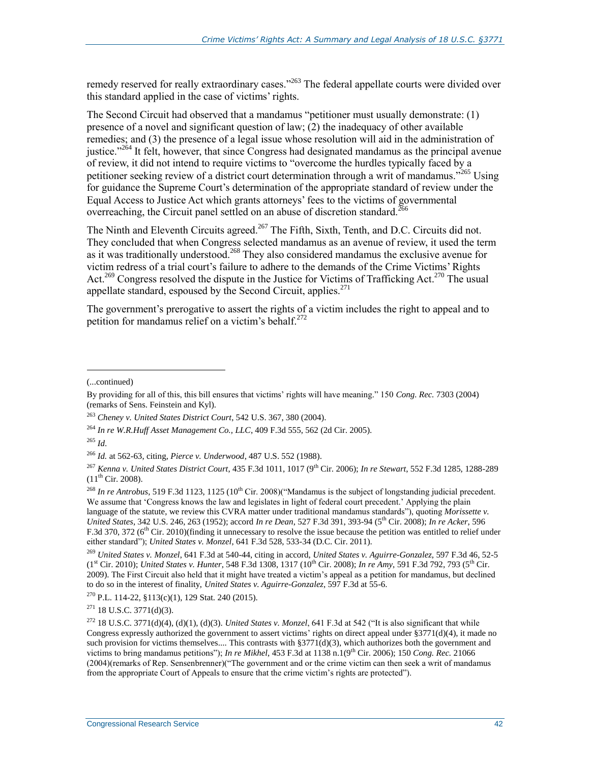remedy reserved for really extraordinary cases."<sup>263</sup> The federal appellate courts were divided over this standard applied in the case of victims' rights.

The Second Circuit had observed that a mandamus "petitioner must usually demonstrate: (1) presence of a novel and significant question of law; (2) the inadequacy of other available remedies; and (3) the presence of a legal issue whose resolution will aid in the administration of justice."<sup>264</sup> It felt, however, that since Congress had designated mandamus as the principal avenue of review, it did not intend to require victims to "overcome the hurdles typically faced by a petitioner seeking review of a district court determination through a writ of mandamus."<sup>265</sup> Using for guidance the Supreme Court's determination of the appropriate standard of review under the Equal Access to Justice Act which grants attorneys' fees to the victims of governmental overreaching, the Circuit panel settled on an abuse of discretion standard.<sup>266</sup>

The Ninth and Eleventh Circuits agreed.<sup>267</sup> The Fifth, Sixth, Tenth, and D.C. Circuits did not. They concluded that when Congress selected mandamus as an avenue of review, it used the term as it was traditionally understood.<sup>268</sup> They also considered mandamus the exclusive avenue for victim redress of a trial court's failure to adhere to the demands of the Crime Victims' Rights Act.<sup>269</sup> Congress resolved the dispute in the Justice for Victims of Trafficking Act.<sup>270</sup> The usual appellate standard, espoused by the Second Circuit, applies.<sup>271</sup>

The government's prerogative to assert the rights of a victim includes the right to appeal and to petition for mandamus relief on a victim's behalf.<sup>272</sup>

 $\overline{a}$ 

<sup>270</sup> P.L. 114-22, §113(c)(1), 129 Stat. 240 (2015).

 $271$  18 U.S.C. 3771(d)(3).

<sup>(...</sup>continued)

By providing for all of this, this bill ensures that victims' rights will have meaning." 150 *Cong. Rec.* 7303 (2004) (remarks of Sens. Feinstein and Kyl).

<sup>263</sup> *Cheney v. United States District Court*, 542 U.S. 367, 380 (2004).

<sup>264</sup> *In re W.R.Huff Asset Management Co., LLC*, 409 F.3d 555, 562 (2d Cir. 2005).

<sup>265</sup> *Id*.

<sup>266</sup> *Id.* at 562-63, citing, *Pierce v. Underwood*, 487 U.S. 552 (1988).

<sup>267</sup> *Kenna v. United States District Court*, 435 F.3d 1011, 1017 (9th Cir. 2006); *In re Stewart*, 552 F.3d 1285, 1288-289  $(11^{th}$  Cir. 2008).

<sup>&</sup>lt;sup>268</sup> In re Antrobus, 519 F.3d 1123, 1125 (10<sup>th</sup> Cir. 2008)("Mandamus is the subject of longstanding judicial precedent. We assume that 'Congress knows the law and legislates in light of federal court precedent.' Applying the plain language of the statute, we review this CVRA matter under traditional mandamus standards"), quoting *Morissette v. United States*, 342 U.S. 246, 263 (1952); accord *In re Dean*, 527 F.3d 391, 393-94 (5th Cir. 2008); *In re Acker*, 596 F.3d 370, 372 ( $6<sup>th</sup>$  Cir. 2010)(finding it unnecessary to resolve the issue because the petition was entitled to relief under either standard"); *United States v. Monzel*, 641 F.3d 528, 533-34 (D.C. Cir. 2011).

<sup>269</sup> *United States v. Monzel*, 641 F.3d at 540-44, citing in accord, *United States v. Aguirre-Gonzalez*, 597 F.3d 46, 52-5 (1st Cir. 2010); *United States v. Hunter*, 548 F.3d 1308, 1317 (10th Cir. 2008); *In re Amy*, 591 F.3d 792, 793 (5th Cir. 2009). The First Circuit also held that it might have treated a victim's appeal as a petition for mandamus, but declined to do so in the interest of finality, *United States v. Aguirre-Gonzalez*, 597 F.3d at 55-6.

<sup>&</sup>lt;sup>272</sup> 18 U.S.C. 3771(d)(4), (d)(1), (d)(3). *United States v. Monzel*, 641 F.3d at 542 ("It is also significant that while Congress expressly authorized the government to assert victims' rights on direct appeal under §3771(d)(4), it made no such provision for victims themselves.... This contrasts with §3771(d)(3), which authorizes both the government and victims to bring mandamus petitions"); *In re Mikhel*, 453 F.3d at 1138 n.1(9th Cir. 2006); 150 *Cong. Rec.* 21066 (2004)(remarks of Rep. Sensenbrenner)("The government and or the crime victim can then seek a writ of mandamus from the appropriate Court of Appeals to ensure that the crime victim's rights are protected").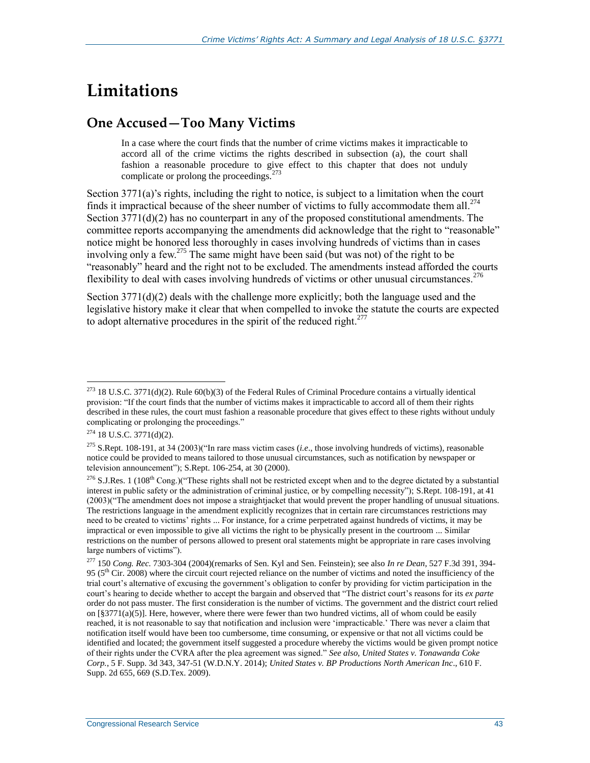# **Limitations**

#### **One Accused—Too Many Victims**

In a case where the court finds that the number of crime victims makes it impracticable to accord all of the crime victims the rights described in subsection (a), the court shall fashion a reasonable procedure to give effect to this chapter that does not unduly complicate or prolong the proceedings. $273$ 

Section 3771(a)'s rights, including the right to notice, is subject to a limitation when the court finds it impractical because of the sheer number of victims to fully accommodate them all.<sup>274</sup> Section 3771(d)(2) has no counterpart in any of the proposed constitutional amendments. The committee reports accompanying the amendments did acknowledge that the right to "reasonable" notice might be honored less thoroughly in cases involving hundreds of victims than in cases involving only a few.<sup>275</sup> The same might have been said (but was not) of the right to be "reasonably" heard and the right not to be excluded. The amendments instead afforded the courts flexibility to deal with cases involving hundreds of victims or other unusual circumstances.<sup>276</sup>

Section 3771(d)(2) deals with the challenge more explicitly; both the language used and the legislative history make it clear that when compelled to invoke the statute the courts are expected to adopt alternative procedures in the spirit of the reduced right.<sup>277</sup>

 $273$  18 U.S.C. 3771(d)(2). Rule 60(b)(3) of the Federal Rules of Criminal Procedure contains a virtually identical provision: "If the court finds that the number of victims makes it impracticable to accord all of them their rights described in these rules, the court must fashion a reasonable procedure that gives effect to these rights without unduly complicating or prolonging the proceedings."

 $274$  18 U.S.C. 3771(d)(2).

<sup>275</sup> S.Rept. 108-191, at 34 (2003)("In rare mass victim cases (*i.e*., those involving hundreds of victims), reasonable notice could be provided to means tailored to those unusual circumstances, such as notification by newspaper or television announcement"); S.Rept. 106-254, at 30 (2000).

<sup>&</sup>lt;sup>276</sup> S.J.Res. 1 (108<sup>th</sup> Cong.)("These rights shall not be restricted except when and to the degree dictated by a substantial interest in public safety or the administration of criminal justice, or by compelling necessity"); S.Rept. 108-191, at 41 (2003)("The amendment does not impose a straightjacket that would prevent the proper handling of unusual situations. The restrictions language in the amendment explicitly recognizes that in certain rare circumstances restrictions may need to be created to victims' rights ... For instance, for a crime perpetrated against hundreds of victims, it may be impractical or even impossible to give all victims the right to be physically present in the courtroom ... Similar restrictions on the number of persons allowed to present oral statements might be appropriate in rare cases involving large numbers of victims").

<sup>277</sup> 150 *Cong. Rec.* 7303-304 (2004)(remarks of Sen. Kyl and Sen. Feinstein); see also *In re Dean*, 527 F.3d 391, 394- 95 ( $5<sup>th</sup>$  Cir. 2008) where the circuit court rejected reliance on the number of victims and noted the insufficiency of the trial court's alternative of excusing the government's obligation to confer by providing for victim participation in the court's hearing to decide whether to accept the bargain and observed that "The district court's reasons for its *ex parte* order do not pass muster. The first consideration is the number of victims. The government and the district court relied on  $[83771(a)(5)]$ . Here, however, where there were fewer than two hundred victims, all of whom could be easily reached, it is not reasonable to say that notification and inclusion were 'impracticable.' There was never a claim that notification itself would have been too cumbersome, time consuming, or expensive or that not all victims could be identified and located; the government itself suggested a procedure whereby the victims would be given prompt notice of their rights under the CVRA after the plea agreement was signed." *See also, United States v. Tonawanda Coke Corp.*, 5 F. Supp. 3d 343, 347-51 (W.D.N.Y. 2014); *United States v. BP Productions North American Inc*., 610 F. Supp. 2d 655, 669 (S.D.Tex. 2009).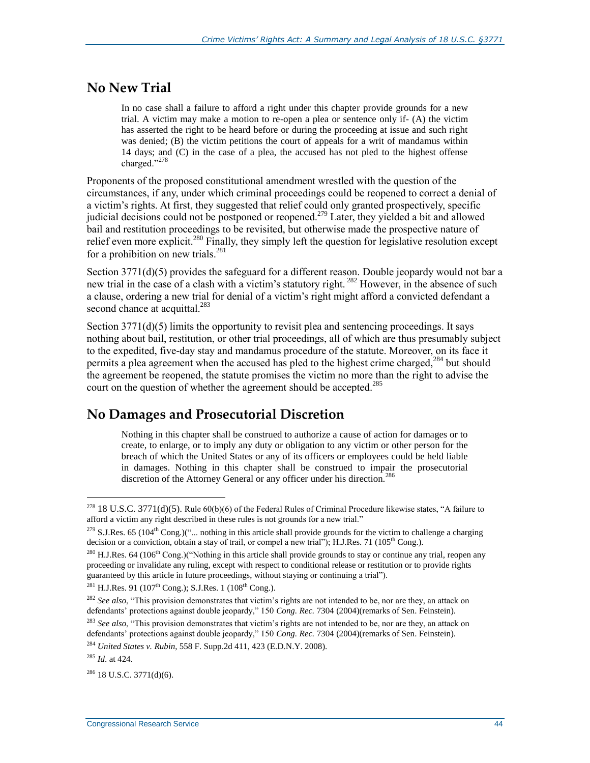#### **No New Trial**

In no case shall a failure to afford a right under this chapter provide grounds for a new trial. A victim may make a motion to re-open a plea or sentence only if- (A) the victim has asserted the right to be heard before or during the proceeding at issue and such right was denied; (B) the victim petitions the court of appeals for a writ of mandamus within 14 days; and (C) in the case of a plea, the accused has not pled to the highest offense charged."<sup>278</sup>

Proponents of the proposed constitutional amendment wrestled with the question of the circumstances, if any, under which criminal proceedings could be reopened to correct a denial of a victim's rights. At first, they suggested that relief could only granted prospectively, specific judicial decisions could not be postponed or reopened.<sup>279</sup> Later, they yielded a bit and allowed bail and restitution proceedings to be revisited, but otherwise made the prospective nature of relief even more explicit.<sup>280</sup> Finally, they simply left the question for legislative resolution except for a prohibition on new trials.<sup>281</sup>

Section 3771(d)(5) provides the safeguard for a different reason. Double jeopardy would not bar a new trial in the case of a clash with a victim's statutory right.<sup>282</sup> However, in the absence of such a clause, ordering a new trial for denial of a victim's right might afford a convicted defendant a second chance at acquittal.<sup>283</sup>

Section  $3771(d)(5)$  limits the opportunity to revisit plea and sentencing proceedings. It says nothing about bail, restitution, or other trial proceedings, all of which are thus presumably subject to the expedited, five-day stay and mandamus procedure of the statute. Moreover, on its face it permits a plea agreement when the accused has pled to the highest crime charged, $^{284}$  but should the agreement be reopened, the statute promises the victim no more than the right to advise the court on the question of whether the agreement should be accepted.<sup>285</sup>

#### **No Damages and Prosecutorial Discretion**

Nothing in this chapter shall be construed to authorize a cause of action for damages or to create, to enlarge, or to imply any duty or obligation to any victim or other person for the breach of which the United States or any of its officers or employees could be held liable in damages. Nothing in this chapter shall be construed to impair the prosecutorial discretion of the Attorney General or any officer under his direction.<sup>286</sup>

 $278$  18 U.S.C. 3771(d)(5). Rule 60(b)(6) of the Federal Rules of Criminal Procedure likewise states, "A failure to afford a victim any right described in these rules is not grounds for a new trial."

<sup>&</sup>lt;sup>279</sup> S.J.Res. 65 (104<sup>th</sup> Cong.)("... nothing in this article shall provide grounds for the victim to challenge a charging decision or a conviction, obtain a stay of trail, or compel a new trial"); H.J.Res. 71 (105<sup>th</sup> Cong.).

<sup>&</sup>lt;sup>280</sup> H.J.Res. 64 (106<sup>th</sup> Cong.)("Nothing in this article shall provide grounds to stay or continue any trial, reopen any proceeding or invalidate any ruling, except with respect to conditional release or restitution or to provide rights guaranteed by this article in future proceedings, without staying or continuing a trial").

 $^{281}$  H.J.Res. 91 (107<sup>th</sup> Cong.); S.J.Res. 1 (108<sup>th</sup> Cong.).

<sup>&</sup>lt;sup>282</sup> *See also*, "This provision demonstrates that victim's rights are not intended to be, nor are they, an attack on defendants' protections against double jeopardy," 150 *Cong. Rec.* 7304 (2004)(remarks of Sen. Feinstein).

<sup>283</sup> *See also*, "This provision demonstrates that victim's rights are not intended to be, nor are they, an attack on defendants' protections against double jeopardy," 150 *Cong. Rec.* 7304 (2004)(remarks of Sen. Feinstein).

<sup>284</sup> *United States v. Rubin*, 558 F. Supp.2d 411, 423 (E.D.N.Y. 2008).

<sup>285</sup> *Id*. at 424.

 $^{286}$  18 U.S.C. 3771(d)(6).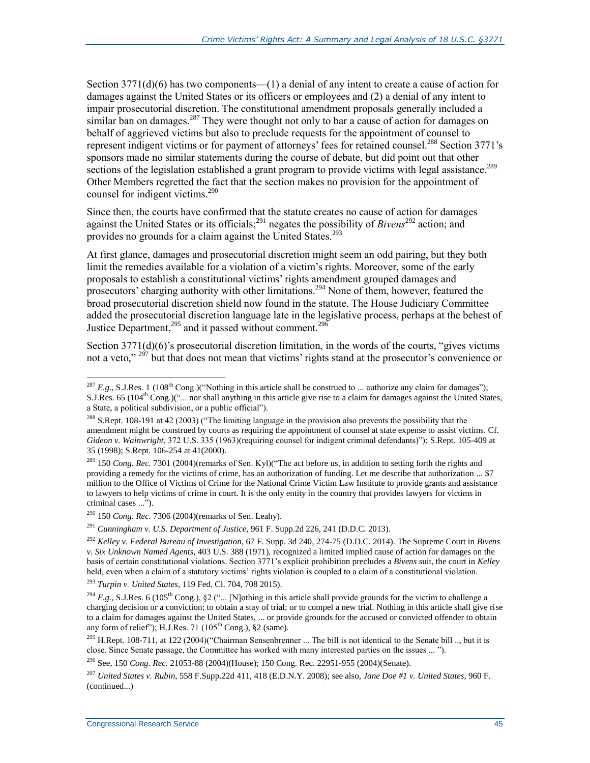Section 3771(d)(6) has two components—(1) a denial of any intent to create a cause of action for damages against the United States or its officers or employees and (2) a denial of any intent to impair prosecutorial discretion. The constitutional amendment proposals generally included a similar ban on damages.<sup>287</sup> They were thought not only to bar a cause of action for damages on behalf of aggrieved victims but also to preclude requests for the appointment of counsel to represent indigent victims or for payment of attorneys' fees for retained counsel.<sup>288</sup> Section 3771's sponsors made no similar statements during the course of debate, but did point out that other sections of the legislation established a grant program to provide victims with legal assistance.<sup>289</sup> Other Members regretted the fact that the section makes no provision for the appointment of counsel for indigent victims.<sup>290</sup>

Since then, the courts have confirmed that the statute creates no cause of action for damages against the United States or its officials;<sup>291</sup> negates the possibility of *Bivens*<sup>292</sup> action; and provides no grounds for a claim against the United States.<sup>293</sup>

At first glance, damages and prosecutorial discretion might seem an odd pairing, but they both limit the remedies available for a violation of a victim's rights. Moreover, some of the early proposals to establish a constitutional victims' rights amendment grouped damages and proposals to constrain a constraint vector rights and almost the series and prosecutors' charging authority with other limitations.<sup>294</sup> None of them, however, featured the broad prosecutorial discretion shield now found in the statute. The House Judiciary Committee added the prosecutorial discretion language late in the legislative process, perhaps at the behest of Justice Department,  $295$  and it passed without comment.<sup>296</sup>

Section 3771(d)(6)'s prosecutorial discretion limitation, in the words of the courts, "gives victims" not a veto,"<sup>297</sup> but that does not mean that victims' rights stand at the prosecutor's convenience or

<sup>291</sup> *Cunningham v. U.S. Department of Justice*, 961 F. Supp.2d 226, 241 (D.D.C. 2013).

<sup>293</sup> *Turpin v. United States*, 119 Fed. Cl. 704, 708 2015).

 $2^{287} E.g., S.J. Res. 1$  (108<sup>th</sup> Cong.)("Nothing in this article shall be construed to ... authorize any claim for damages"); S.J.Res. 65 (104<sup>th</sup> Cong.)("... nor shall anything in this article give rise to a claim for damages against the United States, a State, a political subdivision, or a public official").

<sup>&</sup>lt;sup>288</sup> S.Rept. 108-191 at 42 (2003) ("The limiting language in the provision also prevents the possibility that the amendment might be construed by courts as requiring the appointment of counsel at state expense to assist victims. Cf. *Gideon v. Wainwright*, 372 U.S. 335 (1963)(requiring counsel for indigent criminal defendants)"); S.Rept. 105-409 at 35 (1998); S.Rept. 106-254 at 41(2000).

<sup>289</sup> 150 *Cong. Rec.* 7301 (2004)(remarks of Sen. Kyl)("The act before us, in addition to setting forth the rights and providing a remedy for the victims of crime, has an authorization of funding. Let me describe that authorization ... \$7 million to the Office of Victims of Crime for the National Crime Victim Law Institute to provide grants and assistance to lawyers to help victims of crime in court. It is the only entity in the country that provides lawyers for victims in criminal cases ...").

<sup>290</sup> 150 *Cong. Rec.* 7306 (2004)(remarks of Sen. Leahy).

<sup>292</sup> *Kelley v. Federal Bureau of Investigation*, 67 F. Supp. 3d 240, 274-75 (D.D.C. 2014). The Supreme Court in *Bivens v. Six Unknown Named Agents*, 403 U.S. 388 (1971), recognized a limited implied cause of action for damages on the basis of certain constitutional violations. Section 3771's explicit prohibition precludes a *Bivens* suit, the court in *Kelley* held, even when a claim of a statutory victims' rights violation is coupled to a claim of a constitutional violation.

<sup>&</sup>lt;sup>294</sup> *E.g.*, S.J.Res. 6 (105<sup>th</sup> Cong.), §2 ("... [N]othing in this article shall provide grounds for the victim to challenge a charging decision or a conviction; to obtain a stay of trial; or to compel a new trial. Nothing in this article shall give rise to a claim for damages against the United States, ... or provide grounds for the accused or convicted offender to obtain any form of relief"); H.J.Res. 71 ( $105<sup>th</sup>$  Cong.), §2 (same).

<sup>&</sup>lt;sup>295</sup> H.Rept. 108-711, at 122 (2004)("Chairman Sensenbrenner ... The bill is not identical to the Senate bill .., but it is close. Since Senate passage, the Committee has worked with many interested parties on the issues ... ").

<sup>296</sup> See, 150 *Cong. Rec.* 21053-88 (2004)(House); 150 Cong. Rec. 22951-955 (2004)(Senate).

<sup>297</sup> *United States v. Rubin*, 558 F.Supp.22d 411, 418 (E.D.N.Y. 2008); see also, *Jane Doe #1 v. United States*, 960 F. (continued...)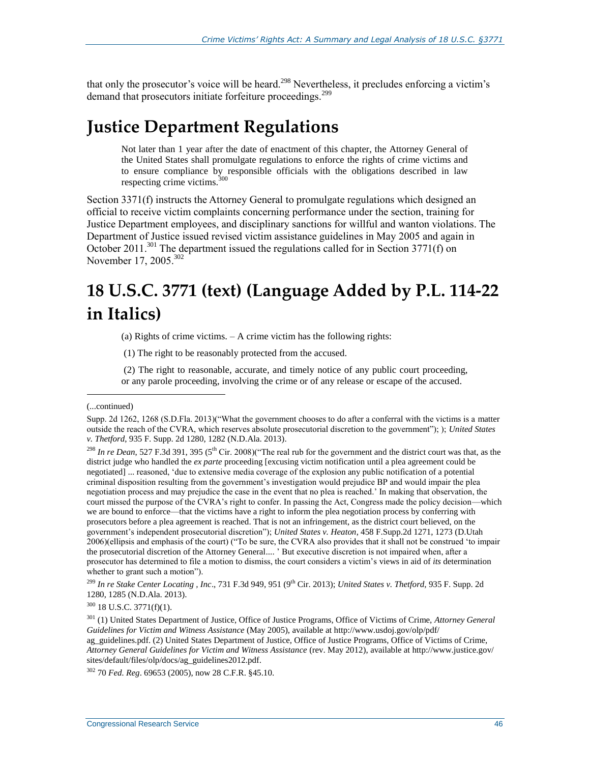that only the prosecutor's voice will be heard.<sup>298</sup> Nevertheless, it precludes enforcing a victim's demand that prosecutors initiate forfeiture proceedings.<sup>299</sup>

# **Justice Department Regulations**

Not later than 1 year after the date of enactment of this chapter, the Attorney General of the United States shall promulgate regulations to enforce the rights of crime victims and to ensure compliance by responsible officials with the obligations described in law respecting crime victims.<sup>300</sup>

Section 3371(f) instructs the Attorney General to promulgate regulations which designed an official to receive victim complaints concerning performance under the section, training for Justice Department employees, and disciplinary sanctions for willful and wanton violations. The Department of Justice issued revised victim assistance guidelines in May 2005 and again in October 2011.<sup>301</sup> The department issued the regulations called for in Section 3771(f) on November 17, 2005.<sup>302</sup>

# **18 U.S.C. 3771 (text) (Language Added by P.L. 114-22 in Italics)**

(a) Rights of crime victims. – A crime victim has the following rights:

(1) The right to be reasonably protected from the accused.

(2) The right to reasonable, accurate, and timely notice of any public court proceeding, or any parole proceeding, involving the crime or of any release or escape of the accused.

l

<sup>298</sup> In re Dean, 527 F.3d 391, 395 (5<sup>th</sup> Cir. 2008)("The real rub for the government and the district court was that, as the district judge who handled the *ex parte* proceeding [excusing victim notification until a plea agreement could be negotiated] ... reasoned, 'due to extensive media coverage of the explosion any public notification of a potential criminal disposition resulting from the government's investigation would prejudice BP and would impair the plea negotiation process and may prejudice the case in the event that no plea is reached.' In making that observation, the court missed the purpose of the CVRA's right to confer. In passing the Act, Congress made the policy decision—which we are bound to enforce—that the victims have a right to inform the plea negotiation process by conferring with prosecutors before a plea agreement is reached. That is not an infringement, as the district court believed, on the government's independent prosecutorial discretion"); *United States v. Heaton*, 458 F.Supp.2d 1271, 1273 (D.Utah 2006)(ellipsis and emphasis of the court) ("To be sure, the CVRA also provides that it shall not be construed 'to impair the prosecutorial discretion of the Attorney General.... ' But executive discretion is not impaired when, after a prosecutor has determined to file a motion to dismiss, the court considers a victim's views in aid of *its* determination whether to grant such a motion").

<sup>299</sup> *In re Stake Center Locating , Inc*., 731 F.3d 949, 951 (9th Cir. 2013); *United States v. Thetford*, 935 F. Supp. 2d 1280, 1285 (N.D.Ala. 2013).

<sup>300</sup> 18 U.S.C. 3771(f)(1).

<sup>301</sup> (1) United States Department of Justice, Office of Justice Programs, Office of Victims of Crime, *Attorney General Guidelines for Victim and Witness Assistance* (May 2005), available at http://www.usdoj.gov/olp/pdf/ ag\_guidelines.pdf. (2) United States Department of Justice, Office of Justice Programs, Office of Victims of Crime, *Attorney General Guidelines for Victim and Witness Assistance* (rev. May 2012), available at http://www.justice.gov/ sites/default/files/olp/docs/ag\_guidelines2012.pdf.

<sup>302</sup> 70 *Fed. Reg*. 69653 (2005), now 28 C.F.R. §45.10.

<sup>(...</sup>continued)

Supp. 2d 1262, 1268 (S.D.Fla. 2013)("What the government chooses to do after a conferral with the victims is a matter outside the reach of the CVRA, which reserves absolute prosecutorial discretion to the government"); ); *United States v. Thetford*, 935 F. Supp. 2d 1280, 1282 (N.D.Ala. 2013).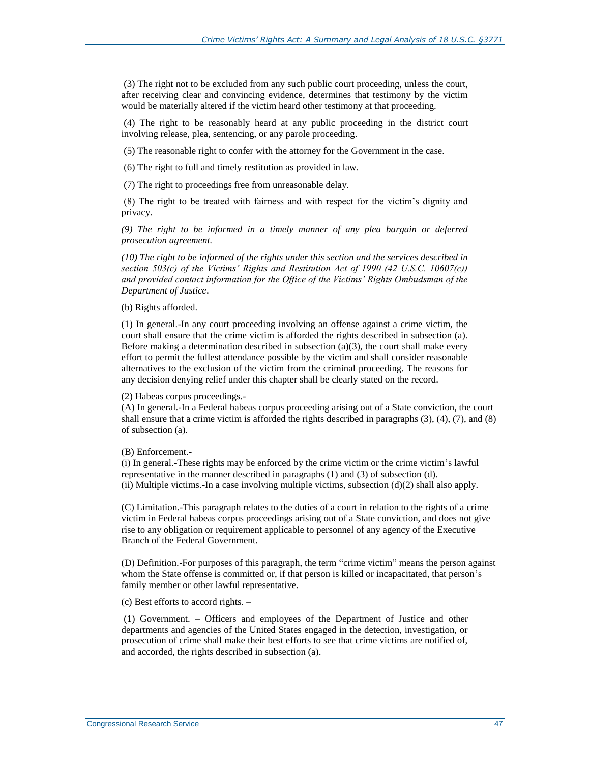(3) The right not to be excluded from any such public court proceeding, unless the court, after receiving clear and convincing evidence, determines that testimony by the victim would be materially altered if the victim heard other testimony at that proceeding.

(4) The right to be reasonably heard at any public proceeding in the district court involving release, plea, sentencing, or any parole proceeding.

(5) The reasonable right to confer with the attorney for the Government in the case.

(6) The right to full and timely restitution as provided in law.

(7) The right to proceedings free from unreasonable delay.

(8) The right to be treated with fairness and with respect for the victim's dignity and privacy.

*(9) The right to be informed in a timely manner of any plea bargain or deferred prosecution agreement.*

*(10) The right to be informed of the rights under this section and the services described in section 503(c) of the Victims' Rights and Restitution Act of 1990 (42 U.S.C. 10607(c)) and provided contact information for the Office of the Victims' Rights Ombudsman of the Department of Justice*.

(b) Rights afforded. –

(1) In general.-In any court proceeding involving an offense against a crime victim, the court shall ensure that the crime victim is afforded the rights described in subsection (a). Before making a determination described in subsection (a)(3), the court shall make every effort to permit the fullest attendance possible by the victim and shall consider reasonable alternatives to the exclusion of the victim from the criminal proceeding. The reasons for any decision denying relief under this chapter shall be clearly stated on the record.

(2) Habeas corpus proceedings.-

(A) In general.-In a Federal habeas corpus proceeding arising out of a State conviction, the court shall ensure that a crime victim is afforded the rights described in paragraphs  $(3)$ ,  $(4)$ ,  $(7)$ , and  $(8)$ of subsection (a).

(B) Enforcement.-

(i) In general.-These rights may be enforced by the crime victim or the crime victim's lawful representative in the manner described in paragraphs (1) and (3) of subsection (d). (ii) Multiple victims.-In a case involving multiple victims, subsection  $(d)(2)$  shall also apply.

(C) Limitation.-This paragraph relates to the duties of a court in relation to the rights of a crime victim in Federal habeas corpus proceedings arising out of a State conviction, and does not give rise to any obligation or requirement applicable to personnel of any agency of the Executive Branch of the Federal Government.

(D) Definition.-For purposes of this paragraph, the term "crime victim" means the person against whom the State offense is committed or, if that person is killed or incapacitated, that person's family member or other lawful representative.

(c) Best efforts to accord rights. –

(1) Government. – Officers and employees of the Department of Justice and other departments and agencies of the United States engaged in the detection, investigation, or prosecution of crime shall make their best efforts to see that crime victims are notified of, and accorded, the rights described in subsection (a).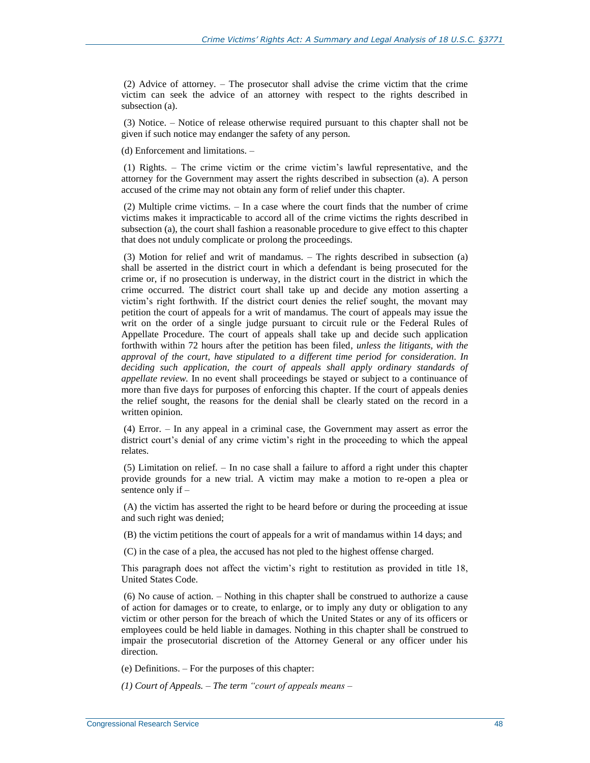(2) Advice of attorney. – The prosecutor shall advise the crime victim that the crime victim can seek the advice of an attorney with respect to the rights described in subsection (a).

(3) Notice. – Notice of release otherwise required pursuant to this chapter shall not be given if such notice may endanger the safety of any person.

(d) Enforcement and limitations. –

(1) Rights. – The crime victim or the crime victim's lawful representative, and the attorney for the Government may assert the rights described in subsection (a). A person accused of the crime may not obtain any form of relief under this chapter.

(2) Multiple crime victims. – In a case where the court finds that the number of crime victims makes it impracticable to accord all of the crime victims the rights described in subsection (a), the court shall fashion a reasonable procedure to give effect to this chapter that does not unduly complicate or prolong the proceedings.

(3) Motion for relief and writ of mandamus. – The rights described in subsection (a) shall be asserted in the district court in which a defendant is being prosecuted for the crime or, if no prosecution is underway, in the district court in the district in which the crime occurred. The district court shall take up and decide any motion asserting a victim's right forthwith. If the district court denies the relief sought, the movant may petition the court of appeals for a writ of mandamus. The court of appeals may issue the writ on the order of a single judge pursuant to circuit rule or the Federal Rules of Appellate Procedure. The court of appeals shall take up and decide such application forthwith within 72 hours after the petition has been filed, *unless the litigants, with the approval of the court, have stipulated to a different time period for consideration*. *In deciding such application, the court of appeals shall apply ordinary standards of appellate review.* In no event shall proceedings be stayed or subject to a continuance of more than five days for purposes of enforcing this chapter. If the court of appeals denies the relief sought, the reasons for the denial shall be clearly stated on the record in a written opinion.

(4) Error. – In any appeal in a criminal case, the Government may assert as error the district court's denial of any crime victim's right in the proceeding to which the appeal relates.

(5) Limitation on relief. – In no case shall a failure to afford a right under this chapter provide grounds for a new trial. A victim may make a motion to re-open a plea or sentence only if –

(A) the victim has asserted the right to be heard before or during the proceeding at issue and such right was denied;

(B) the victim petitions the court of appeals for a writ of mandamus within 14 days; and

(C) in the case of a plea, the accused has not pled to the highest offense charged.

This paragraph does not affect the victim's right to restitution as provided in title 18, United States Code.

(6) No cause of action. – Nothing in this chapter shall be construed to authorize a cause of action for damages or to create, to enlarge, or to imply any duty or obligation to any victim or other person for the breach of which the United States or any of its officers or employees could be held liable in damages. Nothing in this chapter shall be construed to impair the prosecutorial discretion of the Attorney General or any officer under his direction.

(e) Definitions. – For the purposes of this chapter:

*(1) Court of Appeals. – The term "court of appeals means –*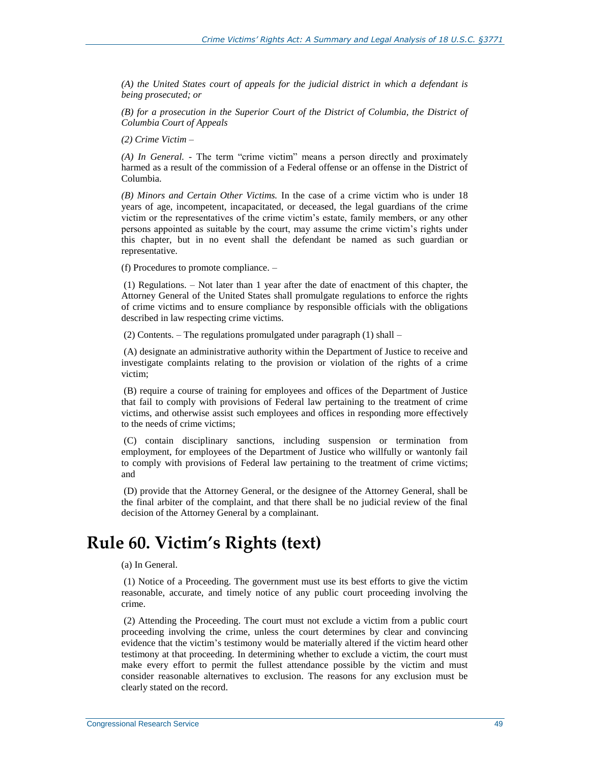*(A) the United States court of appeals for the judicial district in which a defendant is being prosecuted; or*

*(B) for a prosecution in the Superior Court of the District of Columbia, the District of Columbia Court of Appeals*

*(2) Crime Victim –*

*(A) In General. -* The term "crime victim" means a person directly and proximately harmed as a result of the commission of a Federal offense or an offense in the District of Columbia.

*(B) Minors and Certain Other Victims.* In the case of a crime victim who is under 18 years of age, incompetent, incapacitated, or deceased, the legal guardians of the crime victim or the representatives of the crime victim's estate, family members, or any other persons appointed as suitable by the court, may assume the crime victim's rights under this chapter, but in no event shall the defendant be named as such guardian or representative.

(f) Procedures to promote compliance. –

(1) Regulations. – Not later than 1 year after the date of enactment of this chapter, the Attorney General of the United States shall promulgate regulations to enforce the rights of crime victims and to ensure compliance by responsible officials with the obligations described in law respecting crime victims.

(2) Contents. – The regulations promulgated under paragraph (1) shall –

(A) designate an administrative authority within the Department of Justice to receive and investigate complaints relating to the provision or violation of the rights of a crime victim;

(B) require a course of training for employees and offices of the Department of Justice that fail to comply with provisions of Federal law pertaining to the treatment of crime victims, and otherwise assist such employees and offices in responding more effectively to the needs of crime victims;

(C) contain disciplinary sanctions, including suspension or termination from employment, for employees of the Department of Justice who willfully or wantonly fail to comply with provisions of Federal law pertaining to the treatment of crime victims; and

(D) provide that the Attorney General, or the designee of the Attorney General, shall be the final arbiter of the complaint, and that there shall be no judicial review of the final decision of the Attorney General by a complainant.

### **Rule 60. Victim's Rights (text)**

(a) In General.

(1) Notice of a Proceeding. The government must use its best efforts to give the victim reasonable, accurate, and timely notice of any public court proceeding involving the crime.

(2) Attending the Proceeding. The court must not exclude a victim from a public court proceeding involving the crime, unless the court determines by clear and convincing evidence that the victim's testimony would be materially altered if the victim heard other testimony at that proceeding. In determining whether to exclude a victim, the court must make every effort to permit the fullest attendance possible by the victim and must consider reasonable alternatives to exclusion. The reasons for any exclusion must be clearly stated on the record.